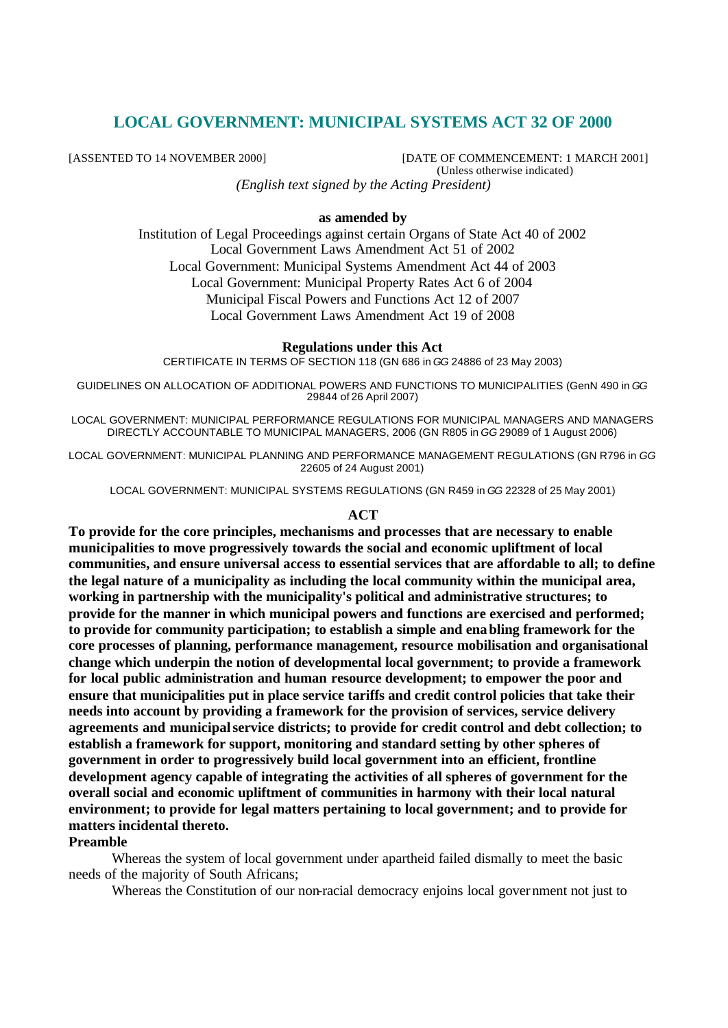# **LOCAL GOVERNMENT: MUNICIPAL SYSTEMS ACT 32 OF 2000**

[ASSENTED TO 14 NOVEMBER 2000] [DATE OF COMMENCEMENT: 1 MARCH 2001] (Unless otherwise indicated) *(English text signed by the Acting President)*

#### **as amended by**

Institution of Legal Proceedings against certain Organs of State Act 40 of 2002 Local Government Laws Amendment Act 51 of 2002 Local Government: Municipal Systems Amendment Act 44 of 2003 Local Government: Municipal Property Rates Act 6 of 2004 Municipal Fiscal Powers and Functions Act 12 of 2007 Local Government Laws Amendment Act 19 of 2008

#### **Regulations under this Act**

CERTIFICATE IN TERMS OF SECTION 118 (GN 686 in *GG* 24886 of 23 May 2003)

GUIDELINES ON ALLOCATION OF ADDITIONAL POWERS AND FUNCTIONS TO MUNICIPALITIES (GenN 490 in *GG* 29844 of 26 April 2007)

LOCAL GOVERNMENT: MUNICIPAL PERFORMANCE REGULATIONS FOR MUNICIPAL MANAGERS AND MANAGERS DIRECTLY ACCOUNTABLE TO MUNICIPAL MANAGERS, 2006 (GN R805 in *GG* 29089 of 1 August 2006)

LOCAL GOVERNMENT: MUNICIPAL PLANNING AND PERFORMANCE MANAGEMENT REGULATIONS (GN R796 in *GG*  22605 of 24 August 2001)

LOCAL GOVERNMENT: MUNICIPAL SYSTEMS REGULATIONS (GN R459 in *GG* 22328 of 25 May 2001)

#### **ACT**

**To provide for the core principles, mechanisms and processes that are necessary to enable municipalities to move progressively towards the social and economic upliftment of local communities, and ensure universal access to essential services that are affordable to all; to define the legal nature of a municipality as including the local community within the municipal area, working in partnership with the municipality's political and administrative structures; to provide for the manner in which municipal powers and functions are exercised and performed; to provide for community participation; to establish a simple and enabling framework for the core processes of planning, performance management, resource mobilisation and organisational change which underpin the notion of developmental local government; to provide a framework for local public administration and human resource development; to empower the poor and ensure that municipalities put in place service tariffs and credit control policies that take their needs into account by providing a framework for the provision of services, service delivery agreements and municipal service districts; to provide for credit control and debt collection; to establish a framework for support, monitoring and standard setting by other spheres of government in order to progressively build local government into an efficient, frontline development agency capable of integrating the activities of all spheres of government for the overall social and economic upliftment of communities in harmony with their local natural environment; to provide for legal matters pertaining to local government; and to provide for matters incidental thereto.**

# **Preamble**

Whereas the system of local government under apartheid failed dismally to meet the basic needs of the majority of South Africans;

Whereas the Constitution of our non-racial democracy enjoins local government not just to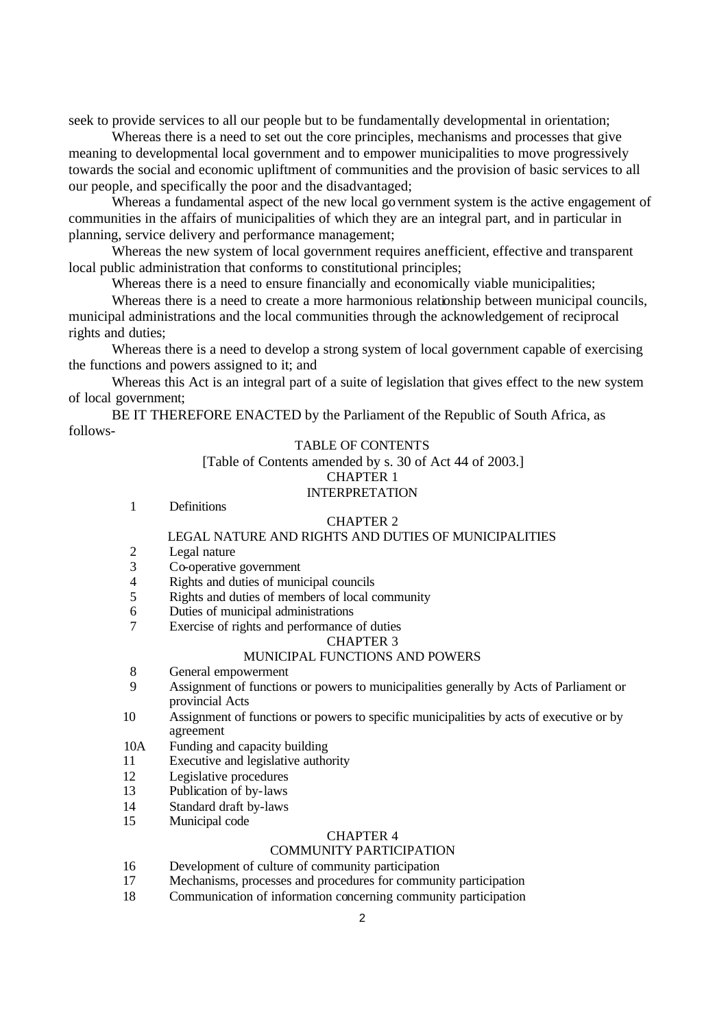seek to provide services to all our people but to be fundamentally developmental in orientation;

Whereas there is a need to set out the core principles, mechanisms and processes that give meaning to developmental local government and to empower municipalities to move progressively towards the social and economic upliftment of communities and the provision of basic services to all our people, and specifically the poor and the disadvantaged;

Whereas a fundamental aspect of the new local government system is the active engagement of communities in the affairs of municipalities of which they are an integral part, and in particular in planning, service delivery and performance management;

Whereas the new system of local government requires an efficient, effective and transparent local public administration that conforms to constitutional principles;

Whereas there is a need to ensure financially and economically viable municipalities;

Whereas there is a need to create a more harmonious relationship between municipal councils, municipal administrations and the local communities through the acknowledgement of reciprocal rights and duties;

Whereas there is a need to develop a strong system of local government capable of exercising the functions and powers assigned to it; and

Whereas this Act is an integral part of a suite of legislation that gives effect to the new system of local government;

BE IT THEREFORE ENACTED by the Parliament of the Republic of South Africa, as follows-

#### TABLE OF CONTENTS

[Table of Contents amended by s. 30 of Act 44 of 2003.] CHAPTER 1

### INTERPRETATION

1 Definitions

#### CHAPTER 2

#### LEGAL NATURE AND RIGHTS AND DUTIES OF MUNICIPALITIES

- 2 Legal nature
- 3 Co-operative government
- 4 Rights and duties of municipal councils<br>5 Rights and duties of members of local c
- 5 Rights and duties of members of local community
- 6 Duties of municipal administrations
- 7 Exercise of rights and performance of duties

#### CHAPTER 3

### MUNICIPAL FUNCTIONS AND POWERS

- 8 General empowerment
- 9 Assignment of functions or powers to municipalities generally by Acts of Parliament or provincial Acts
- 10 Assignment of functions or powers to specific municipalities by acts of executive or by agreement
- 10A Funding and capacity building
- 11 Executive and legislative authority
- 12 Legislative procedures
- 13 Publication of by-laws
- 14 Standard draft by-laws
- 15 Municipal code

# CHAPTER 4

### COMMUNITY PARTICIPATION

- 16 Development of culture of community participation
- 17 Mechanisms, processes and procedures for community participation
- 18 Communication of information concerning community participation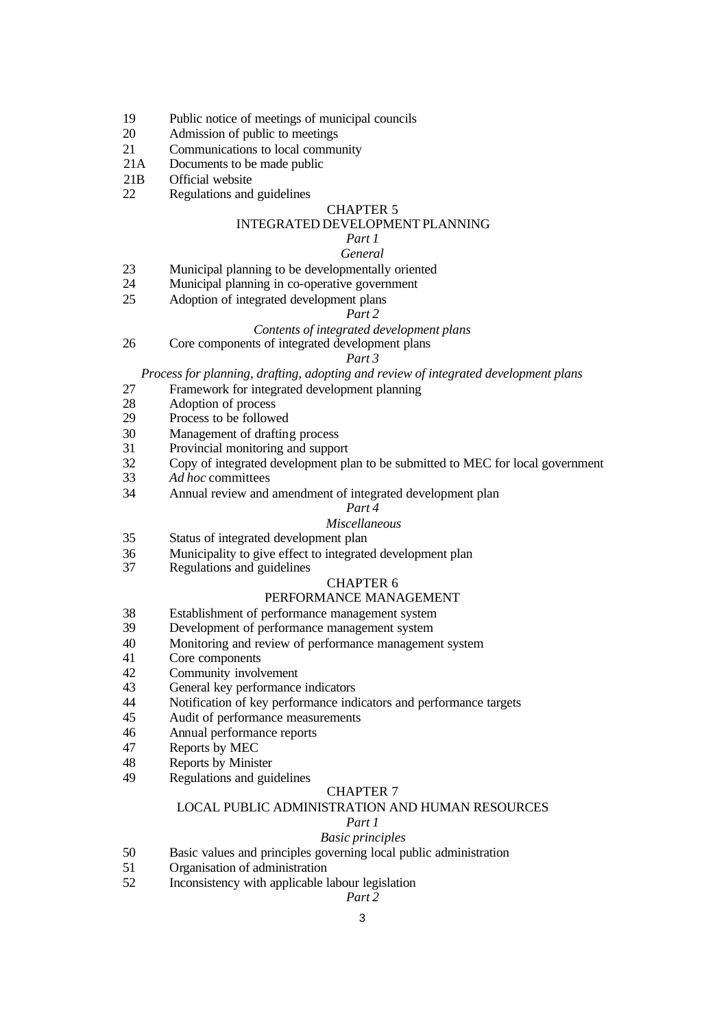- Public notice of meetings of municipal councils
- Admission of public to meetings
- Communications to local community
- 21A Documents to be made public
- 21B Official website
- Regulations and guidelines

#### CHAPTER 5

### INTEGRATED DEVELOPMENT PLANNING

# *Part 1*

# *General*

- Municipal planning to be developmentally oriented
- Municipal planning in co-operative government
- Adoption of integrated development plans

#### *Part 2*

# *Contents of integrated development plans*

Core components of integrated development plans

#### *Part 3*

*Process for planning, drafting, adopting and review of integrated development plans*

- Framework for integrated development planning
- Adoption of process
- Process to be followed
- Management of drafting process
- Provincial monitoring and support
- Copy of integrated development plan to be submitted to MEC for local government
- *Ad hoc* committees
- Annual review and amendment of integrated development plan

#### *Part 4*

#### *Miscellaneous*

- Status of integrated development plan
- 36 Municipality to give effect to integrated development plan<br>37 Regulations and guidelines
- Regulations and guidelines

# CHAPTER 6

#### PERFORMANCE MANAGEMENT

- Establishment of performance management system
- Development of performance management system
- Monitoring and review of performance management system
- Core components
- Community involvement
- General key performance indicators
- Notification of key performance indicators and performance targets
- Audit of performance measurements
- Annual performance reports
- Reports by MEC
- Reports by Minister
- Regulations and guidelines

#### CHAPTER 7

#### LOCAL PUBLIC ADMINISTRATION AND HUMAN RESOURCES

#### *Part 1*

# *Basic principles*

- Basic values and principles governing local public administration
- Organisation of administration
- Inconsistency with applicable labour legislation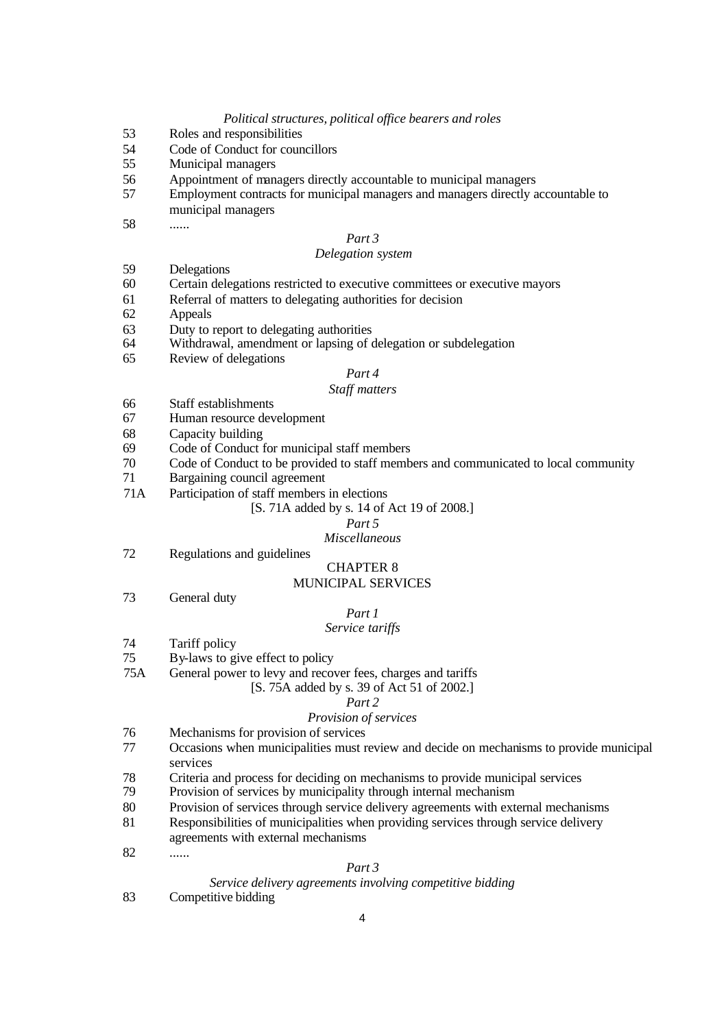#### *Political structures, political office bearers and roles*

- 53 Roles and responsibilities
- 54 Code of Conduct for councillors
- 55 Municipal managers
- 56 Appointment of managers directly accountable to municipal managers
- 57 Employment contracts for municipal managers and managers directly accountable to municipal managers
- 58 ......

### *Part 3*

#### *Delegation system*

- 59 Delegations
- 60 Certain delegations restricted to executive committees or executive mayors
- 61 Referral of matters to delegating authorities for decision
- 62 Appeals
- 63 Duty to report to delegating authorities
- 64 Withdrawal, amendment or lapsing of delegation or subdelegation
- 65 Review of delegations

#### *Part 4*

#### *Staff matters*

- 66 Staff establishments
- 67 Human resource development
- 68 Capacity building
- 69 Code of Conduct for municipal staff members
- 70 Code of Conduct to be provided to staff members and communicated to local community
- 71 Bargaining council agreement
- 71A Participation of staff members in elections

#### [S. 71A added by s. 14 of Act 19 of 2008.]

#### *Part 5*

#### *Miscellaneous*

72 Regulations and guidelines

# CHAPTER 8

### MUNICIPAL SERVICES

73 General duty

#### *Part 1*

### *Service tariffs*

- 74 Tariff policy
- 75 By-laws to give effect to policy
- 75A General power to levy and recover fees, charges and tariffs
	- [S. 75A added by s. 39 of Act 51 of 2002.]

#### *Part 2*

#### *Provision of services*

- 76 Mechanisms for provision of services
- 77 Occasions when municipalities must review and decide on mechanisms to provide municipal services
- 78 Criteria and process for deciding on mechanisms to provide municipal services
- 79 Provision of services by municipality through internal mechanism
- 80 Provision of services through service delivery agreements with external mechanisms
- 81 Responsibilities of municipalities when providing services through service delivery
- agreements with external mechanisms
- 82 ......

#### *Part 3*

#### *Service delivery agreements involving competitive bidding*

83 Competitive bidding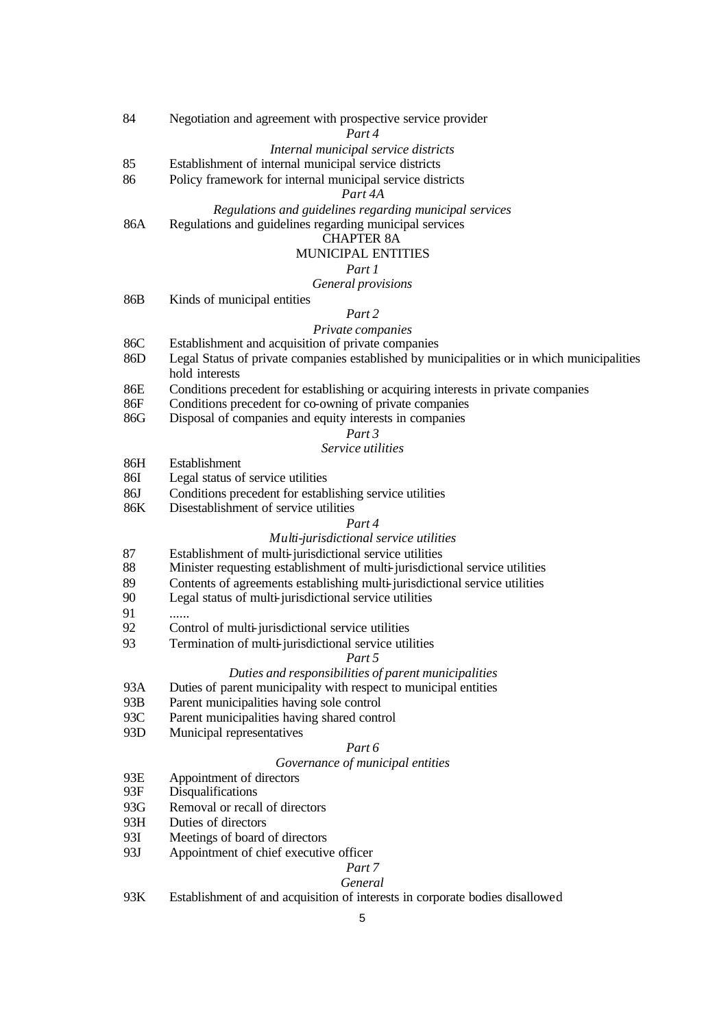| 84         | Negotiation and agreement with prospective service provider<br>Part 4                                        |
|------------|--------------------------------------------------------------------------------------------------------------|
|            | Internal municipal service districts                                                                         |
| 85         | Establishment of internal municipal service districts                                                        |
| 86         | Policy framework for internal municipal service districts                                                    |
|            | Part 4A                                                                                                      |
|            | Regulations and guidelines regarding municipal services                                                      |
| 86A        | Regulations and guidelines regarding municipal services                                                      |
|            | <b>CHAPTER 8A</b>                                                                                            |
|            | <b>MUNICIPAL ENTITIES</b>                                                                                    |
|            | Part 1                                                                                                       |
|            | General provisions                                                                                           |
| 86B        | Kinds of municipal entities                                                                                  |
|            | Part 2                                                                                                       |
|            | Private companies                                                                                            |
| 86C        | Establishment and acquisition of private companies                                                           |
| 86D        | Legal Status of private companies established by municipalities or in which municipalities<br>hold interests |
| 86E        | Conditions precedent for establishing or acquiring interests in private companies                            |
| 86F        | Conditions precedent for co-owning of private companies                                                      |
| 86G        | Disposal of companies and equity interests in companies                                                      |
|            | Part 3                                                                                                       |
|            | Service utilities                                                                                            |
| 86H<br>86I | Establishment                                                                                                |
| 86J        | Legal status of service utilities<br>Conditions precedent for establishing service utilities                 |
| 86K        | Disestablishment of service utilities                                                                        |
|            | Part 4                                                                                                       |
|            | Multi-jurisdictional service utilities                                                                       |
| 87         | Establishment of multi-jurisdictional service utilities                                                      |
| 88         | Minister requesting establishment of multi-jurisdictional service utilities                                  |
| 89         | Contents of agreements establishing multi-jurisdictional service utilities                                   |
| 90         | Legal status of multi-jurisdictional service utilities                                                       |
| 91         |                                                                                                              |
| 92         | Control of multi-jurisdictional service utilities                                                            |
| 93         | Termination of multi-jurisdictional service utilities                                                        |
|            | <i>Part 5</i>                                                                                                |
|            | Duties and responsibilities of parent municipalities                                                         |
| 93A        | Duties of parent municipality with respect to municipal entities                                             |
| 93B        | Parent municipalities having sole control                                                                    |
| 93C        | Parent municipalities having shared control                                                                  |
| 93D        | Municipal representatives                                                                                    |
|            | Part 6                                                                                                       |
|            | Governance of municipal entities                                                                             |
| 93E<br>93F | Appointment of directors<br>Disqualifications                                                                |
| 93G        | Removal or recall of directors                                                                               |
| 93H        | Duties of directors                                                                                          |
| 93I        | Meetings of board of directors                                                                               |
| 93J        | Appointment of chief executive officer                                                                       |
|            | Part <sub>7</sub>                                                                                            |
|            | General                                                                                                      |
| 93K        | Establishment of and acquisition of interests in corporate bodies disallowed                                 |
|            | 5                                                                                                            |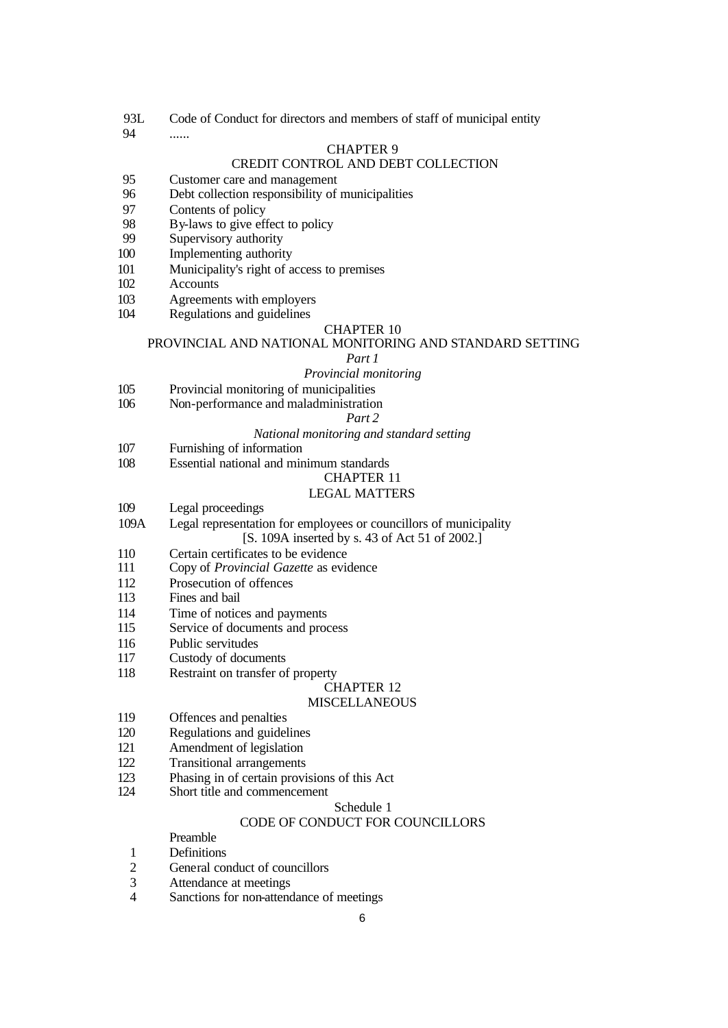- 93L Code of Conduct for directors and members of staff of municipal entity
- ......

#### CHAPTER 9

### CREDIT CONTROL AND DEBT COLLECTION

- Customer care and management
- Debt collection responsibility of municipalities
- Contents of policy
- 98 By-laws to give effect to policy<br>99 Supervisory authority
- Supervisory authority
- Implementing authority
- Municipality's right of access to premises
- Accounts
- Agreements with employers
- Regulations and guidelines

#### CHAPTER 10

#### PROVINCIAL AND NATIONAL MONITORING AND STANDARD SETTING

#### *Part 1*

#### *Provincial monitoring*

- Provincial monitoring of municipalities
- Non-performance and maladministration

#### *Part 2*

#### *National monitoring and standard setting*

- Furnishing of information
- Essential national and minimum standards

## CHAPTER 11

### LEGAL MATTERS

- Legal proceedings
- 109A Legal representation for employees or councillors of municipality [S. 109A inserted by s. 43 of Act 51 of 2002.]
- 110 Certain certificates to be evidence<br>111 Copy of Provincial Gazette as evidence
- Copy of *Provincial Gazette* as evidence
- Prosecution of offences
- Fines and bail
- Time of notices and payments
- Service of documents and process
- Public servitudes
- Custody of documents
- Restraint on transfer of property

# CHAPTER 12

# MISCELLANEOUS

- Offences and penalties
- Regulations and guidelines
- Amendment of legislation
- Transitional arrangements
- Phasing in of certain provisions of this Act
- Short title and commencement

### Schedule 1

# CODE OF CONDUCT FOR COUNCILLORS

# Preamble

- Definitions
- General conduct of councillors
- Attendance at meetings
- Sanctions for non-attendance of meetings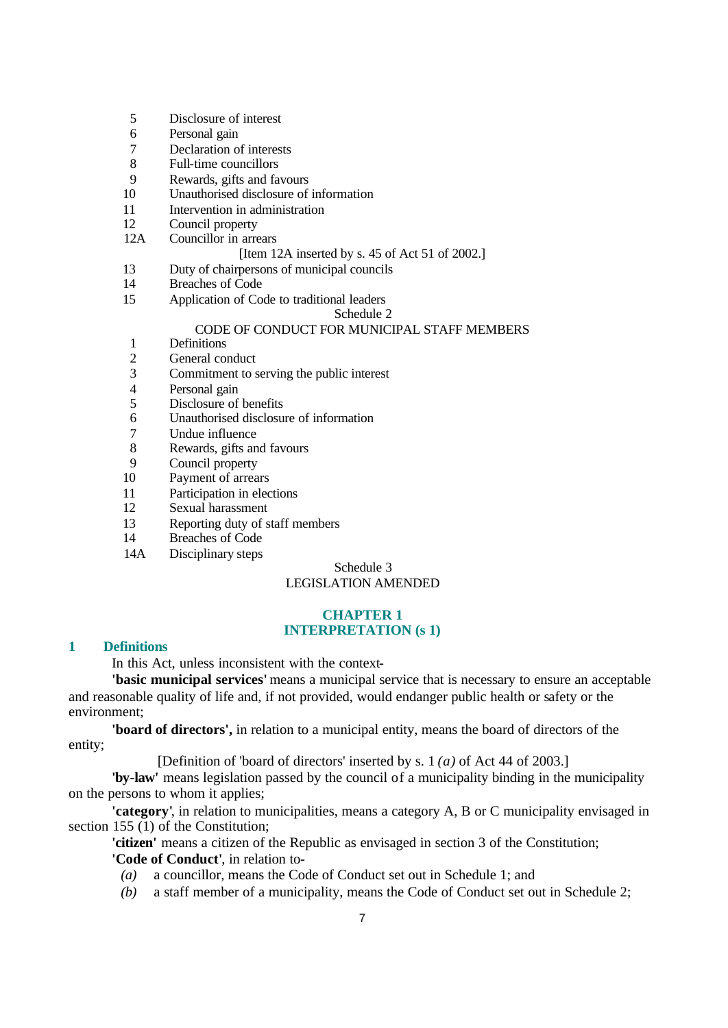- 5 Disclosure of interest
- 6 Personal gain
- 7 Declaration of interests
- 8 Full-time councillors
- 9 Rewards, gifts and favours
- 10 Unauthorised disclosure of information
- 11 Intervention in administration
- 12 Council property
- 12A Councillor in arrears

#### [Item 12A inserted by s. 45 of Act 51 of 2002.]

- 13 Duty of chairpersons of municipal councils
- 14 Breaches of Code
- 15 Application of Code to traditional leaders

#### Schedule 2

# CODE OF CONDUCT FOR MUNICIPAL STAFF MEMBERS

- 1 Definitions
- 2 General conduct<br>3 Commitment to s
- Commitment to serving the public interest
- 4 Personal gain<br>5 Disclosure of
- Disclosure of benefits
- 6 Unauthorised disclosure of information
- 7 Undue influence
- 8 Rewards, gifts and favours
- 9 Council property
- 10 Payment of arrears
- 11 Participation in elections
- 12 Sexual harassment
- 13 Reporting duty of staff members
- 14 Breaches of Code
- 14A Disciplinary steps

Schedule 3

# LEGISLATION AMENDED

#### **CHAPTER 1 INTERPRETATION (s 1)**

### **1 Definitions**

In this Act, unless inconsistent with the context-

**'basic municipal services'** means a municipal service that is necessary to ensure an acceptable and reasonable quality of life and, if not provided, would endanger public health or safety or the environment;

**'board of directors',** in relation to a municipal entity, means the board of directors of the entity;

[Definition of 'board of directors' inserted by s. 1 *(a)* of Act 44 of 2003.]

**'by-law'** means legislation passed by the council of a municipality binding in the municipality on the persons to whom it applies;

**'category'**, in relation to municipalities, means a category A, B or C municipality envisaged in section 155 (1) of the Constitution;

**'citizen'** means a citizen of the Republic as envisaged in section 3 of the Constitution; **'Code of Conduct'**, in relation to-

- *(a)* a councillor, means the Code of Conduct set out in Schedule 1; and
- *(b)* a staff member of a municipality, means the Code of Conduct set out in Schedule 2;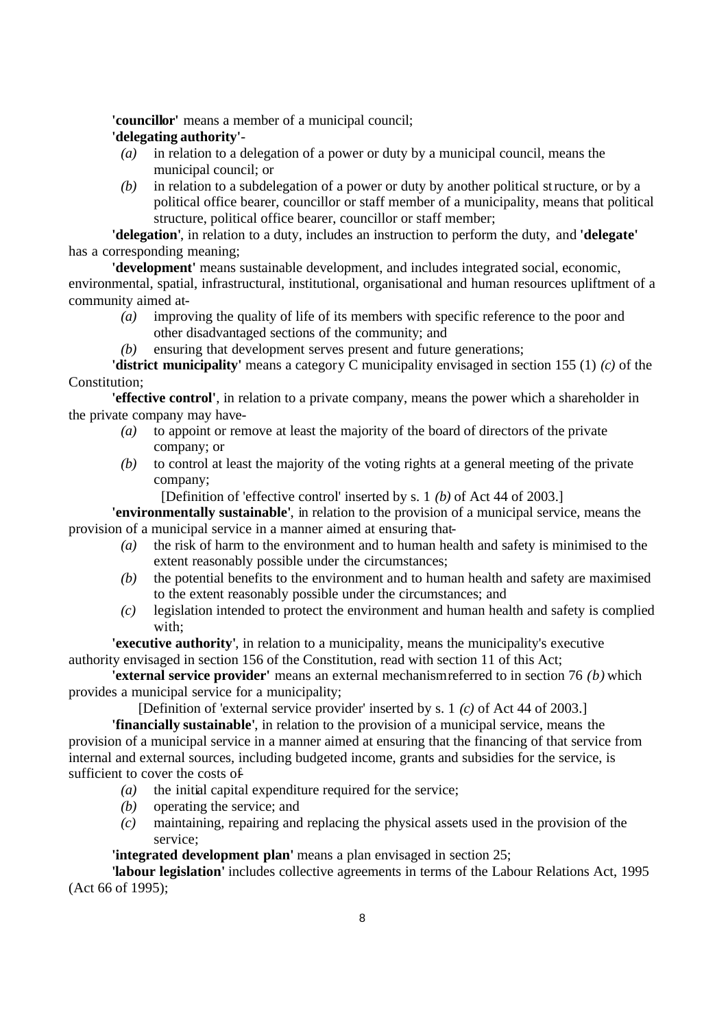**'councillor'** means a member of a municipal council;

# **'delegating authority'**-

- *(a)* in relation to a delegation of a power or duty by a municipal council, means the municipal council; or
- *(b)* in relation to a subdelegation of a power or duty by another political structure, or by a political office bearer, councillor or staff member of a municipality, means that political structure, political office bearer, councillor or staff member;

**'delegation'**, in relation to a duty, includes an instruction to perform the duty, and **'delegate'** has a corresponding meaning;

**'development'** means sustainable development, and includes integrated social, economic, environmental, spatial, infrastructural, institutional, organisational and human resources upliftment of a community aimed at-

- *(a)* improving the quality of life of its members with specific reference to the poor and other disadvantaged sections of the community; and
- *(b)* ensuring that development serves present and future generations;

**'district municipality'** means a category C municipality envisaged in section 155 (1) *(c)* of the Constitution;

**'effective control'**, in relation to a private company, means the power which a shareholder in the private company may have-

- *(a)* to appoint or remove at least the majority of the board of directors of the private company; or
- *(b)* to control at least the majority of the voting rights at a general meeting of the private company;

[Definition of 'effective control' inserted by s. 1 *(b)* of Act 44 of 2003.]

**'environmentally sustainable'**, in relation to the provision of a municipal service, means the provision of a municipal service in a manner aimed at ensuring that-

- *(a)* the risk of harm to the environment and to human health and safety is minimised to the extent reasonably possible under the circumstances;
- *(b)* the potential benefits to the environment and to human health and safety are maximised to the extent reasonably possible under the circumstances; and
- *(c)* legislation intended to protect the environment and human health and safety is complied with:

**'executive authority'**, in relation to a municipality, means the municipality's executive authority envisaged in section 156 of the Constitution, read with section 11 of this Act;

**'external service provider'** means an external mechanism referred to in section 76 *(b)* which provides a municipal service for a municipality;

[Definition of 'external service provider' inserted by s. 1 *(c)* of Act 44 of 2003.]

**'financially sustainable'**, in relation to the provision of a municipal service, means the provision of a municipal service in a manner aimed at ensuring that the financing of that service from internal and external sources, including budgeted income, grants and subsidies for the service, is sufficient to cover the costs of-

- *(a)* the initial capital expenditure required for the service;
- *(b)* operating the service; and
- *(c)* maintaining, repairing and replacing the physical assets used in the provision of the service;

# **'integrated development plan'** means a plan envisaged in section 25;

**'labour legislation'** includes collective agreements in terms of the Labour Relations Act, 1995 (Act 66 of 1995);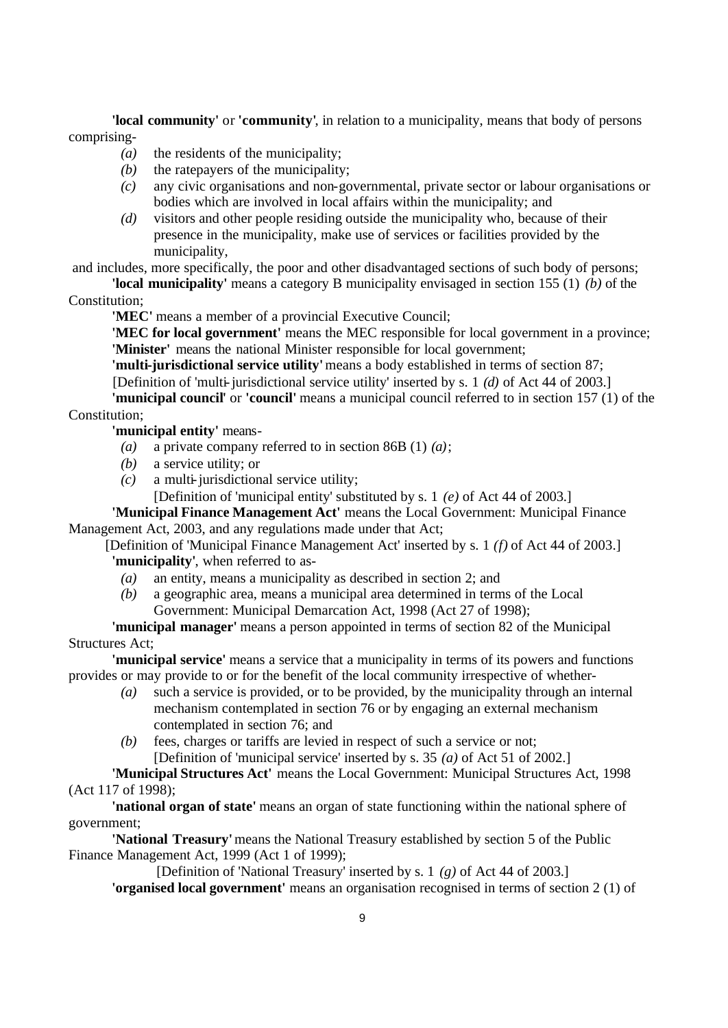**'local community'** or **'community'**, in relation to a municipality, means that body of persons comprising-

- *(a)* the residents of the municipality;
- *(b)* the ratepayers of the municipality;
- *(c)* any civic organisations and non-governmental, private sector or labour organisations or bodies which are involved in local affairs within the municipality; and
- *(d)* visitors and other people residing outside the municipality who, because of their presence in the municipality, make use of services or facilities provided by the municipality,

and includes, more specifically, the poor and other disadvantaged sections of such body of persons;

**'local municipality'** means a category B municipality envisaged in section 155 (1) *(b)* of the Constitution;

**'MEC'** means a member of a provincial Executive Council;

**'MEC for local government'** means the MEC responsible for local government in a province; **'Minister'** means the national Minister responsible for local government;

**'multi-jurisdictional service utility'** means a body established in terms of section 87; [Definition of 'multi-jurisdictional service utility' inserted by s. 1 *(d)* of Act 44 of 2003.]

**'municipal council'** or **'council'** means a municipal council referred to in section 157 (1) of the Constitution;

**'municipal entity'** means-

- *(a)* a private company referred to in section 86B (1) *(a)*;
- *(b)* a service utility; or
- *(c)* a multi-jurisdictional service utility;

[Definition of 'municipal entity' substituted by s. 1 *(e)* of Act 44 of 2003.]

**'Municipal Finance Management Act'** means the Local Government: Municipal Finance Management Act, 2003, and any regulations made under that Act;

[Definition of 'Municipal Finance Management Act' inserted by s. 1 *(f)* of Act 44 of 2003.] **'municipality'**, when referred to as-

- *(a)* an entity, means a municipality as described in section 2; and
- *(b)* a geographic area, means a municipal area determined in terms of the Local Government: Municipal Demarcation Act, 1998 (Act 27 of 1998);

# **'municipal manager'** means a person appointed in terms of section 82 of the Municipal Structures Act;

**'municipal service'** means a service that a municipality in terms of its powers and functions provides or may provide to or for the benefit of the local community irrespective of whether-

- *(a)* such a service is provided, or to be provided, by the municipality through an internal mechanism contemplated in section 76 or by engaging an external mechanism contemplated in section 76; and
- *(b)* fees, charges or tariffs are levied in respect of such a service or not; [Definition of 'municipal service' inserted by s. 35 *(a)* of Act 51 of 2002.]

**'Municipal Structures Act'** means the Local Government: Municipal Structures Act, 1998 (Act 117 of 1998);

**'national organ of state'** means an organ of state functioning within the national sphere of government;

**'National Treasury'** means the National Treasury established by section 5 of the Public Finance Management Act, 1999 (Act 1 of 1999);

[Definition of 'National Treasury' inserted by s. 1 *(g)* of Act 44 of 2003.]

**'organised local government'** means an organisation recognised in terms of section 2 (1) of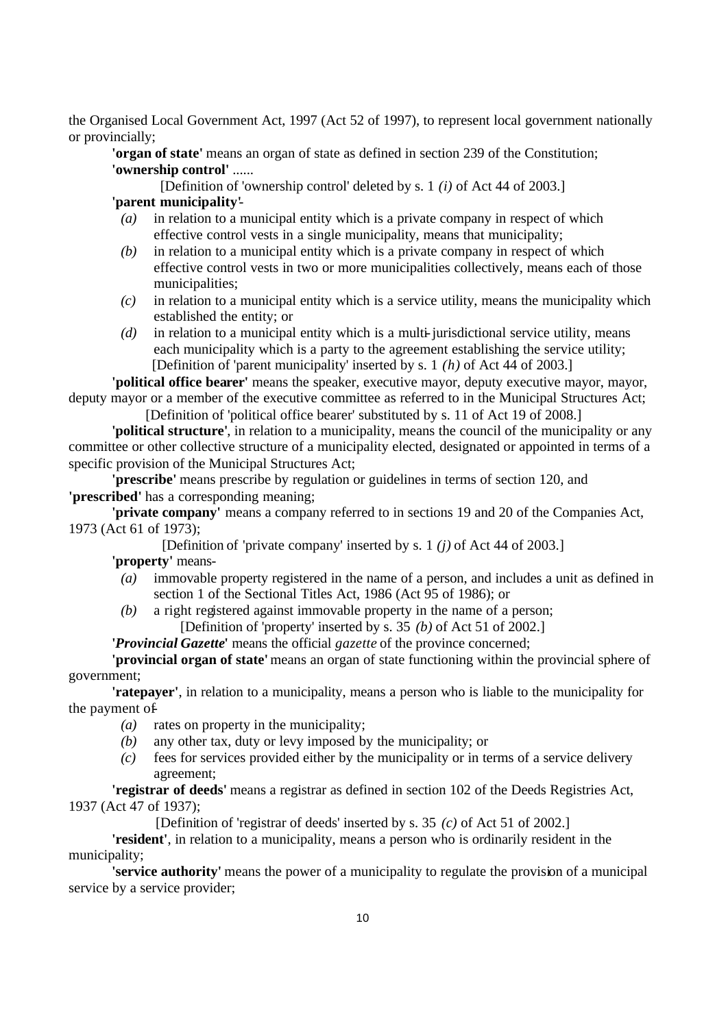the Organised Local Government Act, 1997 (Act 52 of 1997), to represent local government nationally or provincially;

**'organ of state'** means an organ of state as defined in section 239 of the Constitution; **'ownership control'** ......

[Definition of 'ownership control' deleted by s. 1 *(i)* of Act 44 of 2003.] **'parent municipality'**-

- *(a)* in relation to a municipal entity which is a private company in respect of which effective control vests in a single municipality, means that municipality;
- *(b)* in relation to a municipal entity which is a private company in respect of which effective control vests in two or more municipalities collectively, means each of those municipalities;
- *(c)* in relation to a municipal entity which is a service utility, means the municipality which established the entity; or
- *(d)* in relation to a municipal entity which is a multi-jurisdictional service utility, means each municipality which is a party to the agreement establishing the service utility; [Definition of 'parent municipality' inserted by s. 1 *(h)* of Act 44 of 2003.]

**'political office bearer'** means the speaker, executive mayor, deputy executive mayor, mayor, deputy mayor or a member of the executive committee as referred to in the Municipal Structures Act;

[Definition of 'political office bearer' substituted by s. 11 of Act 19 of 2008.]

**'political structure'**, in relation to a municipality, means the council of the municipality or any committee or other collective structure of a municipality elected, designated or appointed in terms of a specific provision of the Municipal Structures Act;

**'prescribe'** means prescribe by regulation or guidelines in terms of section 120, and **'prescribed'** has a corresponding meaning;

**'private company'** means a company referred to in sections 19 and 20 of the Companies Act, 1973 (Act 61 of 1973);

[Definition of 'private company' inserted by s. 1 *(j)* of Act 44 of 2003.]

**'property'** means-

- *(a)* immovable property registered in the name of a person, and includes a unit as defined in section 1 of the Sectional Titles Act, 1986 (Act 95 of 1986); or
- *(b)* a right registered against immovable property in the name of a person; [Definition of 'property' inserted by s. 35 *(b)* of Act 51 of 2002.]

**'***Provincial Gazette***'** means the official *gazette* of the province concerned;

**'provincial organ of state'** means an organ of state functioning within the provincial sphere of government;

**'ratepayer'**, in relation to a municipality, means a person who is liable to the municipality for the payment of-

- *(a)* rates on property in the municipality;
- *(b)* any other tax, duty or levy imposed by the municipality; or
- *(c)* fees for services provided either by the municipality or in terms of a service delivery agreement;

**'registrar of deeds'** means a registrar as defined in section 102 of the Deeds Registries Act, 1937 (Act 47 of 1937);

[Definition of 'registrar of deeds' inserted by s. 35 *(c)* of Act 51 of 2002.]

**'resident'**, in relation to a municipality, means a person who is ordinarily resident in the municipality;

**'service authority'** means the power of a municipality to regulate the provision of a municipal service by a service provider;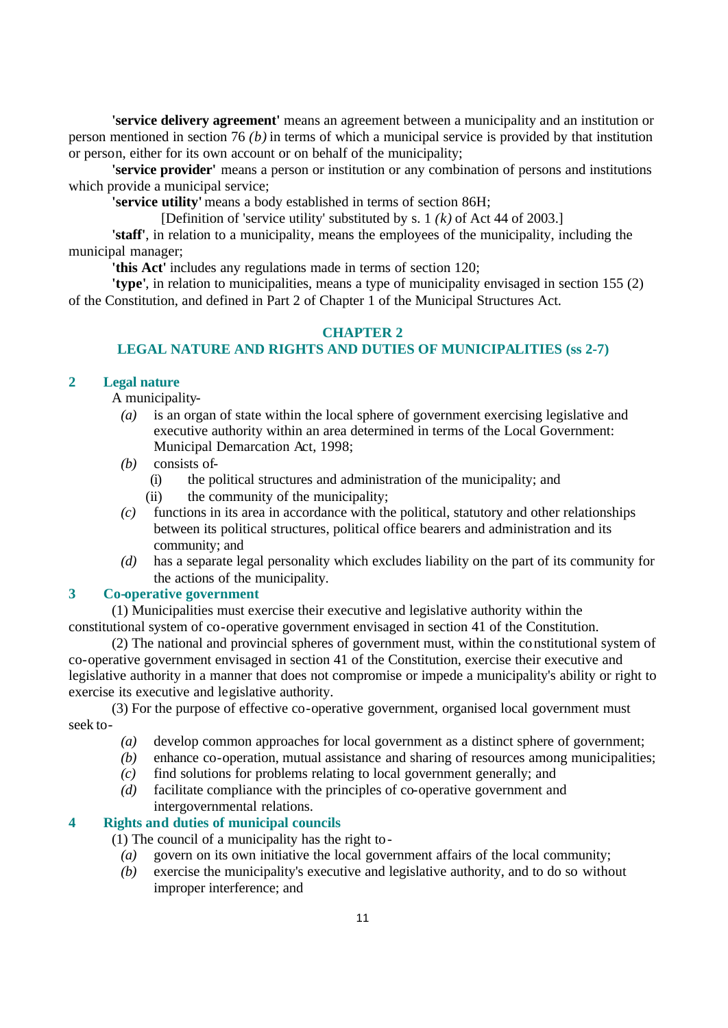**'service delivery agreement'** means an agreement between a municipality and an institution or person mentioned in section 76 *(b)* in terms of which a municipal service is provided by that institution or person, either for its own account or on behalf of the municipality;

**'service provider'** means a person or institution or any combination of persons and institutions which provide a municipal service;

**'service utility'** means a body established in terms of section 86H;

[Definition of 'service utility' substituted by s. 1 *(k)* of Act 44 of 2003.]

**'staff'**, in relation to a municipality, means the employees of the municipality, including the municipal manager;

**'this Act'** includes any regulations made in terms of section 120;

**'type'**, in relation to municipalities, means a type of municipality envisaged in section 155 (2) of the Constitution, and defined in Part 2 of Chapter 1 of the Municipal Structures Act.

### **CHAPTER 2 LEGAL NATURE AND RIGHTS AND DUTIES OF MUNICIPALITIES (ss 2-7)**

### **2 Legal nature**

A municipality-

- *(a)* is an organ of state within the local sphere of government exercising legislative and executive authority within an area determined in terms of the Local Government: Municipal Demarcation Act, 1998;
- *(b)* consists of-
	- (i) the political structures and administration of the municipality; and
	- (ii) the community of the municipality;
- *(c)* functions in its area in accordance with the political, statutory and other relationships between its political structures, political office bearers and administration and its community; and
- *(d)* has a separate legal personality which excludes liability on the part of its community for the actions of the municipality.

# **3 Co-operative government**

(1) Municipalities must exercise their executive and legislative authority within the constitutional system of co-operative government envisaged in section 41 of the Constitution.

(2) The national and provincial spheres of government must, within the constitutional system of co-operative government envisaged in section 41 of the Constitution, exercise their executive and legislative authority in a manner that does not compromise or impede a municipality's ability or right to exercise its executive and legislative authority.

(3) For the purpose of effective co-operative government, organised local government must seek to-

- *(a)* develop common approaches for local government as a distinct sphere of government;
- *(b)* enhance co-operation, mutual assistance and sharing of resources among municipalities;
- *(c)* find solutions for problems relating to local government generally; and
- *(d)* facilitate compliance with the principles of co-operative government and intergovernmental relations.

# **4 Rights and duties of municipal councils**

(1) The council of a municipality has the right to-

- *(a)* govern on its own initiative the local government affairs of the local community;
- *(b)* exercise the municipality's executive and legislative authority, and to do so without improper interference; and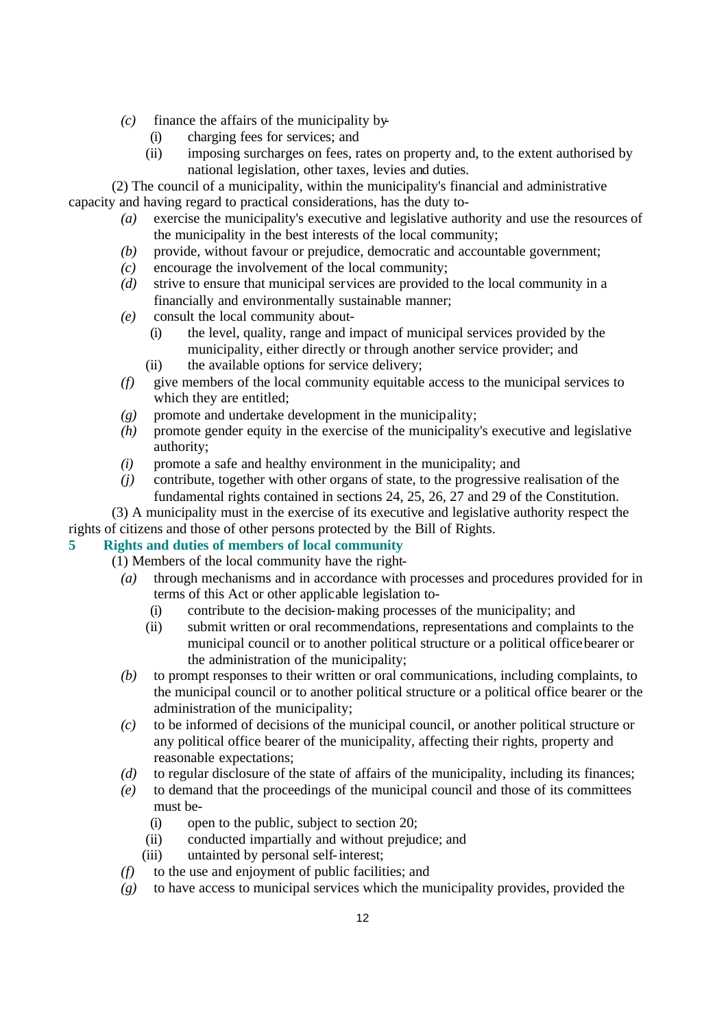- *(c)* finance the affairs of the municipality by-
	- (i) charging fees for services; and
	- (ii) imposing surcharges on fees, rates on property and, to the extent authorised by national legislation, other taxes, levies and duties.

(2) The council of a municipality, within the municipality's financial and administrative capacity and having regard to practical considerations, has the duty to-

- *(a)* exercise the municipality's executive and legislative authority and use the resources of the municipality in the best interests of the local community;
- *(b)* provide, without favour or prejudice, democratic and accountable government;
- *(c)* encourage the involvement of the local community;
- *(d)* strive to ensure that municipal services are provided to the local community in a financially and environmentally sustainable manner;
- *(e)* consult the local community about-
	- (i) the level, quality, range and impact of municipal services provided by the municipality, either directly or through another service provider; and
	- (ii) the available options for service delivery;
- *(f)* give members of the local community equitable access to the municipal services to which they are entitled;
- *(g)* promote and undertake development in the municipality;
- *(h)* promote gender equity in the exercise of the municipality's executive and legislative authority;
- *(i)* promote a safe and healthy environment in the municipality; and
- *(j)* contribute, together with other organs of state, to the progressive realisation of the fundamental rights contained in sections 24, 25, 26, 27 and 29 of the Constitution.

(3) A municipality must in the exercise of its executive and legislative authority respect the rights of citizens and those of other persons protected by the Bill of Rights.

# **5 Rights and duties of members of local community**

(1) Members of the local community have the right-

- *(a)* through mechanisms and in accordance with processes and procedures provided for in terms of this Act or other applicable legislation to-
	- (i) contribute to the decision-making processes of the municipality; and
	- (ii) submit written or oral recommendations, representations and complaints to the municipal council or to another political structure or a political office bearer or the administration of the municipality;
- *(b)* to prompt responses to their written or oral communications, including complaints, to the municipal council or to another political structure or a political office bearer or the administration of the municipality;
- *(c)* to be informed of decisions of the municipal council, or another political structure or any political office bearer of the municipality, affecting their rights, property and reasonable expectations;
- *(d)* to regular disclosure of the state of affairs of the municipality, including its finances;
- *(e)* to demand that the proceedings of the municipal council and those of its committees must be-
	- (i) open to the public, subject to section 20;
	- (ii) conducted impartially and without prejudice; and
	- (iii) untainted by personal self-interest;
- *(f)* to the use and enjoyment of public facilities; and
- *(g)* to have access to municipal services which the municipality provides, provided the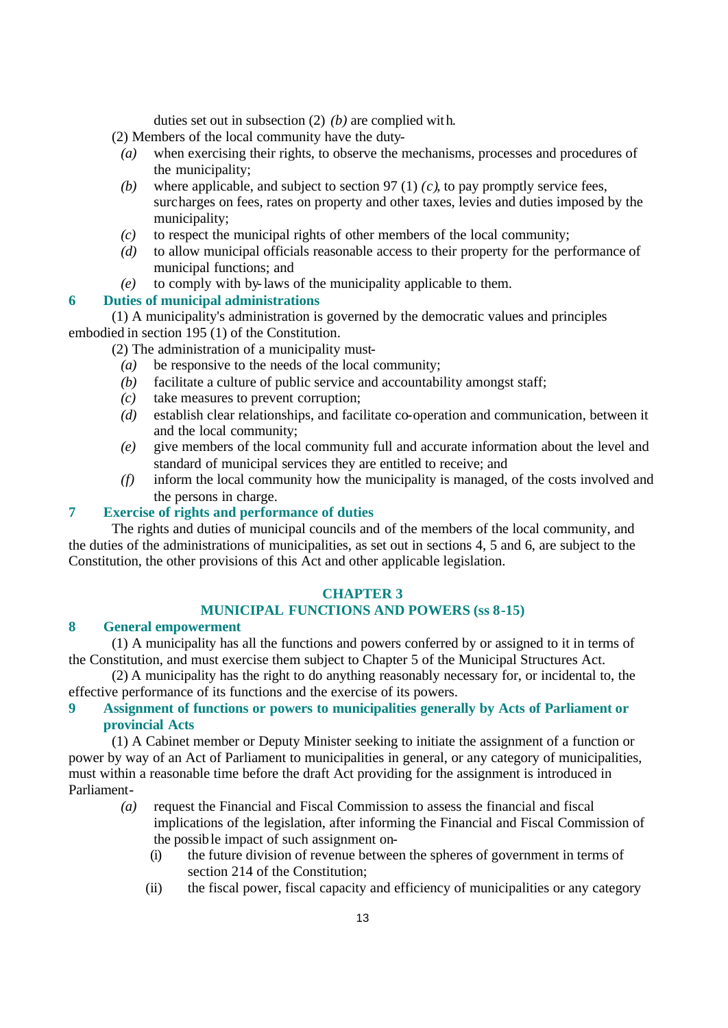duties set out in subsection (2) *(b)* are complied with.

(2) Members of the local community have the duty-

- *(a)* when exercising their rights, to observe the mechanisms, processes and procedures of the municipality;
- *(b)* where applicable, and subject to section 97 (1) *(c)*, to pay promptly service fees, surcharges on fees, rates on property and other taxes, levies and duties imposed by the municipality;
- *(c)* to respect the municipal rights of other members of the local community;
- *(d)* to allow municipal officials reasonable access to their property for the performance of municipal functions; and
- *(e)* to comply with by-laws of the municipality applicable to them.

# **6 Duties of municipal administrations**

(1) A municipality's administration is governed by the democratic values and principles embodied in section 195 (1) of the Constitution.

(2) The administration of a municipality must-

- *(a)* be responsive to the needs of the local community;
- *(b)* facilitate a culture of public service and accountability amongst staff;
- *(c)* take measures to prevent corruption;
- *(d)* establish clear relationships, and facilitate co-operation and communication, between it and the local community;
- *(e)* give members of the local community full and accurate information about the level and standard of municipal services they are entitled to receive; and
- *(f)* inform the local community how the municipality is managed, of the costs involved and the persons in charge.

#### **7 Exercise of rights and performance of duties**

The rights and duties of municipal councils and of the members of the local community, and the duties of the administrations of municipalities, as set out in sections 4, 5 and 6, are subject to the Constitution, the other provisions of this Act and other applicable legislation.

#### **CHAPTER 3**

#### **MUNICIPAL FUNCTIONS AND POWERS (ss 8-15)**

#### **8 General empowerment**

(1) A municipality has all the functions and powers conferred by or assigned to it in terms of the Constitution, and must exercise them subject to Chapter 5 of the Municipal Structures Act.

(2) A municipality has the right to do anything reasonably necessary for, or incidental to, the effective performance of its functions and the exercise of its powers.

## **9 Assignment of functions or powers to municipalities generally by Acts of Parliament or provincial Acts**

(1) A Cabinet member or Deputy Minister seeking to initiate the assignment of a function or power by way of an Act of Parliament to municipalities in general, or any category of municipalities, must within a reasonable time before the draft Act providing for the assignment is introduced in Parliament-

- *(a)* request the Financial and Fiscal Commission to assess the financial and fiscal implications of the legislation, after informing the Financial and Fiscal Commission of the possible impact of such assignment on-
	- (i) the future division of revenue between the spheres of government in terms of section 214 of the Constitution;
	- (ii) the fiscal power, fiscal capacity and efficiency of municipalities or any category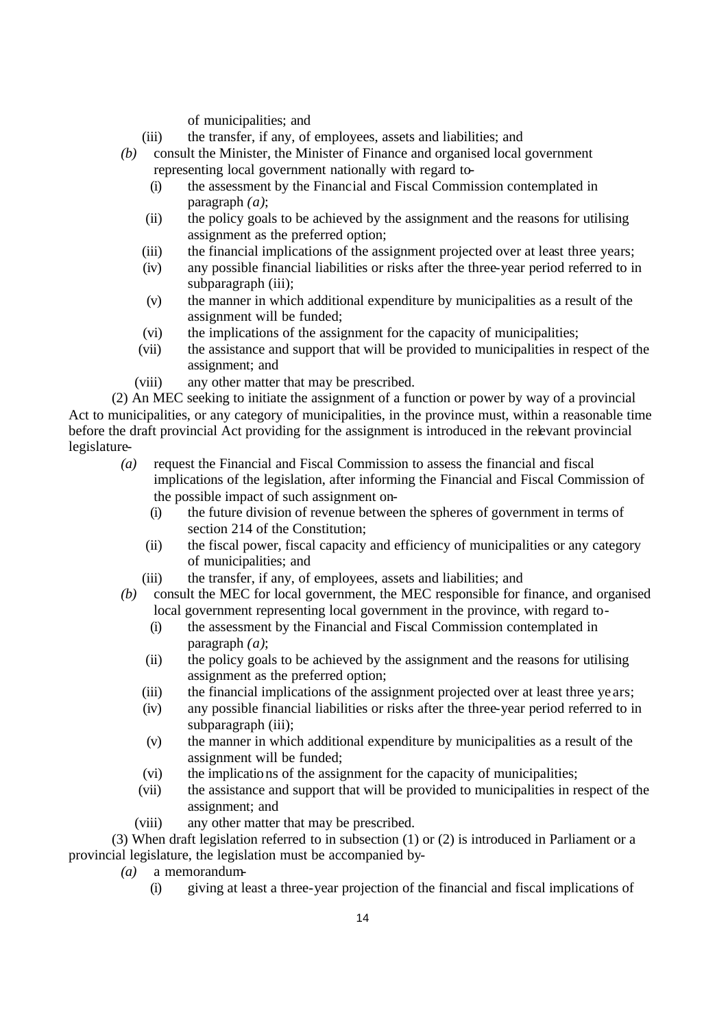of municipalities; and

- (iii) the transfer, if any, of employees, assets and liabilities; and
- *(b)* consult the Minister, the Minister of Finance and organised local government representing local government nationally with regard to-
	- (i) the assessment by the Financial and Fiscal Commission contemplated in paragraph *(a)*;
	- (ii) the policy goals to be achieved by the assignment and the reasons for utilising assignment as the preferred option;
	- (iii) the financial implications of the assignment projected over at least three years;
	- (iv) any possible financial liabilities or risks after the three-year period referred to in subparagraph (iii);
	- (v) the manner in which additional expenditure by municipalities as a result of the assignment will be funded;
	- (vi) the implications of the assignment for the capacity of municipalities;
	- (vii) the assistance and support that will be provided to municipalities in respect of the assignment; and
	- (viii) any other matter that may be prescribed.

(2) An MEC seeking to initiate the assignment of a function or power by way of a provincial Act to municipalities, or any category of municipalities, in the province must, within a reasonable time before the draft provincial Act providing for the assignment is introduced in the relevant provincial legislature-

- *(a)* request the Financial and Fiscal Commission to assess the financial and fiscal implications of the legislation, after informing the Financial and Fiscal Commission of the possible impact of such assignment on-
	- (i) the future division of revenue between the spheres of government in terms of section 214 of the Constitution;
	- (ii) the fiscal power, fiscal capacity and efficiency of municipalities or any category of municipalities; and
	- (iii) the transfer, if any, of employees, assets and liabilities; and
- *(b)* consult the MEC for local government, the MEC responsible for finance, and organised local government representing local government in the province, with regard to-
	- (i) the assessment by the Financial and Fiscal Commission contemplated in paragraph *(a)*;
	- (ii) the policy goals to be achieved by the assignment and the reasons for utilising assignment as the preferred option;
	- (iii) the financial implications of the assignment projected over at least three ye ars;
	- (iv) any possible financial liabilities or risks after the three-year period referred to in subparagraph (iii);
	- (v) the manner in which additional expenditure by municipalities as a result of the assignment will be funded;
	- (vi) the implications of the assignment for the capacity of municipalities;
	- (vii) the assistance and support that will be provided to municipalities in respect of the assignment; and
	- (viii) any other matter that may be prescribed.

(3) When draft legislation referred to in subsection (1) or (2) is introduced in Parliament or a provincial legislature, the legislation must be accompanied by-

- *(a)* a memorandum-
	- (i) giving at least a three-year projection of the financial and fiscal implications of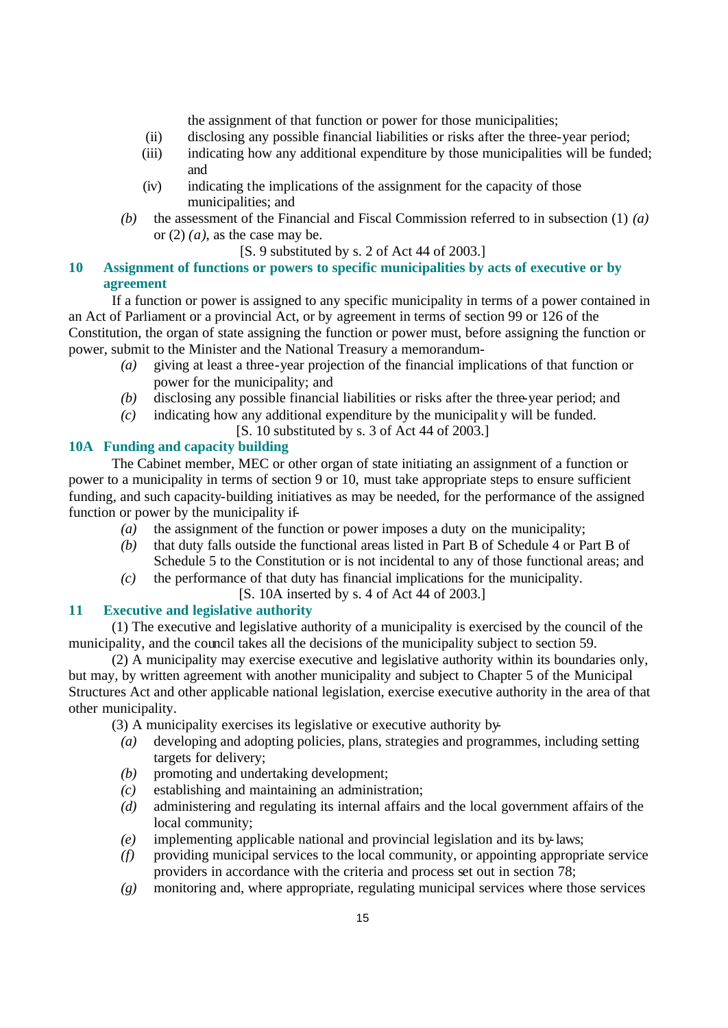the assignment of that function or power for those municipalities;

- (ii) disclosing any possible financial liabilities or risks after the three-year period;
- (iii) indicating how any additional expenditure by those municipalities will be funded; and
- (iv) indicating the implications of the assignment for the capacity of those municipalities; and
- *(b)* the assessment of the Financial and Fiscal Commission referred to in subsection (1) *(a)* or  $(2)$   $(a)$ , as the case may be.
	- [S. 9 substituted by s. 2 of Act 44 of 2003.]

## **10 Assignment of functions or powers to specific municipalities by acts of executive or by agreement**

If a function or power is assigned to any specific municipality in terms of a power contained in an Act of Parliament or a provincial Act, or by agreement in terms of section 99 or 126 of the Constitution, the organ of state assigning the function or power must, before assigning the function or power, submit to the Minister and the National Treasury a memorandum-

- *(a)* giving at least a three-year projection of the financial implications of that function or power for the municipality; and
- (b) disclosing any possible financial liabilities or risks after the three-year period; and
- *(c)* indicating how any additional expenditure by the municipality will be funded.
	- [S. 10 substituted by s. 3 of Act 44 of 2003.]

# **10A Funding and capacity building**

The Cabinet member, MEC or other organ of state initiating an assignment of a function or power to a municipality in terms of section 9 or 10, must take appropriate steps to ensure sufficient funding, and such capacity-building initiatives as may be needed, for the performance of the assigned function or power by the municipality if-

- *(a)* the assignment of the function or power imposes a duty on the municipality;
- *(b)* that duty falls outside the functional areas listed in Part B of Schedule 4 or Part B of Schedule 5 to the Constitution or is not incidental to any of those functional areas; and
- *(c)* the performance of that duty has financial implications for the municipality.
	- [S. 10A inserted by s. 4 of Act 44 of 2003.]

#### **11 Executive and legislative authority**

(1) The executive and legislative authority of a municipality is exercised by the council of the municipality, and the council takes all the decisions of the municipality subject to section 59.

(2) A municipality may exercise executive and legislative authority within its boundaries only, but may, by written agreement with another municipality and subject to Chapter 5 of the Municipal Structures Act and other applicable national legislation, exercise executive authority in the area of that other municipality.

(3) A municipality exercises its legislative or executive authority by-

- *(a)* developing and adopting policies, plans, strategies and programmes, including setting targets for delivery;
- *(b)* promoting and undertaking development;
- *(c)* establishing and maintaining an administration;
- *(d)* administering and regulating its internal affairs and the local government affairs of the local community;
- *(e)* implementing applicable national and provincial legislation and its by-laws;
- *(f)* providing municipal services to the local community, or appointing appropriate service providers in accordance with the criteria and process set out in section 78;
- *(g)* monitoring and, where appropriate, regulating municipal services where those services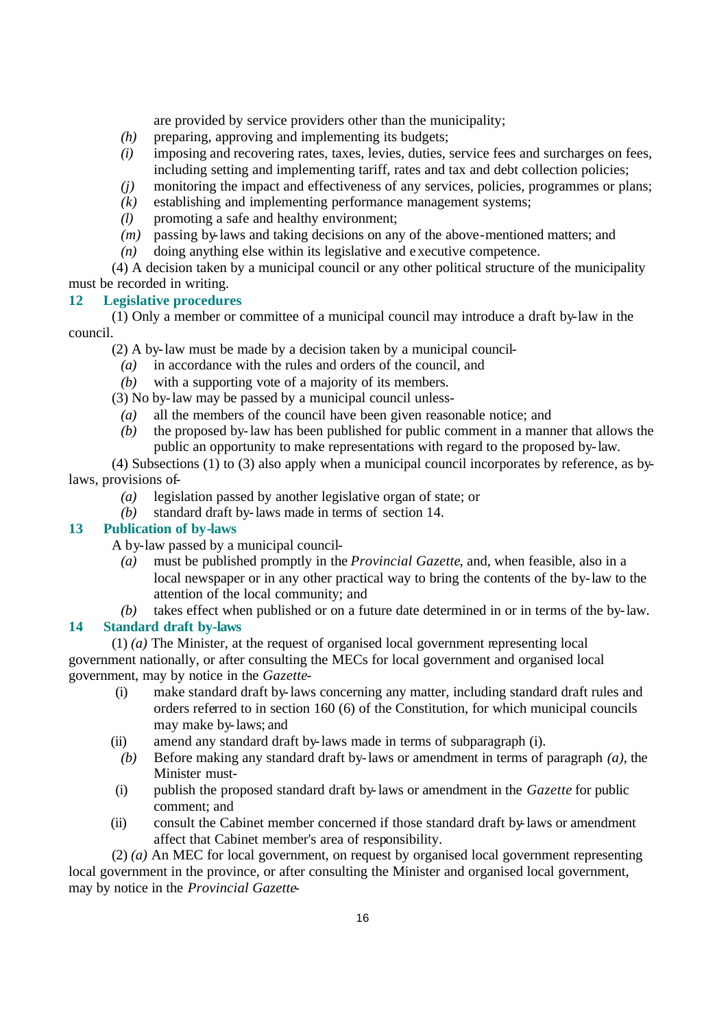are provided by service providers other than the municipality;

- *(h)* preparing, approving and implementing its budgets;
- *(i)* imposing and recovering rates, taxes, levies, duties, service fees and surcharges on fees, including setting and implementing tariff, rates and tax and debt collection policies;
- *(j)* monitoring the impact and effectiveness of any services, policies, programmes or plans;
- *(k)* establishing and implementing performance management systems;
- *(l)* promoting a safe and healthy environment;
- *(m)* passing by-laws and taking decisions on any of the above-mentioned matters; and
- *(n)* doing anything else within its legislative and executive competence.

(4) A decision taken by a municipal council or any other political structure of the municipality must be recorded in writing.

# **12 Legislative procedures**

(1) Only a member or committee of a municipal council may introduce a draft by-law in the council.

(2) A by-law must be made by a decision taken by a municipal council-

- *(a)* in accordance with the rules and orders of the council, and
- *(b)* with a supporting vote of a majority of its members.

(3) No by-law may be passed by a municipal council unless-

- *(a)* all the members of the council have been given reasonable notice; and
- *(b)* the proposed by-law has been published for public comment in a manner that allows the public an opportunity to make representations with regard to the proposed by-law.

(4) Subsections (1) to (3) also apply when a municipal council incorporates by reference, as bylaws, provisions of-

- *(a)* legislation passed by another legislative organ of state; or
- *(b)* standard draft by-laws made in terms of section 14.

# **13 Publication of by-laws**

A by-law passed by a municipal council-

- *(a)* must be published promptly in the *Provincial Gazette*, and, when feasible, also in a local newspaper or in any other practical way to bring the contents of the by-law to the attention of the local community; and
- *(b)* takes effect when published or on a future date determined in or in terms of the by-law.

# **14 Standard draft by-laws**

(1) *(a)* The Minister, at the request of organised local government representing local government nationally, or after consulting the MECs for local government and organised local government, may by notice in the *Gazette*-

- (i) make standard draft by-laws concerning any matter, including standard draft rules and orders referred to in section 160 (6) of the Constitution, for which municipal councils may make by-laws; and
- (ii) amend any standard draft by-laws made in terms of subparagraph (i).
- *(b)* Before making any standard draft by-laws or amendment in terms of paragraph *(a)*, the Minister must-
- (i) publish the proposed standard draft by-laws or amendment in the *Gazette* for public comment; and
- (ii) consult the Cabinet member concerned if those standard draft by-laws or amendment affect that Cabinet member's area of responsibility.

(2) *(a)* An MEC for local government, on request by organised local government representing local government in the province, or after consulting the Minister and organised local government, may by notice in the *Provincial Gazette*-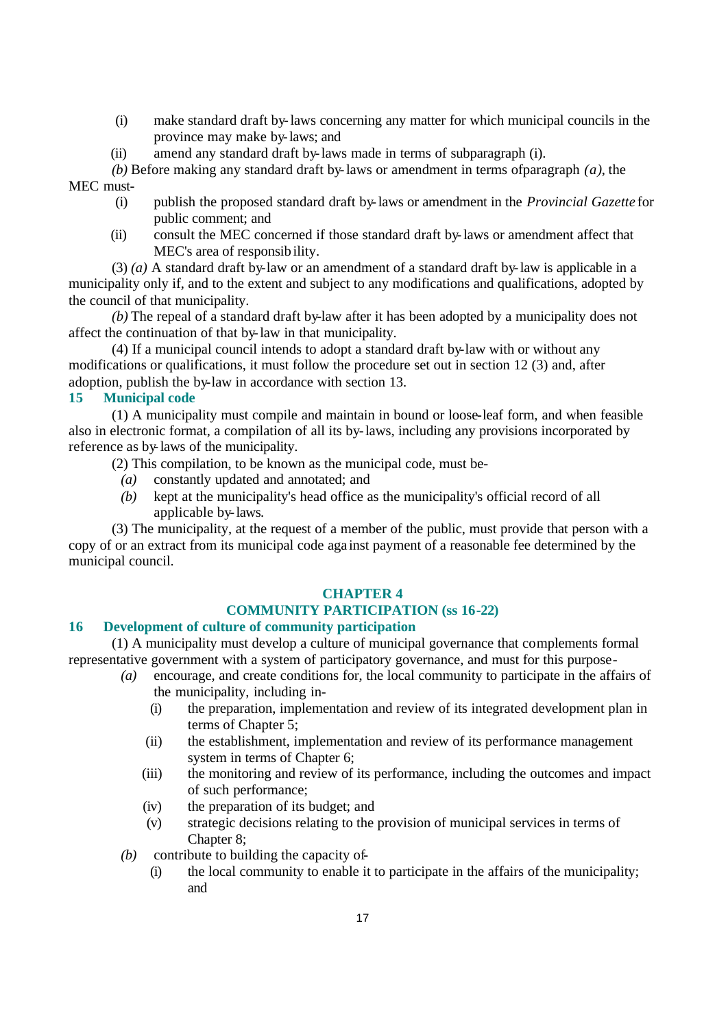- (i) make standard draft by-laws concerning any matter for which municipal councils in the province may make by-laws; and
- (ii) amend any standard draft by-laws made in terms of subparagraph (i).

*(b)* Before making any standard draft by-laws or amendment in terms of paragraph  $(a)$ , the MEC must-

- (i) publish the proposed standard draft by-laws or amendment in the *Provincial Gazette* for public comment; and
- (ii) consult the MEC concerned if those standard draft by-laws or amendment affect that MEC's area of responsibility.

(3) *(a)* A standard draft by-law or an amendment of a standard draft by-law is applicable in a municipality only if, and to the extent and subject to any modifications and qualifications, adopted by the council of that municipality.

*(b)* The repeal of a standard draft by-law after it has been adopted by a municipality does not affect the continuation of that by-law in that municipality.

(4) If a municipal council intends to adopt a standard draft by-law with or without any modifications or qualifications, it must follow the procedure set out in section 12 (3) and, after adoption, publish the by-law in accordance with section 13.

# **15 Municipal code**

(1) A municipality must compile and maintain in bound or loose-leaf form, and when feasible also in electronic format, a compilation of all its by-laws, including any provisions incorporated by reference as by-laws of the municipality.

- (2) This compilation, to be known as the municipal code, must be-
	- *(a)* constantly updated and annotated; and
	- *(b)* kept at the municipality's head office as the municipality's official record of all applicable by-laws.

(3) The municipality, at the request of a member of the public, must provide that person with a copy of or an extract from its municipal code aga inst payment of a reasonable fee determined by the municipal council.

#### **CHAPTER 4**

# **COMMUNITY PARTICIPATION (ss 16-22)**

# **16 Development of culture of community participation**

(1) A municipality must develop a culture of municipal governance that complements formal representative government with a system of participatory governance, and must for this purpose-

- *(a)* encourage, and create conditions for, the local community to participate in the affairs of the municipality, including in-
	- (i) the preparation, implementation and review of its integrated development plan in terms of Chapter 5;
	- (ii) the establishment, implementation and review of its performance management system in terms of Chapter 6:
	- (iii) the monitoring and review of its performance, including the outcomes and impact of such performance;
	- (iv) the preparation of its budget; and
	- (v) strategic decisions relating to the provision of municipal services in terms of Chapter 8:
- *(b)* contribute to building the capacity of-
	- (i) the local community to enable it to participate in the affairs of the municipality; and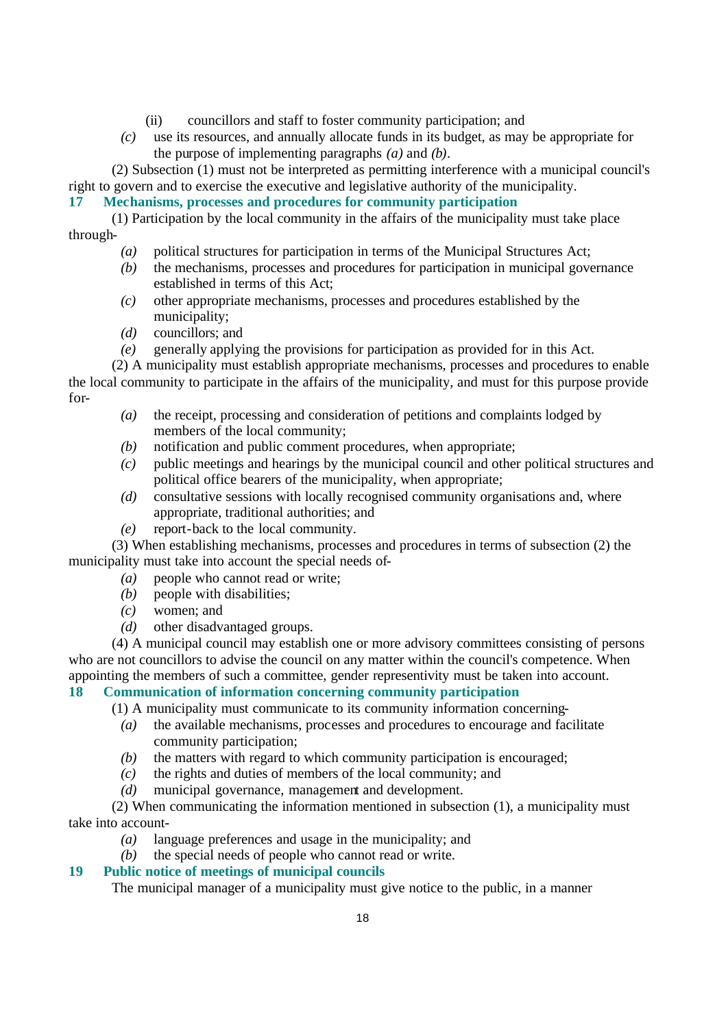- (ii) councillors and staff to foster community participation; and
- *(c)* use its resources, and annually allocate funds in its budget, as may be appropriate for the purpose of implementing paragraphs *(a)* and *(b)*.

(2) Subsection (1) must not be interpreted as permitting interference with a municipal council's right to govern and to exercise the executive and legislative authority of the municipality.

**17 Mechanisms, processes and procedures for community participation**

(1) Participation by the local community in the affairs of the municipality must take place through-

- *(a)* political structures for participation in terms of the Municipal Structures Act;
- *(b)* the mechanisms, processes and procedures for participation in municipal governance established in terms of this Act;
- *(c)* other appropriate mechanisms, processes and procedures established by the municipality;
- *(d)* councillors; and
- *(e)* generally applying the provisions for participation as provided for in this Act.

(2) A municipality must establish appropriate mechanisms, processes and procedures to enable the local community to participate in the affairs of the municipality, and must for this purpose provide for-

- *(a)* the receipt, processing and consideration of petitions and complaints lodged by members of the local community;
- *(b)* notification and public comment procedures, when appropriate;
- *(c)* public meetings and hearings by the municipal council and other political structures and political office bearers of the municipality, when appropriate;
- *(d)* consultative sessions with locally recognised community organisations and, where appropriate, traditional authorities; and
- *(e)* report-back to the local community.

(3) When establishing mechanisms, processes and procedures in terms of subsection (2) the municipality must take into account the special needs of-

- *(a)* people who cannot read or write;
- *(b)* people with disabilities;
- *(c)* women; and
- *(d)* other disadvantaged groups.

(4) A municipal council may establish one or more advisory committees consisting of persons who are not councillors to advise the council on any matter within the council's competence. When appointing the members of such a committee, gender representivity must be taken into account.

# **18 Communication of information concerning community participation**

(1) A municipality must communicate to its community information concerning-

- *(a)* the available mechanisms, processes and procedures to encourage and facilitate community participation;
- *(b)* the matters with regard to which community participation is encouraged;
- *(c)* the rights and duties of members of the local community; and
- *(d)* municipal governance, management and development.

(2) When communicating the information mentioned in subsection (1), a municipality must take into account-

- *(a)* language preferences and usage in the municipality; and
- *(b)* the special needs of people who cannot read or write.

# **19 Public notice of meetings of municipal councils**

The municipal manager of a municipality must give notice to the public, in a manner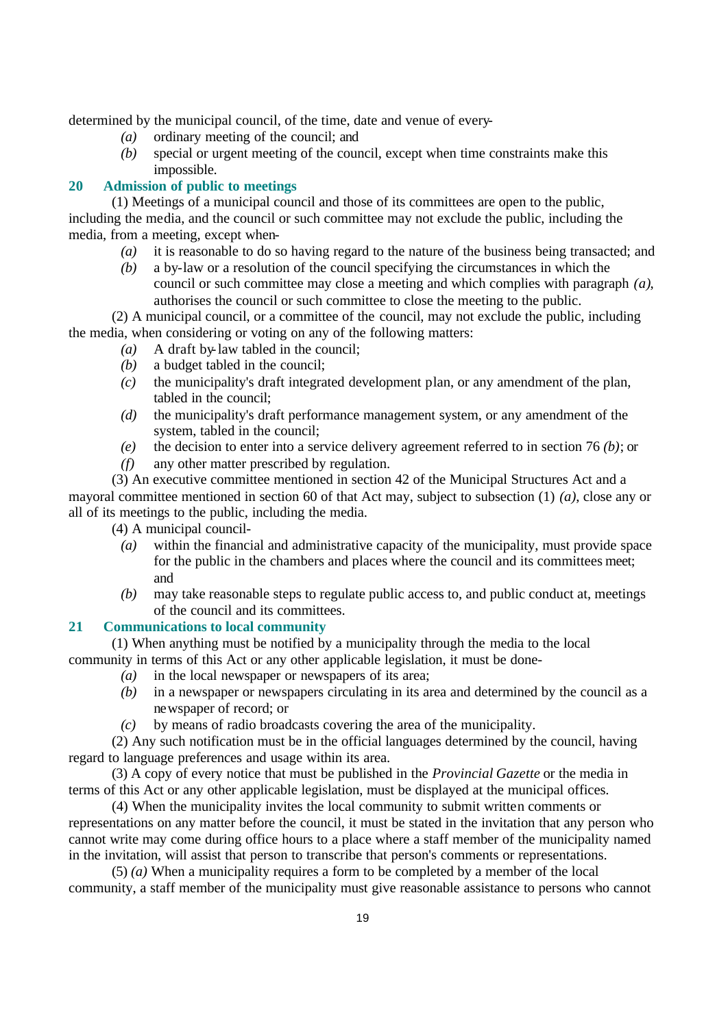determined by the municipal council, of the time, date and venue of every-

- *(a)* ordinary meeting of the council; and
- *(b)* special or urgent meeting of the council, except when time constraints make this impossible.

# **20 Admission of public to meetings**

(1) Meetings of a municipal council and those of its committees are open to the public, including the media, and the council or such committee may not exclude the public, including the media, from a meeting, except when-

- *(a)* it is reasonable to do so having regard to the nature of the business being transacted; and
- *(b)* a by-law or a resolution of the council specifying the circumstances in which the council or such committee may close a meeting and which complies with paragraph *(a)*, authorises the council or such committee to close the meeting to the public.

(2) A municipal council, or a committee of the council, may not exclude the public, including the media, when considering or voting on any of the following matters:

- *(a)* A draft by-law tabled in the council;
- *(b)* a budget tabled in the council;
- *(c)* the municipality's draft integrated development plan, or any amendment of the plan, tabled in the council;
- *(d)* the municipality's draft performance management system, or any amendment of the system, tabled in the council;
- *(e)* the decision to enter into a service delivery agreement referred to in section 76 *(b)*; or
- *(f)* any other matter prescribed by regulation.

(3) An executive committee mentioned in section 42 of the Municipal Structures Act and a mayoral committee mentioned in section 60 of that Act may, subject to subsection (1) *(a)*, close any or all of its meetings to the public, including the media.

(4) A municipal council-

- *(a)* within the financial and administrative capacity of the municipality, must provide space for the public in the chambers and places where the council and its committees meet; and
- *(b)* may take reasonable steps to regulate public access to, and public conduct at, meetings of the council and its committees.

#### **21 Communications to local community**

(1) When anything must be notified by a municipality through the media to the local community in terms of this Act or any other applicable legislation, it must be done-

- *(a)* in the local newspaper or newspapers of its area;
- *(b)* in a newspaper or newspapers circulating in its area and determined by the council as a newspaper of record; or
- *(c)* by means of radio broadcasts covering the area of the municipality.

(2) Any such notification must be in the official languages determined by the council, having regard to language preferences and usage within its area.

(3) A copy of every notice that must be published in the *Provincial Gazette* or the media in terms of this Act or any other applicable legislation, must be displayed at the municipal offices.

(4) When the municipality invites the local community to submit written comments or representations on any matter before the council, it must be stated in the invitation that any person who cannot write may come during office hours to a place where a staff member of the municipality named in the invitation, will assist that person to transcribe that person's comments or representations.

(5) *(a)* When a municipality requires a form to be completed by a member of the local community, a staff member of the municipality must give reasonable assistance to persons who cannot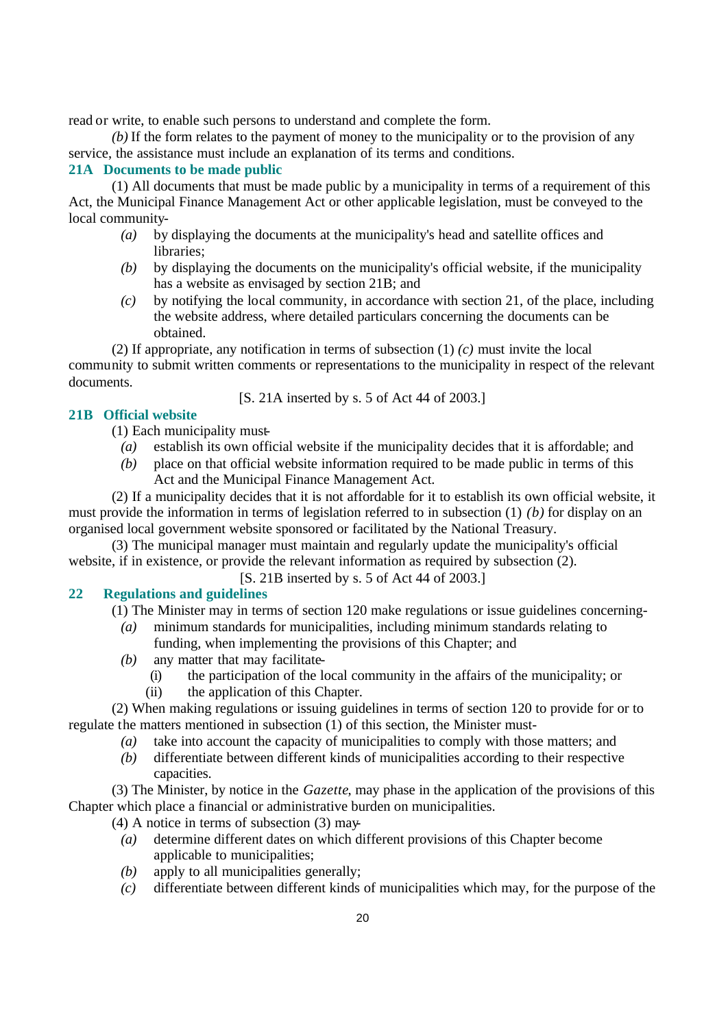read or write, to enable such persons to understand and complete the form.

*(b)* If the form relates to the payment of money to the municipality or to the provision of any service, the assistance must include an explanation of its terms and conditions.

### **21A Documents to be made public**

(1) All documents that must be made public by a municipality in terms of a requirement of this Act, the Municipal Finance Management Act or other applicable legislation, must be conveyed to the local community-

- *(a)* by displaying the documents at the municipality's head and satellite offices and libraries;
- *(b)* by displaying the documents on the municipality's official website, if the municipality has a website as envisaged by section 21B; and
- *(c)* by notifying the local community, in accordance with section 21, of the place, including the website address, where detailed particulars concerning the documents can be obtained.

(2) If appropriate, any notification in terms of subsection (1) *(c)* must invite the local community to submit written comments or representations to the municipality in respect of the relevant documents.

[S. 21A inserted by s. 5 of Act 44 of 2003.]

### **21B Official website**

(1) Each municipality must-

- *(a)* establish its own official website if the municipality decides that it is affordable; and
- *(b)* place on that official website information required to be made public in terms of this Act and the Municipal Finance Management Act.

(2) If a municipality decides that it is not affordable for it to establish its own official website, it must provide the information in terms of legislation referred to in subsection (1) *(b)* for display on an organised local government website sponsored or facilitated by the National Treasury.

(3) The municipal manager must maintain and regularly update the municipality's official website, if in existence, or provide the relevant information as required by subsection (2).

[S. 21B inserted by s. 5 of Act 44 of 2003.]

#### **22 Regulations and guidelines**

(1) The Minister may in terms of section 120 make regulations or issue guidelines concerning-

- *(a)* minimum standards for municipalities, including minimum standards relating to funding, when implementing the provisions of this Chapter; and
- *(b)* any matter that may facilitate-
	- (i) the participation of the local community in the affairs of the municipality; or
	- (ii) the application of this Chapter.

(2) When making regulations or issuing guidelines in terms of section 120 to provide for or to regulate the matters mentioned in subsection (1) of this section, the Minister must-

- *(a)* take into account the capacity of municipalities to comply with those matters; and
- *(b)* differentiate between different kinds of municipalities according to their respective capacities.

(3) The Minister, by notice in the *Gazette*, may phase in the application of the provisions of this Chapter which place a financial or administrative burden on municipalities.

(4) A notice in terms of subsection (3) may-

- *(a)* determine different dates on which different provisions of this Chapter become applicable to municipalities;
- *(b)* apply to all municipalities generally;
- *(c)* differentiate between different kinds of municipalities which may, for the purpose of the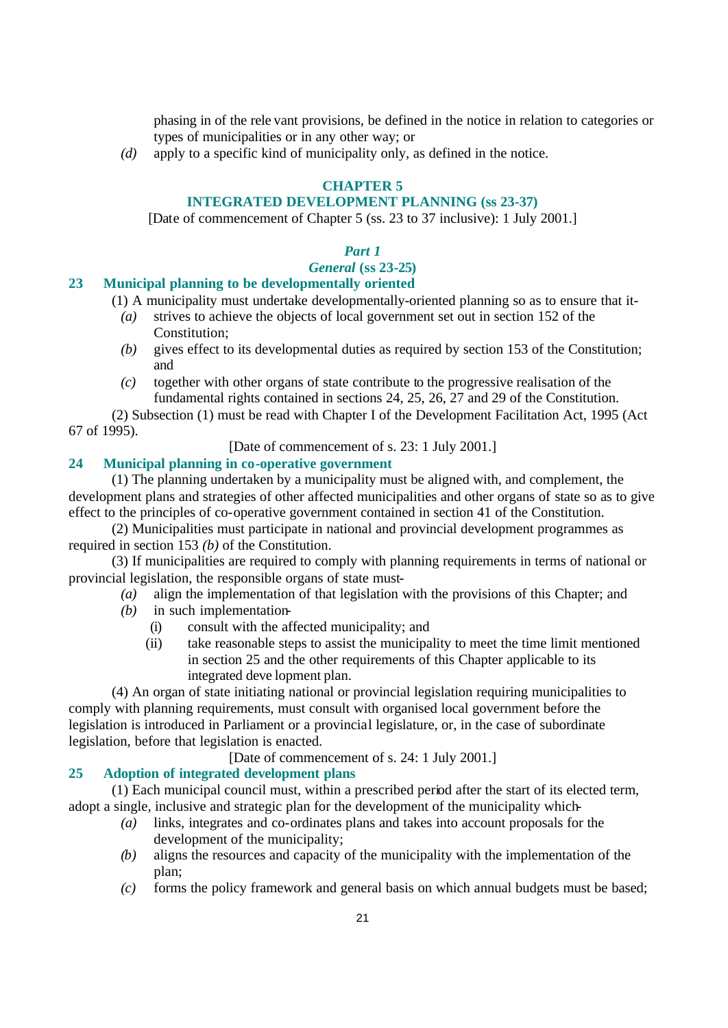phasing in of the rele vant provisions, be defined in the notice in relation to categories or types of municipalities or in any other way; or

*(d)* apply to a specific kind of municipality only, as defined in the notice.

# **CHAPTER 5**

# **INTEGRATED DEVELOPMENT PLANNING (ss 23-37)**

[Date of commencement of Chapter 5 (ss. 23 to 37 inclusive): 1 July 2001.]

# *Part 1*

# *General* **(ss 23-25)**

#### **23 Municipal planning to be developmentally oriented**

(1) A municipality must undertake developmentally-oriented planning so as to ensure that it-

- *(a)* strives to achieve the objects of local government set out in section 152 of the Constitution:
- *(b)* gives effect to its developmental duties as required by section 153 of the Constitution; and
- *(c)* together with other organs of state contribute to the progressive realisation of the fundamental rights contained in sections 24, 25, 26, 27 and 29 of the Constitution.

(2) Subsection (1) must be read with Chapter I of the Development Facilitation Act, 1995 (Act 67 of 1995).

[Date of commencement of s. 23: 1 July 2001.]

# **24 Municipal planning in co-operative government**

(1) The planning undertaken by a municipality must be aligned with, and complement, the development plans and strategies of other affected municipalities and other organs of state so as to give effect to the principles of co-operative government contained in section 41 of the Constitution.

(2) Municipalities must participate in national and provincial development programmes as required in section 153 *(b)* of the Constitution.

(3) If municipalities are required to comply with planning requirements in terms of national or provincial legislation, the responsible organs of state must-

- *(a)* align the implementation of that legislation with the provisions of this Chapter; and
	- *(b)* in such implementation-
		- (i) consult with the affected municipality; and
		- (ii) take reasonable steps to assist the municipality to meet the time limit mentioned in section 25 and the other requirements of this Chapter applicable to its integrated deve lopment plan.

(4) An organ of state initiating national or provincial legislation requiring municipalities to comply with planning requirements, must consult with organised local government before the legislation is introduced in Parliament or a provincial legislature, or, in the case of subordinate legislation, before that legislation is enacted.

[Date of commencement of s. 24: 1 July 2001.]

### **25 Adoption of integrated development plans**

(1) Each municipal council must, within a prescribed period after the start of its elected term, adopt a single, inclusive and strategic plan for the development of the municipality which-

- *(a)* links, integrates and co-ordinates plans and takes into account proposals for the development of the municipality;
- *(b)* aligns the resources and capacity of the municipality with the implementation of the plan;
- *(c)* forms the policy framework and general basis on which annual budgets must be based;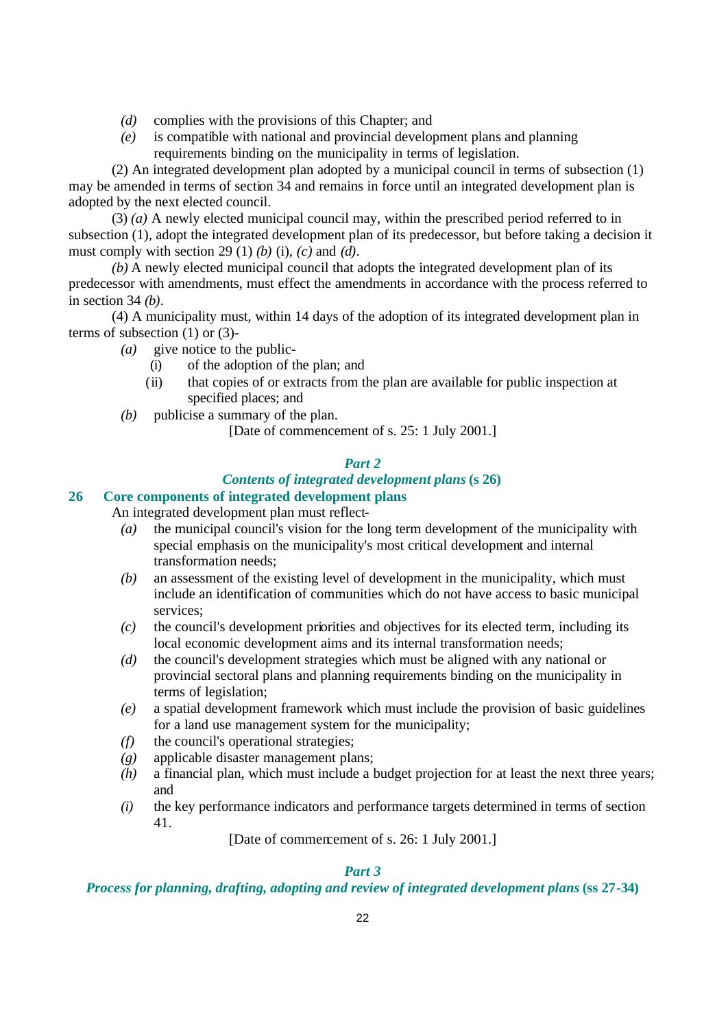- *(d)* complies with the provisions of this Chapter; and
- *(e)* is compatible with national and provincial development plans and planning requirements binding on the municipality in terms of legislation.

(2) An integrated development plan adopted by a municipal council in terms of subsection (1) may be amended in terms of section 34 and remains in force until an integrated development plan is adopted by the next elected council.

(3) *(a)* A newly elected municipal council may, within the prescribed period referred to in subsection (1), adopt the integrated development plan of its predecessor, but before taking a decision it must comply with section 29 (1) *(b)* (i), *(c)* and *(d)*.

*(b)* A newly elected municipal council that adopts the integrated development plan of its predecessor with amendments, must effect the amendments in accordance with the process referred to in section 34 *(b)*.

(4) A municipality must, within 14 days of the adoption of its integrated development plan in terms of subsection (1) or (3)-

- *(a)* give notice to the public-
	- (i) of the adoption of the plan; and
	- (ii) that copies of or extracts from the plan are available for public inspection at specified places; and
- *(b)* publicise a summary of the plan.

[Date of commencement of s. 25: 1 July 2001.]

### *Part 2*

# *Contents of integrated development plans* **(s 26)**

### **26 Core components of integrated development plans**

An integrated development plan must reflect-

- *(a)* the municipal council's vision for the long term development of the municipality with special emphasis on the municipality's most critical development and internal transformation needs;
- *(b)* an assessment of the existing level of development in the municipality, which must include an identification of communities which do not have access to basic municipal services;
- *(c)* the council's development priorities and objectives for its elected term, including its local economic development aims and its internal transformation needs;
- *(d)* the council's development strategies which must be aligned with any national or provincial sectoral plans and planning requirements binding on the municipality in terms of legislation;
- *(e)* a spatial development framework which must include the provision of basic guidelines for a land use management system for the municipality;
- *(f)* the council's operational strategies;
- *(g)* applicable disaster management plans;
- *(h)* a financial plan, which must include a budget projection for at least the next three years; and
- *(i)* the key performance indicators and performance targets determined in terms of section 41.

[Date of commencement of s. 26: 1 July 2001.]

# *Part 3*

# *Process for planning, drafting, adopting and review of integrated development plans* **(ss 27-34)**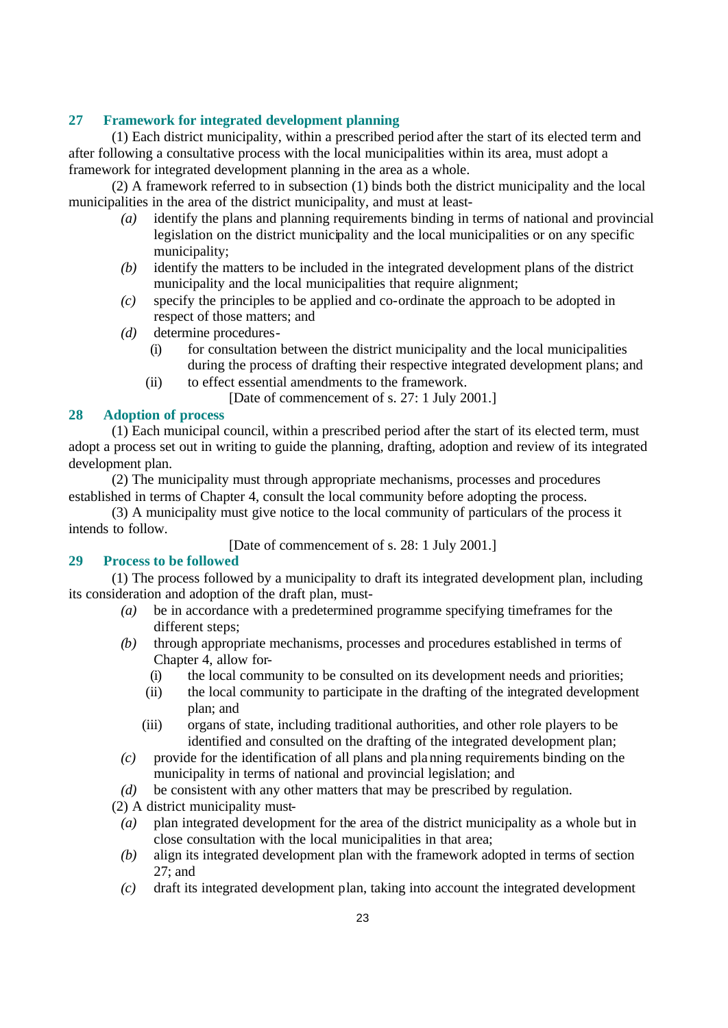# **27 Framework for integrated development planning**

(1) Each district municipality, within a prescribed period after the start of its elected term and after following a consultative process with the local municipalities within its area, must adopt a framework for integrated development planning in the area as a whole.

(2) A framework referred to in subsection (1) binds both the district municipality and the local municipalities in the area of the district municipality, and must at least-

- *(a)* identify the plans and planning requirements binding in terms of national and provincial legislation on the district municipality and the local municipalities or on any specific municipality;
- *(b)* identify the matters to be included in the integrated development plans of the district municipality and the local municipalities that require alignment;
- *(c)* specify the principles to be applied and co-ordinate the approach to be adopted in respect of those matters; and
- *(d)* determine procedures-
	- (i) for consultation between the district municipality and the local municipalities during the process of drafting their respective integrated development plans; and
	- (ii) to effect essential amendments to the framework.
		- [Date of commencement of s. 27: 1 July 2001.]

#### **28 Adoption of process**

(1) Each municipal council, within a prescribed period after the start of its elected term, must adopt a process set out in writing to guide the planning, drafting, adoption and review of its integrated development plan.

(2) The municipality must through appropriate mechanisms, processes and procedures established in terms of Chapter 4, consult the local community before adopting the process.

(3) A municipality must give notice to the local community of particulars of the process it intends to follow.

[Date of commencement of s. 28: 1 July 2001.]

### **29 Process to be followed**

(1) The process followed by a municipality to draft its integrated development plan, including its consideration and adoption of the draft plan, must-

- *(a)* be in accordance with a predetermined programme specifying timeframes for the different steps;
- *(b)* through appropriate mechanisms, processes and procedures established in terms of Chapter 4, allow for-
	- (i) the local community to be consulted on its development needs and priorities;
	- (ii) the local community to participate in the drafting of the integrated development plan; and
	- (iii) organs of state, including traditional authorities, and other role players to be identified and consulted on the drafting of the integrated development plan;
- *(c)* provide for the identification of all plans and planning requirements binding on the municipality in terms of national and provincial legislation; and
- *(d)* be consistent with any other matters that may be prescribed by regulation.
- (2) A district municipality must-
	- *(a)* plan integrated development for the area of the district municipality as a whole but in close consultation with the local municipalities in that area;
	- *(b)* align its integrated development plan with the framework adopted in terms of section 27; and
	- *(c)* draft its integrated development plan, taking into account the integrated development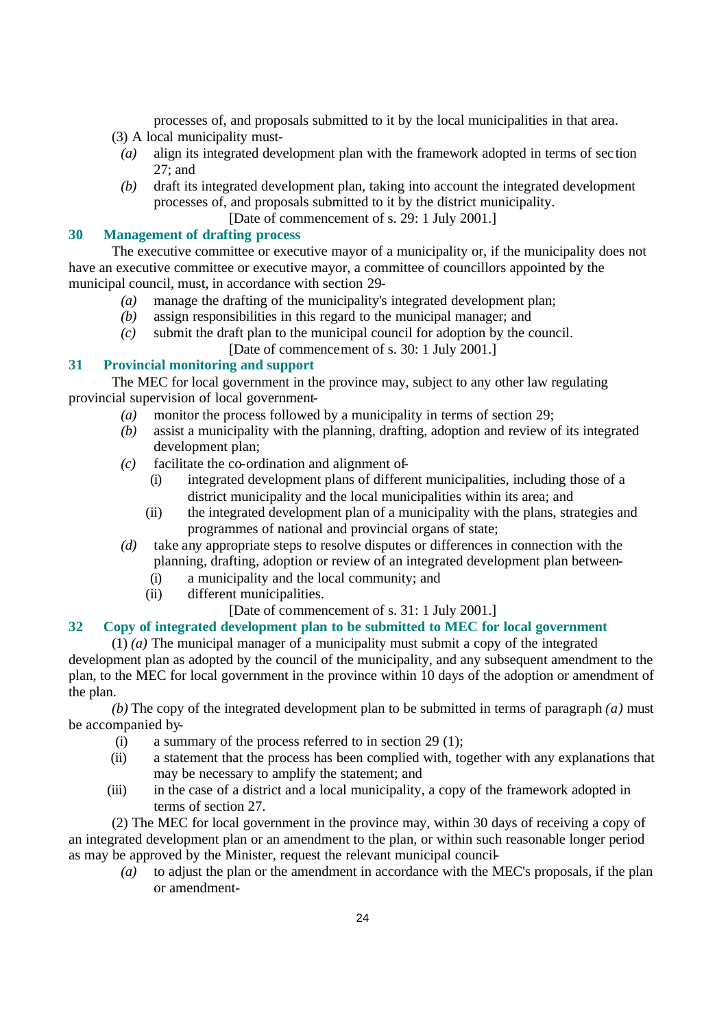processes of, and proposals submitted to it by the local municipalities in that area.

- (3) A local municipality must-
	- *(a)* align its integrated development plan with the framework adopted in terms of sec tion 27; and
	- *(b)* draft its integrated development plan, taking into account the integrated development processes of, and proposals submitted to it by the district municipality.

[Date of commencement of s. 29: 1 July 2001.]

## **30 Management of drafting process**

The executive committee or executive mayor of a municipality or, if the municipality does not have an executive committee or executive mayor, a committee of councillors appointed by the municipal council, must, in accordance with section 29-

- *(a)* manage the drafting of the municipality's integrated development plan;
- *(b)* assign responsibilities in this regard to the municipal manager; and
- *(c)* submit the draft plan to the municipal council for adoption by the council. [Date of commencement of s. 30: 1 July 2001.]

# **31 Provincial monitoring and support**

The MEC for local government in the province may, subject to any other law regulating provincial supervision of local government-

- *(a)* monitor the process followed by a municipality in terms of section 29;
- *(b)* assist a municipality with the planning, drafting, adoption and review of its integrated development plan;
- *(c)* facilitate the co-ordination and alignment of-
	- (i) integrated development plans of different municipalities, including those of a district municipality and the local municipalities within its area; and
	- (ii) the integrated development plan of a municipality with the plans, strategies and programmes of national and provincial organs of state;
- *(d)* take any appropriate steps to resolve disputes or differences in connection with the planning, drafting, adoption or review of an integrated development plan between-
	- (i) a municipality and the local community; and
	- (ii) different municipalities.
		- [Date of commencement of s. 31: 1 July 2001.]

# **32 Copy of integrated development plan to be submitted to MEC for local government**

(1) *(a)* The municipal manager of a municipality must submit a copy of the integrated development plan as adopted by the council of the municipality, and any subsequent amendment to the plan, to the MEC for local government in the province within 10 days of the adoption or amendment of the plan.

*(b)* The copy of the integrated development plan to be submitted in terms of paragraph *(a)* must be accompanied by-

- (i) a summary of the process referred to in section 29 (1);
- (ii) a statement that the process has been complied with, together with any explanations that may be necessary to amplify the statement; and
- (iii) in the case of a district and a local municipality, a copy of the framework adopted in terms of section 27.

(2) The MEC for local government in the province may, within 30 days of receiving a copy of an integrated development plan or an amendment to the plan, or within such reasonable longer period as may be approved by the Minister, request the relevant municipal council-

*(a)* to adjust the plan or the amendment in accordance with the MEC's proposals, if the plan or amendment-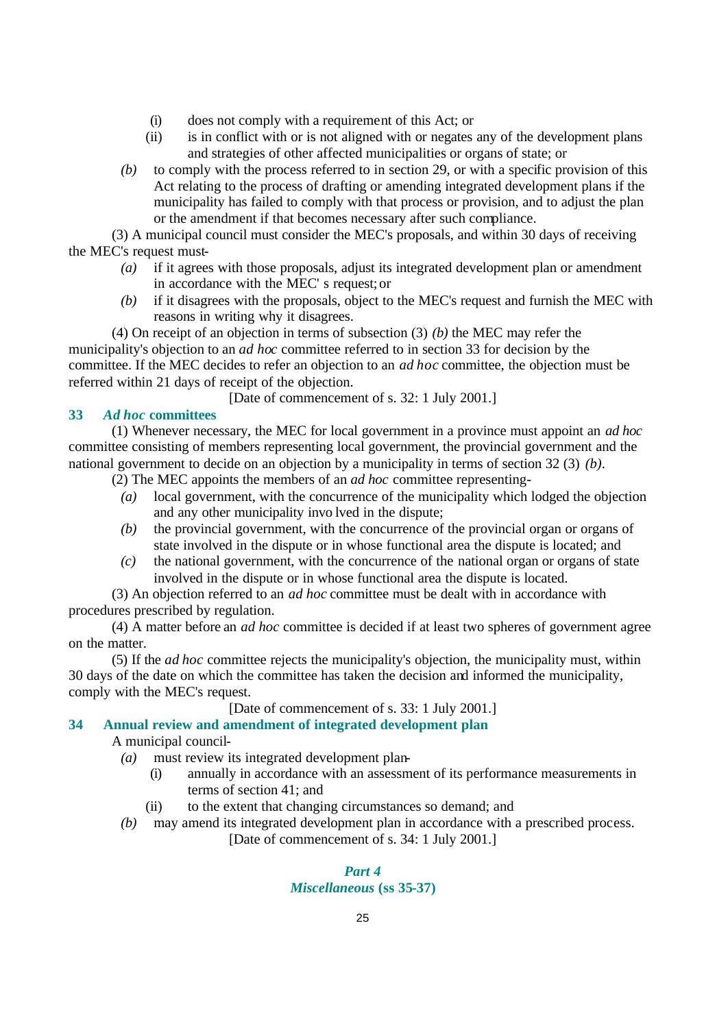- (i) does not comply with a requirement of this Act; or
- (ii) is in conflict with or is not aligned with or negates any of the development plans and strategies of other affected municipalities or organs of state; or
- *(b)* to comply with the process referred to in section 29, or with a specific provision of this Act relating to the process of drafting or amending integrated development plans if the municipality has failed to comply with that process or provision, and to adjust the plan or the amendment if that becomes necessary after such compliance.

(3) A municipal council must consider the MEC's proposals, and within 30 days of receiving the MEC's request must-

- *(a)* if it agrees with those proposals, adjust its integrated development plan or amendment in accordance with the MEC' s request; or
- *(b)* if it disagrees with the proposals, object to the MEC's request and furnish the MEC with reasons in writing why it disagrees.

(4) On receipt of an objection in terms of subsection (3) *(b)* the MEC may refer the municipality's objection to an *ad hoc* committee referred to in section 33 for decision by the committee. If the MEC decides to refer an objection to an *ad hoc* committee, the objection must be referred within 21 days of receipt of the objection.

[Date of commencement of s. 32: 1 July 2001.]

# **33** *Ad hoc* **committees**

(1) Whenever necessary, the MEC for local government in a province must appoint an *ad hoc* committee consisting of members representing local government, the provincial government and the national government to decide on an objection by a municipality in terms of section 32 (3) *(b)*.

(2) The MEC appoints the members of an *ad hoc* committee representing-

- *(a)* local government, with the concurrence of the municipality which lodged the objection and any other municipality invo lved in the dispute;
- *(b)* the provincial government, with the concurrence of the provincial organ or organs of state involved in the dispute or in whose functional area the dispute is located; and
- *(c)* the national government, with the concurrence of the national organ or organs of state involved in the dispute or in whose functional area the dispute is located.

(3) An objection referred to an *ad hoc* committee must be dealt with in accordance with procedures prescribed by regulation.

(4) A matter before an *ad hoc* committee is decided if at least two spheres of government agree on the matter.

(5) If the *ad hoc* committee rejects the municipality's objection, the municipality must, within 30 days of the date on which the committee has taken the decision and informed the municipality, comply with the MEC's request.

[Date of commencement of s. 33: 1 July 2001.]

#### **34 Annual review and amendment of integrated development plan**

A municipal council-

- *(a)* must review its integrated development plan-
	- (i) annually in accordance with an assessment of its performance measurements in terms of section 41; and
	- (ii) to the extent that changing circumstances so demand; and
- *(b)* may amend its integrated development plan in accordance with a prescribed process. [Date of commencement of s. 34: 1 July 2001.]

# *Part 4 Miscellaneous* **(ss 35-37)**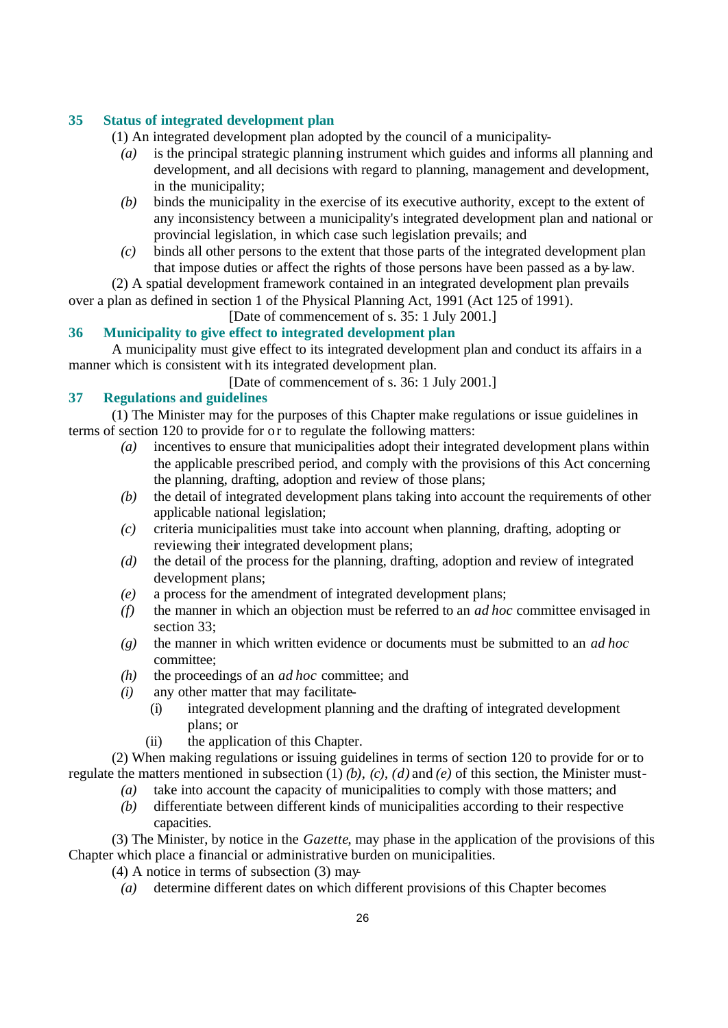# **35 Status of integrated development plan**

(1) An integrated development plan adopted by the council of a municipality-

- *(a)* is the principal strategic planning instrument which guides and informs all planning and development, and all decisions with regard to planning, management and development, in the municipality;
- *(b)* binds the municipality in the exercise of its executive authority, except to the extent of any inconsistency between a municipality's integrated development plan and national or provincial legislation, in which case such legislation prevails; and
- *(c)* binds all other persons to the extent that those parts of the integrated development plan that impose duties or affect the rights of those persons have been passed as a by-law.

(2) A spatial development framework contained in an integrated development plan prevails over a plan as defined in section 1 of the Physical Planning Act, 1991 (Act 125 of 1991). [Date of commencement of s. 35: 1 July 2001.]

# **36 Municipality to give effect to integrated development plan**

A municipality must give effect to its integrated development plan and conduct its affairs in a manner which is consistent with its integrated development plan.

[Date of commencement of s. 36: 1 July 2001.]

# **37 Regulations and guidelines**

(1) The Minister may for the purposes of this Chapter make regulations or issue guidelines in terms of section 120 to provide for or to regulate the following matters:

- *(a)* incentives to ensure that municipalities adopt their integrated development plans within the applicable prescribed period, and comply with the provisions of this Act concerning the planning, drafting, adoption and review of those plans;
- *(b)* the detail of integrated development plans taking into account the requirements of other applicable national legislation;
- *(c)* criteria municipalities must take into account when planning, drafting, adopting or reviewing their integrated development plans;
- *(d)* the detail of the process for the planning, drafting, adoption and review of integrated development plans;
- *(e)* a process for the amendment of integrated development plans;
- *(f)* the manner in which an objection must be referred to an *ad hoc* committee envisaged in section 33:
- *(g)* the manner in which written evidence or documents must be submitted to an *ad hoc* committee;
- *(h)* the proceedings of an *ad hoc* committee; and
- *(i)* any other matter that may facilitate-
	- (i) integrated development planning and the drafting of integrated development plans; or
	- (ii) the application of this Chapter.

(2) When making regulations or issuing guidelines in terms of section 120 to provide for or to regulate the matters mentioned in subsection (1) *(b)*, *(c)*, *(d)* and *(e)* of this section, the Minister must-

- *(a)* take into account the capacity of municipalities to comply with those matters; and
- *(b)* differentiate between different kinds of municipalities according to their respective capacities.

(3) The Minister, by notice in the *Gazette*, may phase in the application of the provisions of this Chapter which place a financial or administrative burden on municipalities.

(4) A notice in terms of subsection (3) may-

*(a)* determine different dates on which different provisions of this Chapter becomes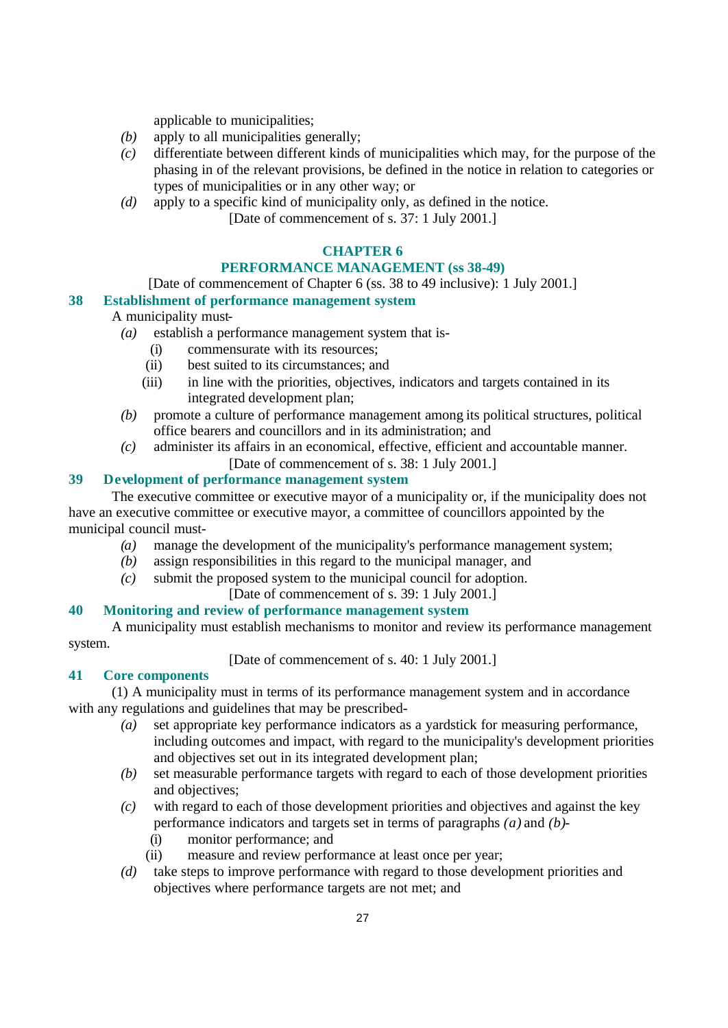applicable to municipalities;

- *(b)* apply to all municipalities generally;
- *(c)* differentiate between different kinds of municipalities which may, for the purpose of the phasing in of the relevant provisions, be defined in the notice in relation to categories or types of municipalities or in any other way; or
- *(d)* apply to a specific kind of municipality only, as defined in the notice. [Date of commencement of s. 37: 1 July 2001.]

### **CHAPTER 6**

### **PERFORMANCE MANAGEMENT (ss 38-49)**

[Date of commencement of Chapter 6 (ss. 38 to 49 inclusive): 1 July 2001.]

# **38 Establishment of performance management system**

# A municipality must-

- *(a)* establish a performance management system that is-
	- (i) commensurate with its resources;
	- (ii) best suited to its circumstances; and
	- (iii) in line with the priorities, objectives, indicators and targets contained in its integrated development plan;
- *(b)* promote a culture of performance management among its political structures, political office bearers and councillors and in its administration; and
- *(c)* administer its affairs in an economical, effective, efficient and accountable manner.
	- [Date of commencement of s. 38: 1 July 2001.]

### **39 Development of performance management system**

The executive committee or executive mayor of a municipality or, if the municipality does not have an executive committee or executive mayor, a committee of councillors appointed by the municipal council must-

- *(a)* manage the development of the municipality's performance management system;
- *(b)* assign responsibilities in this regard to the municipal manager, and
- *(c)* submit the proposed system to the municipal council for adoption.

[Date of commencement of s. 39: 1 July 2001.]

# **40 Monitoring and review of performance management system**

A municipality must establish mechanisms to monitor and review its performance management system.

[Date of commencement of s. 40: 1 July 2001.]

#### **41 Core components**

(1) A municipality must in terms of its performance management system and in accordance with any regulations and guidelines that may be prescribed-

- *(a)* set appropriate key performance indicators as a yardstick for measuring performance, including outcomes and impact, with regard to the municipality's development priorities and objectives set out in its integrated development plan;
- *(b)* set measurable performance targets with regard to each of those development priorities and objectives;
- *(c)* with regard to each of those development priorities and objectives and against the key performance indicators and targets set in terms of paragraphs *(a)* and *(b)*-
	- (i) monitor performance; and
	- (ii) measure and review performance at least once per year;
- *(d)* take steps to improve performance with regard to those development priorities and objectives where performance targets are not met; and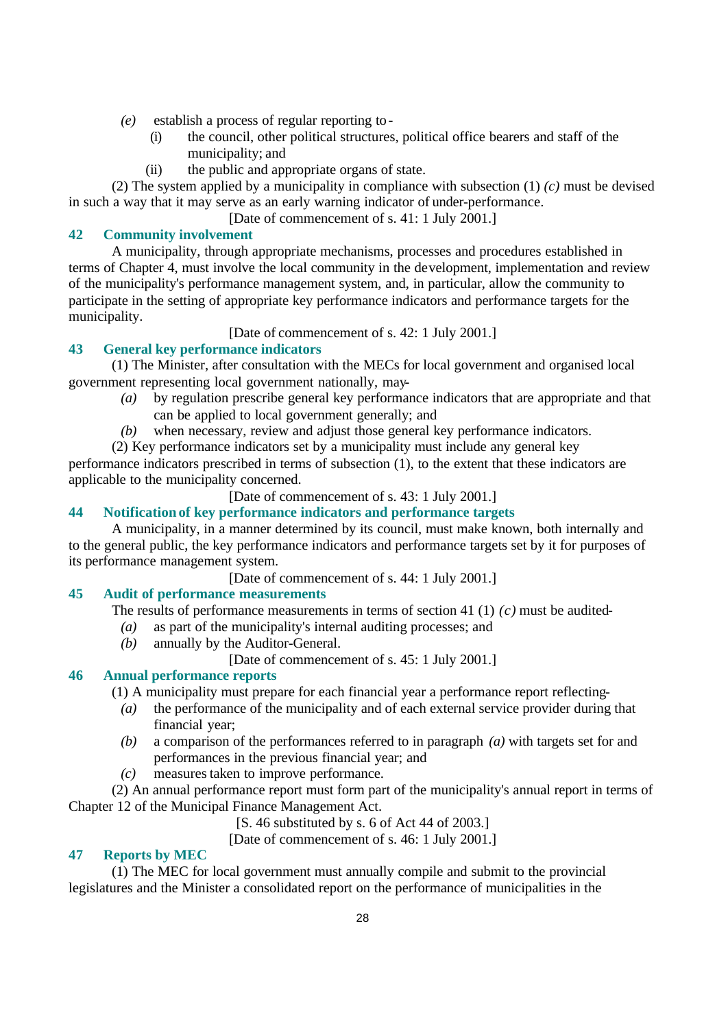- *(e)* establish a process of regular reporting to-
	- (i) the council, other political structures, political office bearers and staff of the municipality; and
	- (ii) the public and appropriate organs of state.

(2) The system applied by a municipality in compliance with subsection (1) *(c)* must be devised in such a way that it may serve as an early warning indicator of under-performance.

[Date of commencement of s. 41: 1 July 2001.]

# **42 Community involvement**

A municipality, through appropriate mechanisms, processes and procedures established in terms of Chapter 4, must involve the local community in the development, implementation and review of the municipality's performance management system, and, in particular, allow the community to participate in the setting of appropriate key performance indicators and performance targets for the municipality.

[Date of commencement of s. 42: 1 July 2001.]

# **43 General key performance indicators**

(1) The Minister, after consultation with the MECs for local government and organised local government representing local government nationally, may-

- *(a)* by regulation prescribe general key performance indicators that are appropriate and that can be applied to local government generally; and
- *(b)* when necessary, review and adjust those general key performance indicators.
- (2) Key performance indicators set by a municipality must include any general key

performance indicators prescribed in terms of subsection (1), to the extent that these indicators are applicable to the municipality concerned.

[Date of commencement of s. 43: 1 July 2001.]

### **44 Notification of key performance indicators and performance targets**

A municipality, in a manner determined by its council, must make known, both internally and to the general public, the key performance indicators and performance targets set by it for purposes of its performance management system.

[Date of commencement of s. 44: 1 July 2001.]

# **45 Audit of performance measurements**

The results of performance measurements in terms of section 41 (1) *(c)* must be audited-

- *(a)* as part of the municipality's internal auditing processes; and
- *(b)* annually by the Auditor-General.
	- [Date of commencement of s. 45: 1 July 2001.]

# **46 Annual performance reports**

(1) A municipality must prepare for each financial year a performance report reflecting-

- *(a)* the performance of the municipality and of each external service provider during that financial year;
- *(b)* a comparison of the performances referred to in paragraph *(a)* with targets set for and performances in the previous financial year; and
- *(c)* measures taken to improve performance.

(2) An annual performance report must form part of the municipality's annual report in terms of Chapter 12 of the Municipal Finance Management Act.

[S. 46 substituted by s. 6 of Act 44 of 2003.]

[Date of commencement of s. 46: 1 July 2001.]

# **47 Reports by MEC**

(1) The MEC for local government must annually compile and submit to the provincial legislatures and the Minister a consolidated report on the performance of municipalities in the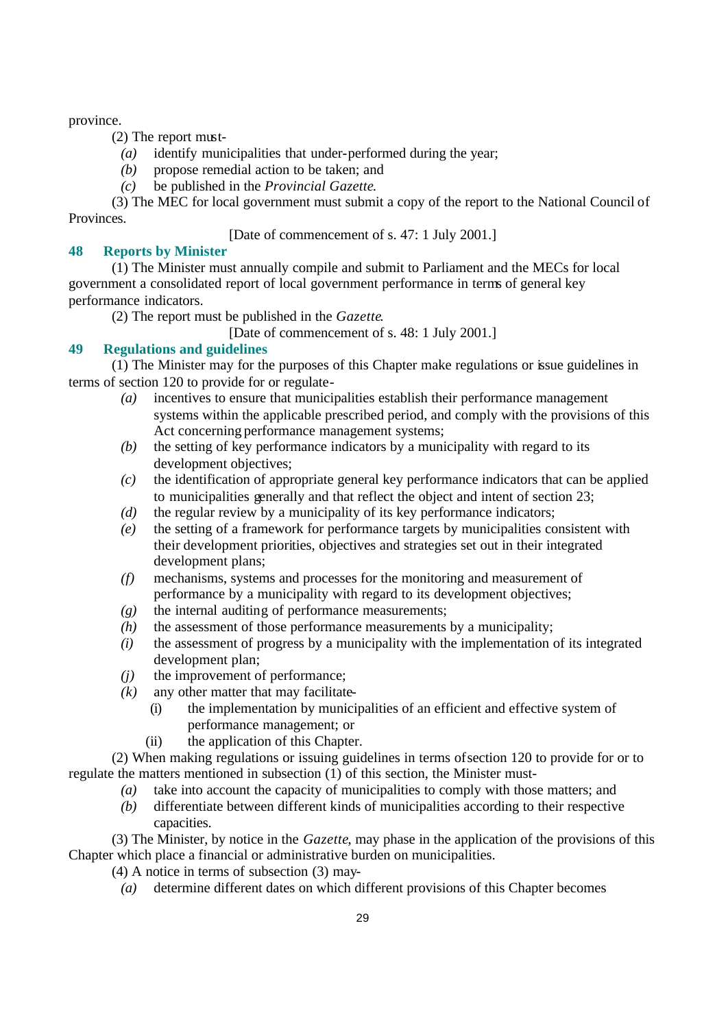province.

(2) The report must-

- *(a)* identify municipalities that under-performed during the year;
- *(b)* propose remedial action to be taken; and
- *(c)* be published in the *Provincial Gazette*.

(3) The MEC for local government must submit a copy of the report to the National Council of Provinces.

[Date of commencement of s. 47: 1 July 2001.]

# **48 Reports by Minister**

(1) The Minister must annually compile and submit to Parliament and the MECs for local government a consolidated report of local government performance in terms of general key performance indicators.

(2) The report must be published in the *Gazette*.

[Date of commencement of s. 48: 1 July 2001.]

# **49 Regulations and guidelines**

(1) The Minister may for the purposes of this Chapter make regulations or issue guidelines in terms of section 120 to provide for or regulate-

- *(a)* incentives to ensure that municipalities establish their performance management systems within the applicable prescribed period, and comply with the provisions of this Act concerning performance management systems;
- *(b)* the setting of key performance indicators by a municipality with regard to its development objectives;
- *(c)* the identification of appropriate general key performance indicators that can be applied to municipalities generally and that reflect the object and intent of section 23;
- *(d)* the regular review by a municipality of its key performance indicators;
- *(e)* the setting of a framework for performance targets by municipalities consistent with their development priorities, objectives and strategies set out in their integrated development plans;
- *(f)* mechanisms, systems and processes for the monitoring and measurement of performance by a municipality with regard to its development objectives;
- *(g)* the internal auditing of performance measurements;
- *(h)* the assessment of those performance measurements by a municipality;
- *(i)* the assessment of progress by a municipality with the implementation of its integrated development plan;
- *(j)* the improvement of performance;
- $(k)$  any other matter that may facilitate-
	- (i) the implementation by municipalities of an efficient and effective system of performance management; or
	- (ii) the application of this Chapter.

(2) When making regulations or issuing guidelines in terms of section 120 to provide for or to regulate the matters mentioned in subsection (1) of this section, the Minister must-

- *(a)* take into account the capacity of municipalities to comply with those matters; and
- *(b)* differentiate between different kinds of municipalities according to their respective capacities.

(3) The Minister, by notice in the *Gazette*, may phase in the application of the provisions of this Chapter which place a financial or administrative burden on municipalities.

(4) A notice in terms of subsection (3) may-

*(a)* determine different dates on which different provisions of this Chapter becomes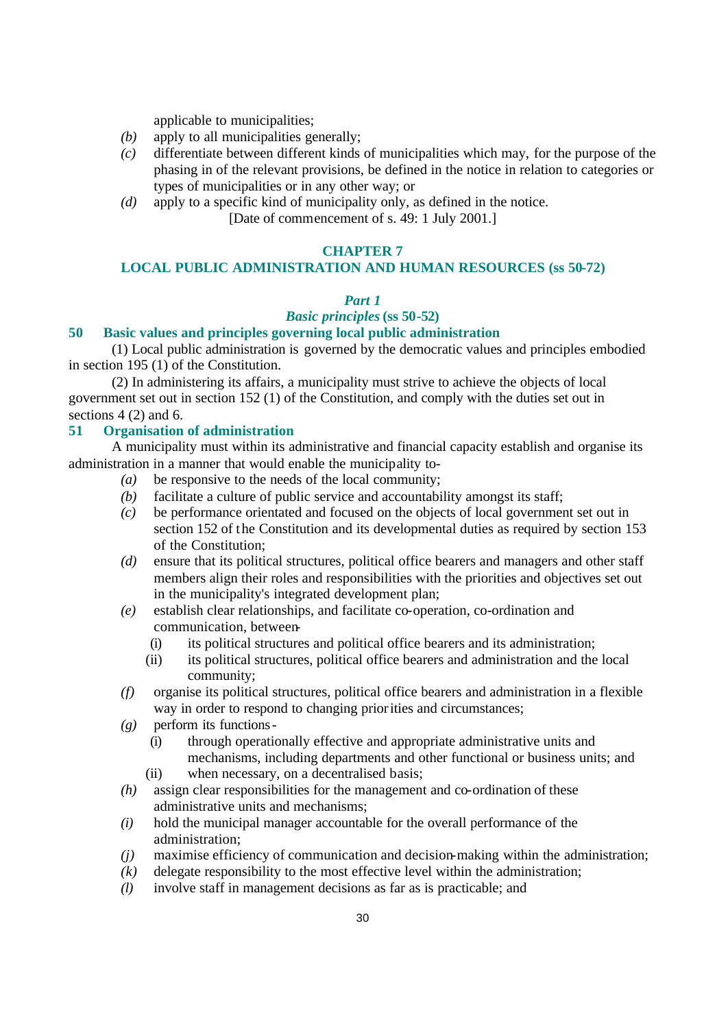applicable to municipalities;

- *(b)* apply to all municipalities generally;
- *(c)* differentiate between different kinds of municipalities which may, for the purpose of the phasing in of the relevant provisions, be defined in the notice in relation to categories or types of municipalities or in any other way; or
- *(d)* apply to a specific kind of municipality only, as defined in the notice. [Date of commencement of s. 49: 1 July 2001.]

#### **CHAPTER 7**

# **LOCAL PUBLIC ADMINISTRATION AND HUMAN RESOURCES (ss 50-72)**

### *Part 1*

# *Basic principles* **(ss 50-52)**

#### **50 Basic values and principles governing local public administration**

(1) Local public administration is governed by the democratic values and principles embodied in section 195 (1) of the Constitution.

(2) In administering its affairs, a municipality must strive to achieve the objects of local government set out in section 152 (1) of the Constitution, and comply with the duties set out in sections 4 (2) and 6.

### **51 Organisation of administration**

A municipality must within its administrative and financial capacity establish and organise its administration in a manner that would enable the municipality to-

- *(a)* be responsive to the needs of the local community;
- *(b)* facilitate a culture of public service and accountability amongst its staff;
- *(c)* be performance orientated and focused on the objects of local government set out in section 152 of the Constitution and its developmental duties as required by section 153 of the Constitution;
- *(d)* ensure that its political structures, political office bearers and managers and other staff members align their roles and responsibilities with the priorities and objectives set out in the municipality's integrated development plan;
- *(e)* establish clear relationships, and facilitate co-operation, co-ordination and communication, between-
	- (i) its political structures and political office bearers and its administration;
	- (ii) its political structures, political office bearers and administration and the local community;
- *(f)* organise its political structures, political office bearers and administration in a flexible way in order to respond to changing priorities and circumstances;
- *(g)* perform its functions-
	- (i) through operationally effective and appropriate administrative units and mechanisms, including departments and other functional or business units; and (ii) when necessary, on a decentralised basis;
	-
- *(h)* assign clear responsibilities for the management and co-ordination of these administrative units and mechanisms;
- *(i)* hold the municipal manager accountable for the overall performance of the administration;
- *(j)* maximise efficiency of communication and decision-making within the administration;
- *(k)* delegate responsibility to the most effective level within the administration;
- *(l)* involve staff in management decisions as far as is practicable; and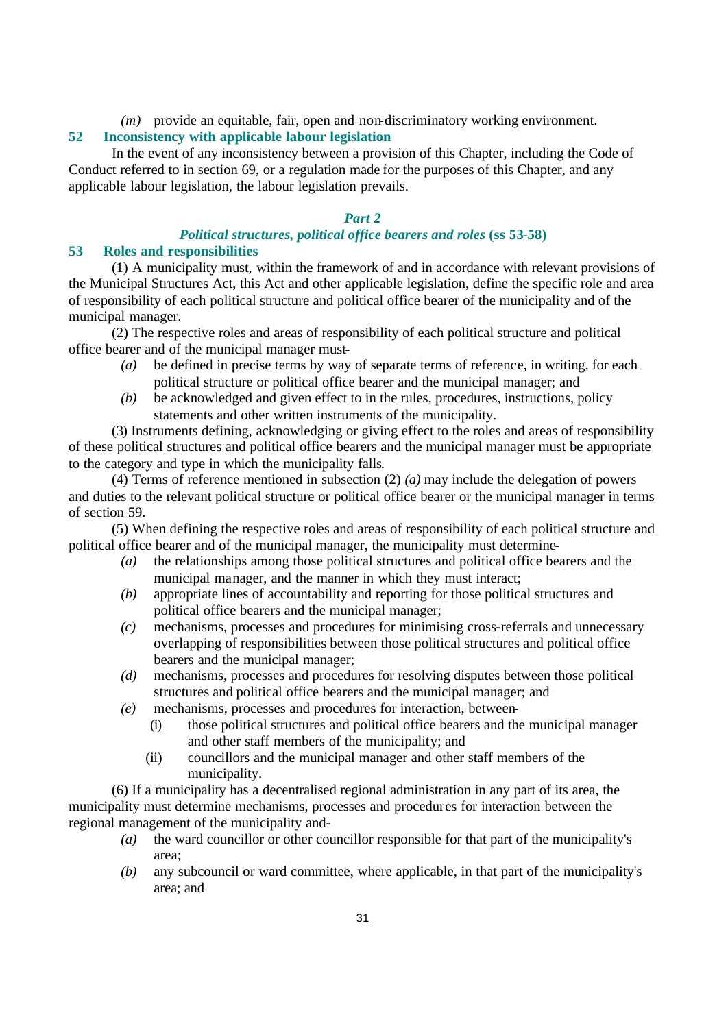*(m)* provide an equitable, fair, open and non-discriminatory working environment.

### **52 Inconsistency with applicable labour legislation**

In the event of any inconsistency between a provision of this Chapter, including the Code of Conduct referred to in section 69, or a regulation made for the purposes of this Chapter, and any applicable labour legislation, the labour legislation prevails.

## *Part 2*

# *Political structures, political office bearers and roles* **(ss 53-58)**

## **53 Roles and responsibilities**

(1) A municipality must, within the framework of and in accordance with relevant provisions of the Municipal Structures Act, this Act and other applicable legislation, define the specific role and area of responsibility of each political structure and political office bearer of the municipality and of the municipal manager.

(2) The respective roles and areas of responsibility of each political structure and political office bearer and of the municipal manager must-

- *(a)* be defined in precise terms by way of separate terms of reference, in writing, for each political structure or political office bearer and the municipal manager; and
- *(b)* be acknowledged and given effect to in the rules, procedures, instructions, policy statements and other written instruments of the municipality.

(3) Instruments defining, acknowledging or giving effect to the roles and areas of responsibility of these political structures and political office bearers and the municipal manager must be appropriate to the category and type in which the municipality falls.

(4) Terms of reference mentioned in subsection (2) *(a)* may include the delegation of powers and duties to the relevant political structure or political office bearer or the municipal manager in terms of section 59.

(5) When defining the respective roles and areas of responsibility of each political structure and political office bearer and of the municipal manager, the municipality must determine-

- *(a)* the relationships among those political structures and political office bearers and the municipal manager, and the manner in which they must interact;
- *(b)* appropriate lines of accountability and reporting for those political structures and political office bearers and the municipal manager;
- *(c)* mechanisms, processes and procedures for minimising cross-referrals and unnecessary overlapping of responsibilities between those political structures and political office bearers and the municipal manager;
- *(d)* mechanisms, processes and procedures for resolving disputes between those political structures and political office bearers and the municipal manager; and
- *(e)* mechanisms, processes and procedures for interaction, between-
	- (i) those political structures and political office bearers and the municipal manager and other staff members of the municipality; and
	- (ii) councillors and the municipal manager and other staff members of the municipality.

(6) If a municipality has a decentralised regional administration in any part of its area, the municipality must determine mechanisms, processes and procedures for interaction between the regional management of the municipality and-

- *(a)* the ward councillor or other councillor responsible for that part of the municipality's area;
- *(b)* any subcouncil or ward committee, where applicable, in that part of the municipality's area; and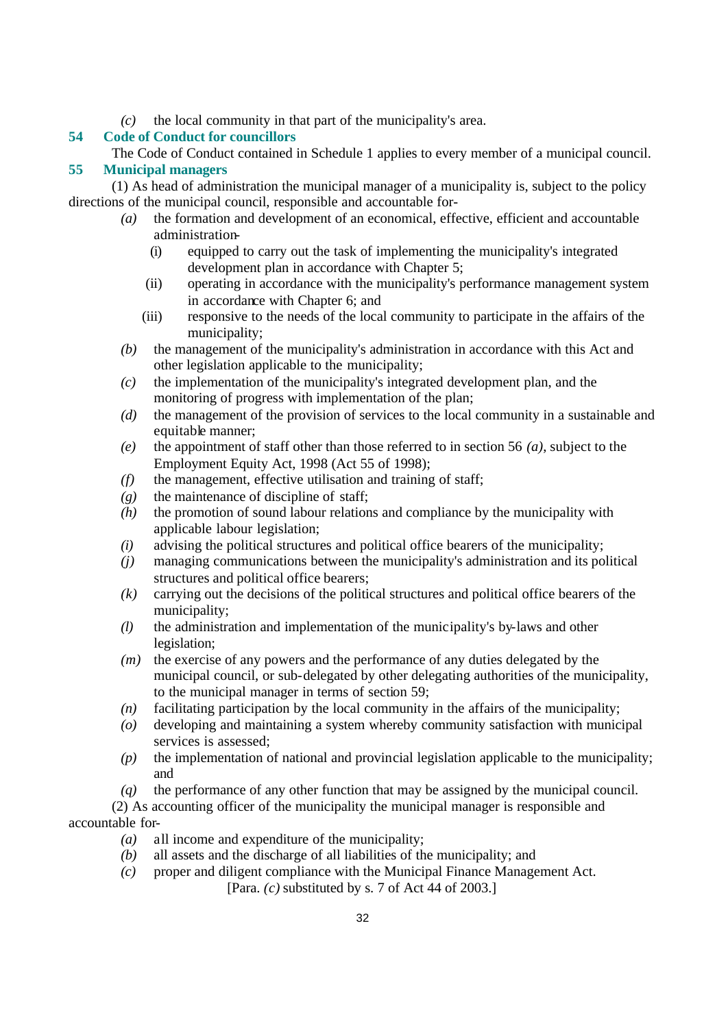*(c)* the local community in that part of the municipality's area.

# **54 Code of Conduct for councillors**

The Code of Conduct contained in Schedule 1 applies to every member of a municipal council. **55 Municipal managers**

(1) As head of administration the municipal manager of a municipality is, subject to the policy directions of the municipal council, responsible and accountable for-

- *(a)* the formation and development of an economical, effective, efficient and accountable administration-
	- (i) equipped to carry out the task of implementing the municipality's integrated development plan in accordance with Chapter 5;
	- (ii) operating in accordance with the municipality's performance management system in accordance with Chapter 6; and
	- (iii) responsive to the needs of the local community to participate in the affairs of the municipality;
- *(b)* the management of the municipality's administration in accordance with this Act and other legislation applicable to the municipality;
- *(c)* the implementation of the municipality's integrated development plan, and the monitoring of progress with implementation of the plan;
- *(d)* the management of the provision of services to the local community in a sustainable and equitable manner;
- *(e)* the appointment of staff other than those referred to in section 56 *(a)*, subject to the Employment Equity Act, 1998 (Act 55 of 1998);
- *(f)* the management, effective utilisation and training of staff;
- *(g)* the maintenance of discipline of staff;
- *(h)* the promotion of sound labour relations and compliance by the municipality with applicable labour legislation;
- *(i)* advising the political structures and political office bearers of the municipality;
- *(j)* managing communications between the municipality's administration and its political structures and political office bearers;
- *(k)* carrying out the decisions of the political structures and political office bearers of the municipality;
- *(l)* the administration and implementation of the municipality's by-laws and other legislation;
- *(m)* the exercise of any powers and the performance of any duties delegated by the municipal council, or sub-delegated by other delegating authorities of the municipality, to the municipal manager in terms of section 59;
- *(n)* facilitating participation by the local community in the affairs of the municipality;
- *(o)* developing and maintaining a system whereby community satisfaction with municipal services is assessed;
- *(p)* the implementation of national and provincial legislation applicable to the municipality; and
- *(q)* the performance of any other function that may be assigned by the municipal council.
- (2) As accounting officer of the municipality the municipal manager is responsible and accountable for-
	- *(a)* all income and expenditure of the municipality;
	- *(b)* all assets and the discharge of all liabilities of the municipality; and
	- *(c)* proper and diligent compliance with the Municipal Finance Management Act. [Para. *(c)* substituted by s. 7 of Act 44 of 2003.]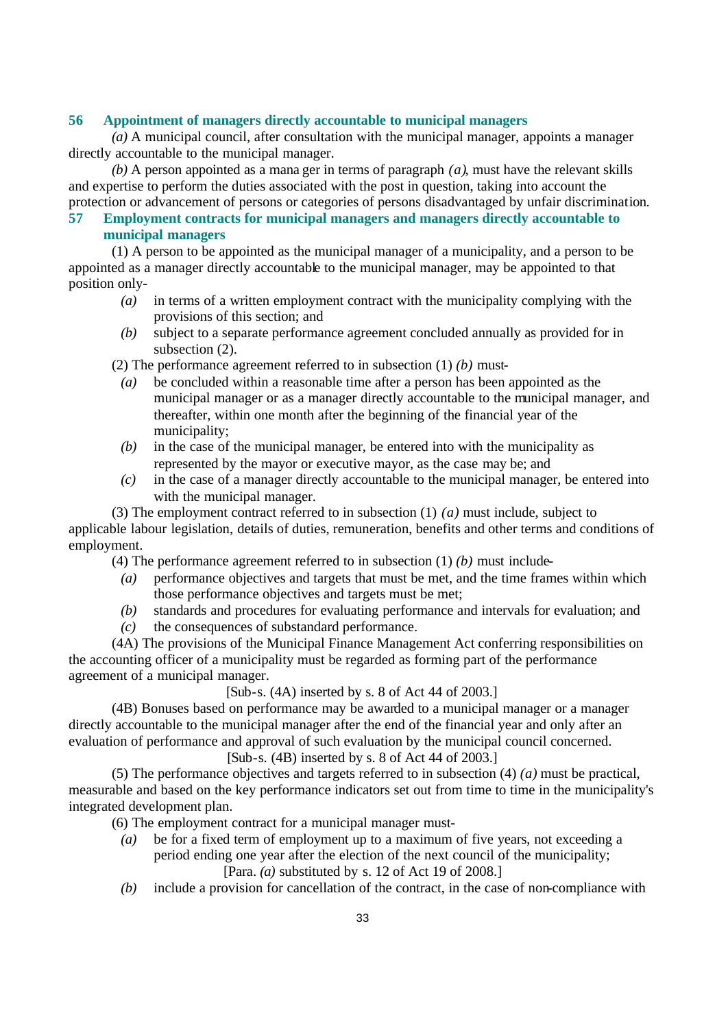### **56 Appointment of managers directly accountable to municipal managers**

*(a)* A municipal council, after consultation with the municipal manager, appoints a manager directly accountable to the municipal manager.

*(b)* A person appointed as a mana ger in terms of paragraph *(a)*, must have the relevant skills and expertise to perform the duties associated with the post in question, taking into account the protection or advancement of persons or categories of persons disadvantaged by unfair discrimination.

# **57 Employment contracts for municipal managers and managers directly accountable to municipal managers**

(1) A person to be appointed as the municipal manager of a municipality, and a person to be appointed as a manager directly accountable to the municipal manager, may be appointed to that position only-

- *(a)* in terms of a written employment contract with the municipality complying with the provisions of this section; and
- *(b)* subject to a separate performance agreement concluded annually as provided for in subsection  $(2)$ .
- (2) The performance agreement referred to in subsection (1) *(b)* must-
	- *(a)* be concluded within a reasonable time after a person has been appointed as the municipal manager or as a manager directly accountable to the municipal manager, and thereafter, within one month after the beginning of the financial year of the municipality;
	- *(b)* in the case of the municipal manager, be entered into with the municipality as represented by the mayor or executive mayor, as the case may be; and
	- *(c)* in the case of a manager directly accountable to the municipal manager, be entered into with the municipal manager.
- (3) The employment contract referred to in subsection (1) *(a)* must include, subject to

applicable labour legislation, details of duties, remuneration, benefits and other terms and conditions of employment.

(4) The performance agreement referred to in subsection (1) *(b)* must include-

- *(a)* performance objectives and targets that must be met, and the time frames within which those performance objectives and targets must be met;
- *(b)* standards and procedures for evaluating performance and intervals for evaluation; and
- *(c)* the consequences of substandard performance.

(4A) The provisions of the Municipal Finance Management Act conferring responsibilities on the accounting officer of a municipality must be regarded as forming part of the performance agreement of a municipal manager.

 $[Sub-s. (4A)$  inserted by s. 8 of Act 44 of 2003.]

(4B) Bonuses based on performance may be awarded to a municipal manager or a manager directly accountable to the municipal manager after the end of the financial year and only after an evaluation of performance and approval of such evaluation by the municipal council concerned.

 $[Sub-s, (4B)$  inserted by s. 8 of Act 44 of 2003.

(5) The performance objectives and targets referred to in subsection (4) *(a)* must be practical, measurable and based on the key performance indicators set out from time to time in the municipality's integrated development plan.

(6) The employment contract for a municipal manager must-

*(a)* be for a fixed term of employment up to a maximum of five years, not exceeding a period ending one year after the election of the next council of the municipality;

[Para. *(a)* substituted by s. 12 of Act 19 of 2008.]

*(b)* include a provision for cancellation of the contract, in the case of non-compliance with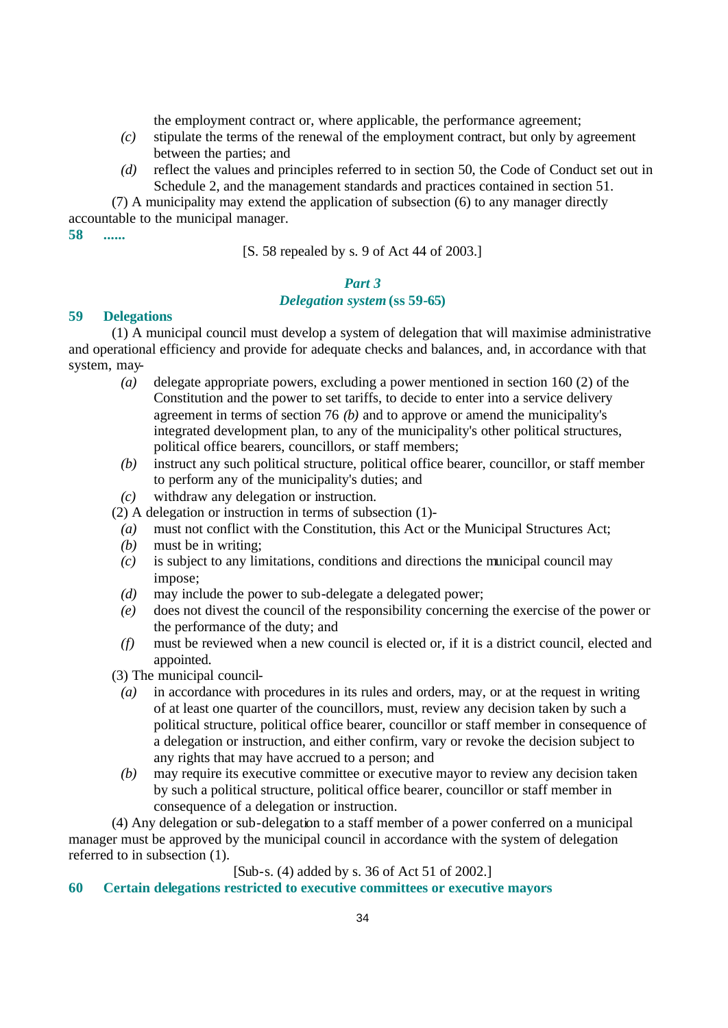the employment contract or, where applicable, the performance agreement;

- *(c)* stipulate the terms of the renewal of the employment contract, but only by agreement between the parties; and
- *(d)* reflect the values and principles referred to in section 50, the Code of Conduct set out in Schedule 2, and the management standards and practices contained in section 51.

(7) A municipality may extend the application of subsection (6) to any manager directly accountable to the municipal manager.

**58 ......**

[S. 58 repealed by s. 9 of Act 44 of 2003.]

# *Part 3*

# *Delegation system* **(ss 59-65)**

#### **59 Delegations**

(1) A municipal council must develop a system of delegation that will maximise administrative and operational efficiency and provide for adequate checks and balances, and, in accordance with that system, may-

- *(a)* delegate appropriate powers, excluding a power mentioned in section 160 (2) of the Constitution and the power to set tariffs, to decide to enter into a service delivery agreement in terms of section 76 *(b)* and to approve or amend the municipality's integrated development plan, to any of the municipality's other political structures, political office bearers, councillors, or staff members;
- *(b)* instruct any such political structure, political office bearer, councillor, or staff member to perform any of the municipality's duties; and
- *(c)* withdraw any delegation or instruction.

(2) A delegation or instruction in terms of subsection (1)-

- *(a)* must not conflict with the Constitution, this Act or the Municipal Structures Act;
- *(b)* must be in writing;
- *(c)* is subject to any limitations, conditions and directions the municipal council may impose;
- *(d)* may include the power to sub-delegate a delegated power;
- *(e)* does not divest the council of the responsibility concerning the exercise of the power or the performance of the duty; and
- *(f)* must be reviewed when a new council is elected or, if it is a district council, elected and appointed.
- (3) The municipal council-
	- *(a)* in accordance with procedures in its rules and orders, may, or at the request in writing of at least one quarter of the councillors, must, review any decision taken by such a political structure, political office bearer, councillor or staff member in consequence of a delegation or instruction, and either confirm, vary or revoke the decision subject to any rights that may have accrued to a person; and
	- *(b)* may require its executive committee or executive mayor to review any decision taken by such a political structure, political office bearer, councillor or staff member in consequence of a delegation or instruction.

(4) Any delegation or sub-delegation to a staff member of a power conferred on a municipal manager must be approved by the municipal council in accordance with the system of delegation referred to in subsection (1).

#### [Sub-s. (4) added by s. 36 of Act 51 of 2002.]

## **60 Certain delegations restricted to executive committees or executive mayors**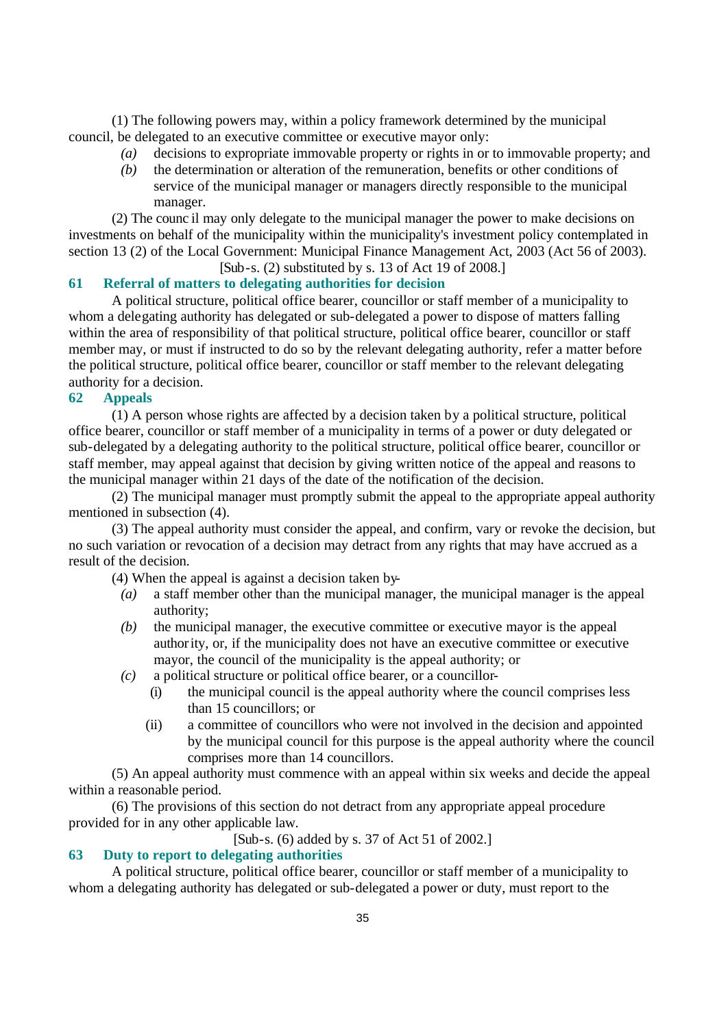(1) The following powers may, within a policy framework determined by the municipal council, be delegated to an executive committee or executive mayor only:

- *(a)* decisions to expropriate immovable property or rights in or to immovable property; and
- *(b)* the determination or alteration of the remuneration, benefits or other conditions of service of the municipal manager or managers directly responsible to the municipal manager.

(2) The counc il may only delegate to the municipal manager the power to make decisions on investments on behalf of the municipality within the municipality's investment policy contemplated in section 13 (2) of the Local Government: Municipal Finance Management Act, 2003 (Act 56 of 2003).

[Sub-s. (2) substituted by s. 13 of Act 19 of 2008.]

# **61 Referral of matters to delegating authorities for decision**

A political structure, political office bearer, councillor or staff member of a municipality to whom a delegating authority has delegated or sub-delegated a power to dispose of matters falling within the area of responsibility of that political structure, political office bearer, councillor or staff member may, or must if instructed to do so by the relevant delegating authority, refer a matter before the political structure, political office bearer, councillor or staff member to the relevant delegating authority for a decision.

### **62 Appeals**

(1) A person whose rights are affected by a decision taken by a political structure, political office bearer, councillor or staff member of a municipality in terms of a power or duty delegated or sub-delegated by a delegating authority to the political structure, political office bearer, councillor or staff member, may appeal against that decision by giving written notice of the appeal and reasons to the municipal manager within 21 days of the date of the notification of the decision.

(2) The municipal manager must promptly submit the appeal to the appropriate appeal authority mentioned in subsection (4).

(3) The appeal authority must consider the appeal, and confirm, vary or revoke the decision, but no such variation or revocation of a decision may detract from any rights that may have accrued as a result of the decision.

(4) When the appeal is against a decision taken by-

- *(a)* a staff member other than the municipal manager, the municipal manager is the appeal authority;
- *(b)* the municipal manager, the executive committee or executive mayor is the appeal authority, or, if the municipality does not have an executive committee or executive mayor, the council of the municipality is the appeal authority; or
- *(c)* a political structure or political office bearer, or a councillor-
	- (i) the municipal council is the appeal authority where the council comprises less than 15 councillors; or
	- (ii) a committee of councillors who were not involved in the decision and appointed by the municipal council for this purpose is the appeal authority where the council comprises more than 14 councillors.

(5) An appeal authority must commence with an appeal within six weeks and decide the appeal within a reasonable period.

(6) The provisions of this section do not detract from any appropriate appeal procedure provided for in any other applicable law.

[Sub-s. (6) added by s. 37 of Act 51 of 2002.]

# **63 Duty to report to delegating authorities**

A political structure, political office bearer, councillor or staff member of a municipality to whom a delegating authority has delegated or sub-delegated a power or duty, must report to the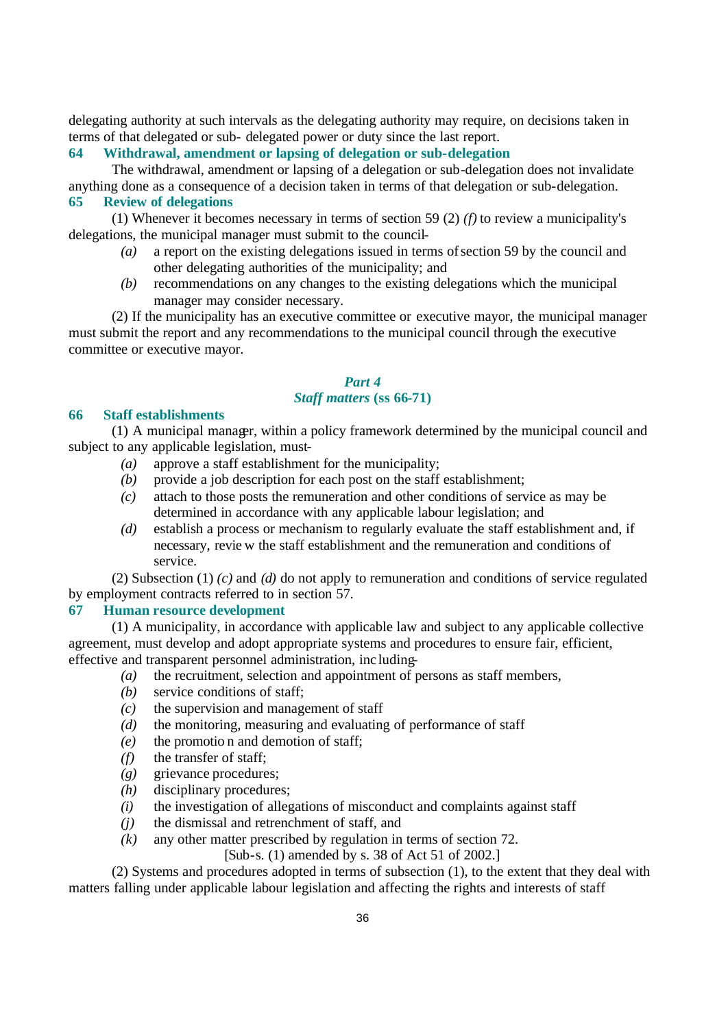delegating authority at such intervals as the delegating authority may require, on decisions taken in terms of that delegated or sub- delegated power or duty since the last report.

**64 Withdrawal, amendment or lapsing of delegation or sub-delegation**

The withdrawal, amendment or lapsing of a delegation or sub-delegation does not invalidate anything done as a consequence of a decision taken in terms of that delegation or sub-delegation.

## **65 Review of delegations**

(1) Whenever it becomes necessary in terms of section 59 (2)  $(f)$  to review a municipality's delegations, the municipal manager must submit to the council-

- *(a)* a report on the existing delegations issued in terms of section 59 by the council and other delegating authorities of the municipality; and
- *(b)* recommendations on any changes to the existing delegations which the municipal manager may consider necessary.

(2) If the municipality has an executive committee or executive mayor, the municipal manager must submit the report and any recommendations to the municipal council through the executive committee or executive mayor.

# *Part 4 Staff matters* **(ss 66-71)**

#### **66 Staff establishments**

(1) A municipal manager, within a policy framework determined by the municipal council and subject to any applicable legislation, must-

- *(a)* approve a staff establishment for the municipality;
- *(b)* provide a job description for each post on the staff establishment;
- *(c)* attach to those posts the remuneration and other conditions of service as may be determined in accordance with any applicable labour legislation; and
- *(d)* establish a process or mechanism to regularly evaluate the staff establishment and, if necessary, revie w the staff establishment and the remuneration and conditions of service.

(2) Subsection (1) *(c)* and *(d)* do not apply to remuneration and conditions of service regulated by employment contracts referred to in section 57.

#### **67 Human resource development**

(1) A municipality, in accordance with applicable law and subject to any applicable collective agreement, must develop and adopt appropriate systems and procedures to ensure fair, efficient, effective and transparent personnel administration, inc luding-

- *(a)* the recruitment, selection and appointment of persons as staff members,
- *(b)* service conditions of staff;
- *(c)* the supervision and management of staff
- *(d)* the monitoring, measuring and evaluating of performance of staff
- *(e)* the promotio n and demotion of staff;
- *(f)* the transfer of staff;
- *(g)* grievance procedures;
- *(h)* disciplinary procedures;
- *(i)* the investigation of allegations of misconduct and complaints against staff
- *(j)* the dismissal and retrenchment of staff, and
- *(k)* any other matter prescribed by regulation in terms of section 72.

[Sub-s. (1) amended by s. 38 of Act 51 of 2002.]

(2) Systems and procedures adopted in terms of subsection (1), to the extent that they deal with matters falling under applicable labour legislation and affecting the rights and interests of staff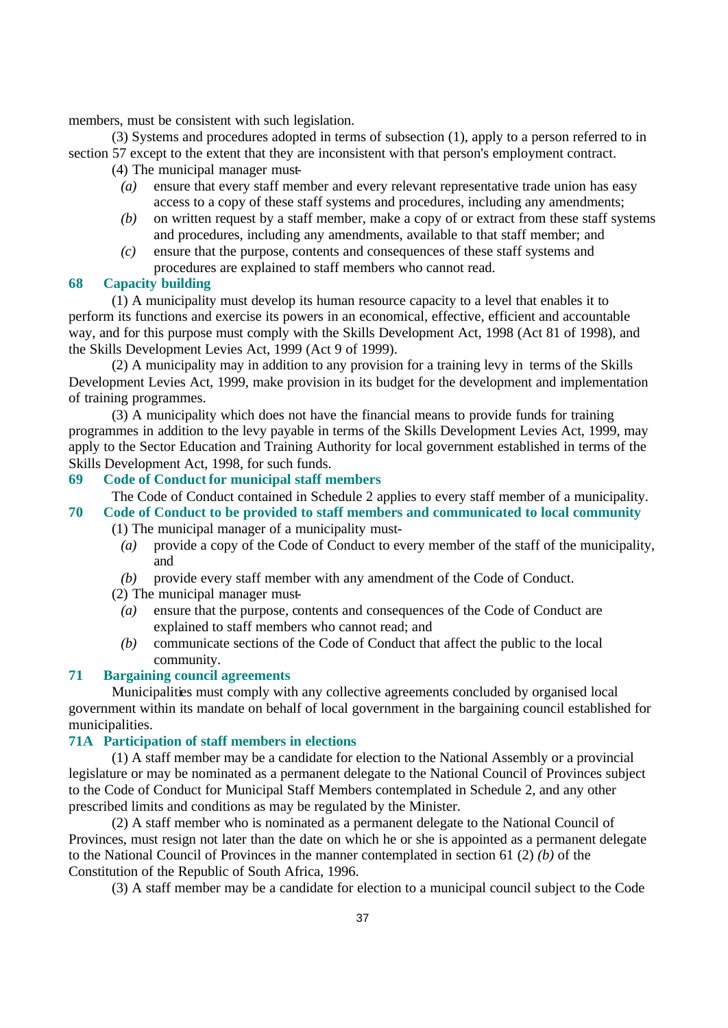members, must be consistent with such legislation.

(3) Systems and procedures adopted in terms of subsection (1), apply to a person referred to in section 57 except to the extent that they are inconsistent with that person's employment contract.

(4) The municipal manager must-

- *(a)* ensure that every staff member and every relevant representative trade union has easy access to a copy of these staff systems and procedures, including any amendments;
- *(b)* on written request by a staff member, make a copy of or extract from these staff systems and procedures, including any amendments, available to that staff member; and
- *(c)* ensure that the purpose, contents and consequences of these staff systems and procedures are explained to staff members who cannot read.

### **68 Capacity building**

(1) A municipality must develop its human resource capacity to a level that enables it to perform its functions and exercise its powers in an economical, effective, efficient and accountable way, and for this purpose must comply with the Skills Development Act, 1998 (Act 81 of 1998), and the Skills Development Levies Act, 1999 (Act 9 of 1999).

(2) A municipality may in addition to any provision for a training levy in terms of the Skills Development Levies Act, 1999, make provision in its budget for the development and implementation of training programmes.

(3) A municipality which does not have the financial means to provide funds for training programmes in addition to the levy payable in terms of the Skills Development Levies Act, 1999, may apply to the Sector Education and Training Authority for local government established in terms of the Skills Development Act, 1998, for such funds.

#### **69 Code of Conduct for municipal staff members**

The Code of Conduct contained in Schedule 2 applies to every staff member of a municipality. **70 Code of Conduct to be provided to staff members and communicated to local community**

- (1) The municipal manager of a municipality must-
	- *(a)* provide a copy of the Code of Conduct to every member of the staff of the municipality, and
- *(b)* provide every staff member with any amendment of the Code of Conduct.
- (2) The municipal manager must-
	- *(a)* ensure that the purpose, contents and consequences of the Code of Conduct are explained to staff members who cannot read; and
	- *(b)* communicate sections of the Code of Conduct that affect the public to the local community.

#### **71 Bargaining council agreements**

Municipalities must comply with any collective agreements concluded by organised local government within its mandate on behalf of local government in the bargaining council established for municipalities.

#### **71A Participation of staff members in elections**

(1) A staff member may be a candidate for election to the National Assembly or a provincial legislature or may be nominated as a permanent delegate to the National Council of Provinces subject to the Code of Conduct for Municipal Staff Members contemplated in Schedule 2, and any other prescribed limits and conditions as may be regulated by the Minister.

(2) A staff member who is nominated as a permanent delegate to the National Council of Provinces, must resign not later than the date on which he or she is appointed as a permanent delegate to the National Council of Provinces in the manner contemplated in section 61 (2) *(b)* of the Constitution of the Republic of South Africa, 1996.

(3) A staff member may be a candidate for election to a municipal council subject to the Code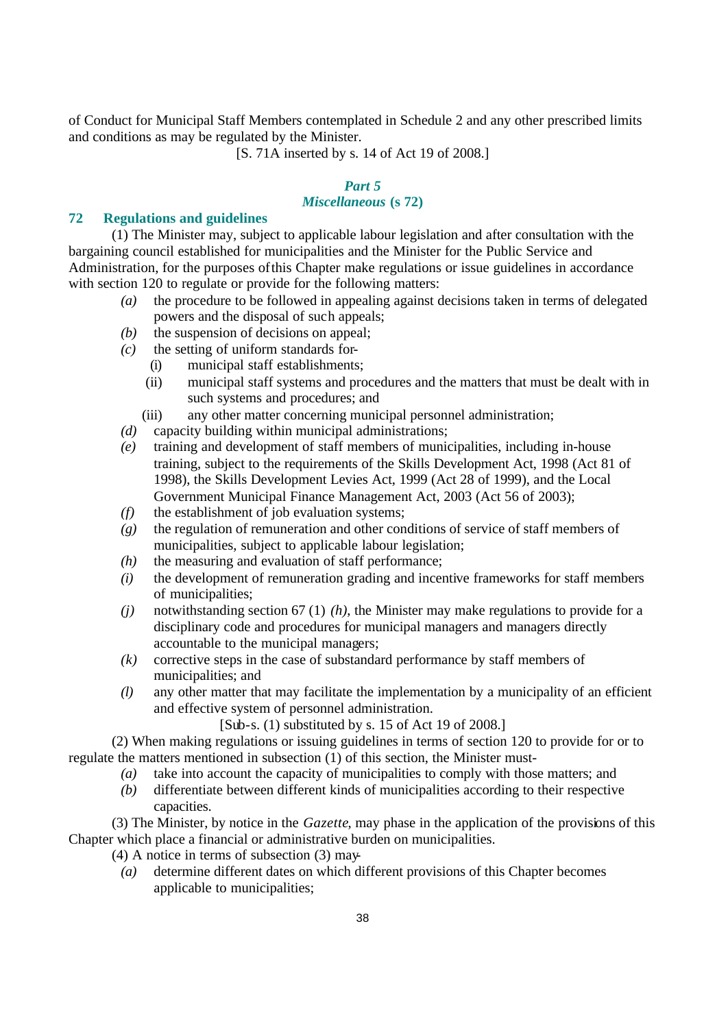of Conduct for Municipal Staff Members contemplated in Schedule 2 and any other prescribed limits and conditions as may be regulated by the Minister.

[S. 71A inserted by s. 14 of Act 19 of 2008.]

# *Part 5*

# *Miscellaneous* **(s 72)**

## **72 Regulations and guidelines**

(1) The Minister may, subject to applicable labour legislation and after consultation with the bargaining council established for municipalities and the Minister for the Public Service and Administration, for the purposes of this Chapter make regulations or issue guidelines in accordance with section 120 to regulate or provide for the following matters:

- *(a)* the procedure to be followed in appealing against decisions taken in terms of delegated powers and the disposal of such appeals;
- *(b)* the suspension of decisions on appeal;
- *(c)* the setting of uniform standards for-
	- (i) municipal staff establishments;
	- (ii) municipal staff systems and procedures and the matters that must be dealt with in such systems and procedures; and
	- (iii) any other matter concerning municipal personnel administration;
- *(d)* capacity building within municipal administrations;
- *(e)* training and development of staff members of municipalities, including in-house training, subject to the requirements of the Skills Development Act, 1998 (Act 81 of 1998), the Skills Development Levies Act, 1999 (Act 28 of 1999), and the Local Government Municipal Finance Management Act, 2003 (Act 56 of 2003);
- *(f)* the establishment of job evaluation systems;
- *(g)* the regulation of remuneration and other conditions of service of staff members of municipalities, subject to applicable labour legislation;
- *(h)* the measuring and evaluation of staff performance;
- *(i)* the development of remuneration grading and incentive frameworks for staff members of municipalities;
- *(j)* notwithstanding section 67 (1) *(h)*, the Minister may make regulations to provide for a disciplinary code and procedures for municipal managers and managers directly accountable to the municipal managers;
- *(k)* corrective steps in the case of substandard performance by staff members of municipalities; and
- *(l)* any other matter that may facilitate the implementation by a municipality of an efficient and effective system of personnel administration.

[Sub-s. (1) substituted by s. 15 of Act 19 of 2008.]

(2) When making regulations or issuing guidelines in terms of section 120 to provide for or to regulate the matters mentioned in subsection (1) of this section, the Minister must-

- *(a)* take into account the capacity of municipalities to comply with those matters; and
- *(b)* differentiate between different kinds of municipalities according to their respective capacities.

(3) The Minister, by notice in the *Gazette*, may phase in the application of the provisions of this Chapter which place a financial or administrative burden on municipalities.

(4) A notice in terms of subsection (3) may-

*(a)* determine different dates on which different provisions of this Chapter becomes applicable to municipalities;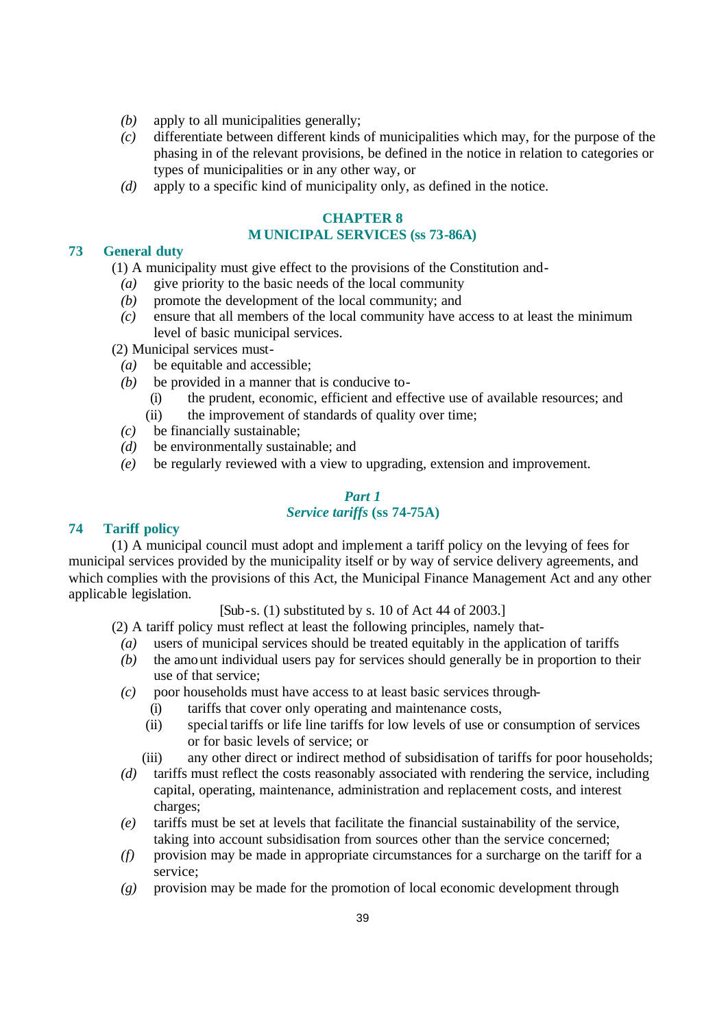- *(b)* apply to all municipalities generally;
- *(c)* differentiate between different kinds of municipalities which may, for the purpose of the phasing in of the relevant provisions, be defined in the notice in relation to categories or types of municipalities or in any other way, or
- *(d)* apply to a specific kind of municipality only, as defined in the notice.

### **CHAPTER 8 MUNICIPAL SERVICES (ss 73-86A)**

#### **73 General duty**

(1) A municipality must give effect to the provisions of the Constitution and-

- *(a)* give priority to the basic needs of the local community
- *(b)* promote the development of the local community; and
- *(c)* ensure that all members of the local community have access to at least the minimum level of basic municipal services.

(2) Municipal services must-

- *(a)* be equitable and accessible;
- *(b)* be provided in a manner that is conducive to-
	- (i) the prudent, economic, efficient and effective use of available resources; and
	- (ii) the improvement of standards of quality over time;
- *(c)* be financially sustainable;
- *(d)* be environmentally sustainable; and
- *(e)* be regularly reviewed with a view to upgrading, extension and improvement.

#### *Part 1 Service tariffs* **(ss 74-75A)**

### **74 Tariff policy**

(1) A municipal council must adopt and implement a tariff policy on the levying of fees for municipal services provided by the municipality itself or by way of service delivery agreements, and which complies with the provisions of this Act, the Municipal Finance Management Act and any other applicable legislation.

[Sub-s. (1) substituted by s. 10 of Act 44 of 2003.]

(2) A tariff policy must reflect at least the following principles, namely that-

- *(a)* users of municipal services should be treated equitably in the application of tariffs
- *(b)* the amount individual users pay for services should generally be in proportion to their use of that service;
- *(c)* poor households must have access to at least basic services through-
	- (i) tariffs that cover only operating and maintenance costs,
	- (ii) special tariffs or life line tariffs for low levels of use or consumption of services or for basic levels of service; or
	- (iii) any other direct or indirect method of subsidisation of tariffs for poor households;
- *(d)* tariffs must reflect the costs reasonably associated with rendering the service, including capital, operating, maintenance, administration and replacement costs, and interest charges;
- *(e)* tariffs must be set at levels that facilitate the financial sustainability of the service, taking into account subsidisation from sources other than the service concerned;
- *(f)* provision may be made in appropriate circumstances for a surcharge on the tariff for a service;
- *(g)* provision may be made for the promotion of local economic development through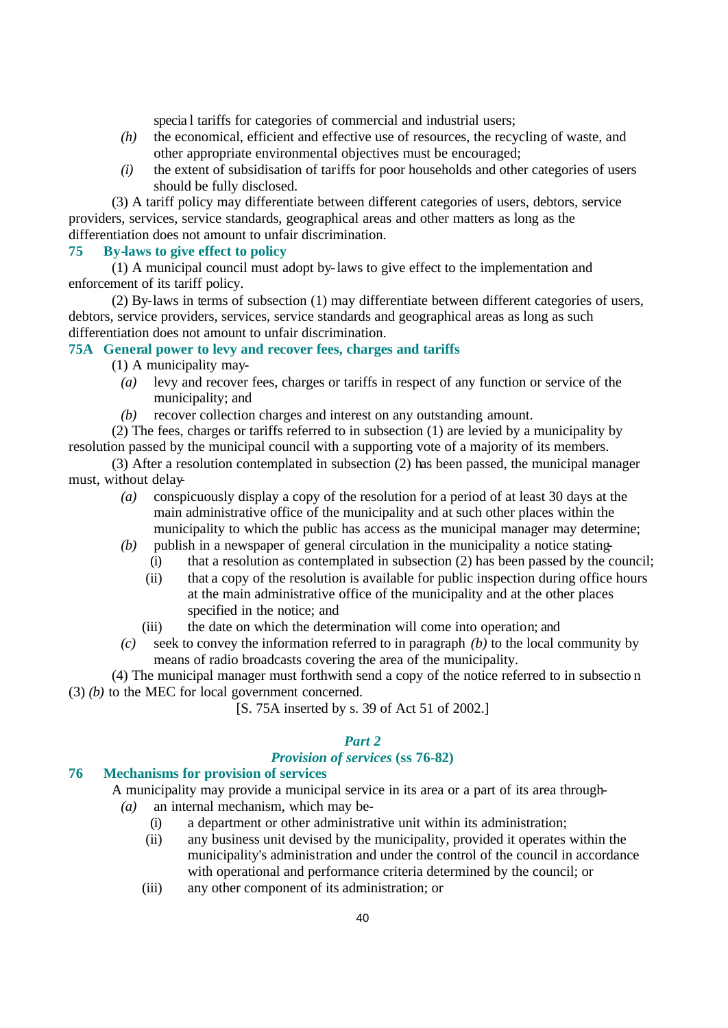specia l tariffs for categories of commercial and industrial users;

- *(h)* the economical, efficient and effective use of resources, the recycling of waste, and other appropriate environmental objectives must be encouraged;
- *(i)* the extent of subsidisation of tariffs for poor households and other categories of users should be fully disclosed.

(3) A tariff policy may differentiate between different categories of users, debtors, service providers, services, service standards, geographical areas and other matters as long as the differentiation does not amount to unfair discrimination.

# **75 By-laws to give effect to policy**

(1) A municipal council must adopt by-laws to give effect to the implementation and enforcement of its tariff policy.

(2) By-laws in terms of subsection (1) may differentiate between different categories of users, debtors, service providers, services, service standards and geographical areas as long as such differentiation does not amount to unfair discrimination.

# **75A General power to levy and recover fees, charges and tariffs**

(1) A municipality may-

- *(a)* levy and recover fees, charges or tariffs in respect of any function or service of the municipality; and
- *(b)* recover collection charges and interest on any outstanding amount.

(2) The fees, charges or tariffs referred to in subsection (1) are levied by a municipality by resolution passed by the municipal council with a supporting vote of a majority of its members.

(3) After a resolution contemplated in subsection (2) has been passed, the municipal manager must, without delay-

- *(a)* conspicuously display a copy of the resolution for a period of at least 30 days at the main administrative office of the municipality and at such other places within the municipality to which the public has access as the municipal manager may determine;
- *(b)* publish in a newspaper of general circulation in the municipality a notice stating-
	- (i) that a resolution as contemplated in subsection (2) has been passed by the council;
	- (ii) that a copy of the resolution is available for public inspection during office hours at the main administrative office of the municipality and at the other places specified in the notice; and
	- (iii) the date on which the determination will come into operation; and
- *(c)* seek to convey the information referred to in paragraph *(b)* to the local community by means of radio broadcasts covering the area of the municipality.

(4) The municipal manager must forthwith send a copy of the notice referred to in subsectio n (3) *(b)* to the MEC for local government concerned.

[S. 75A inserted by s. 39 of Act 51 of 2002.]

# *Part 2*

# *Provision of services* **(ss 76-82)**

# **76 Mechanisms for provision of services**

A municipality may provide a municipal service in its area or a part of its area through-

- *(a)* an internal mechanism, which may be-
	- (i) a department or other administrative unit within its administration;
	- (ii) any business unit devised by the municipality, provided it operates within the municipality's administration and under the control of the council in accordance with operational and performance criteria determined by the council; or
	- (iii) any other component of its administration; or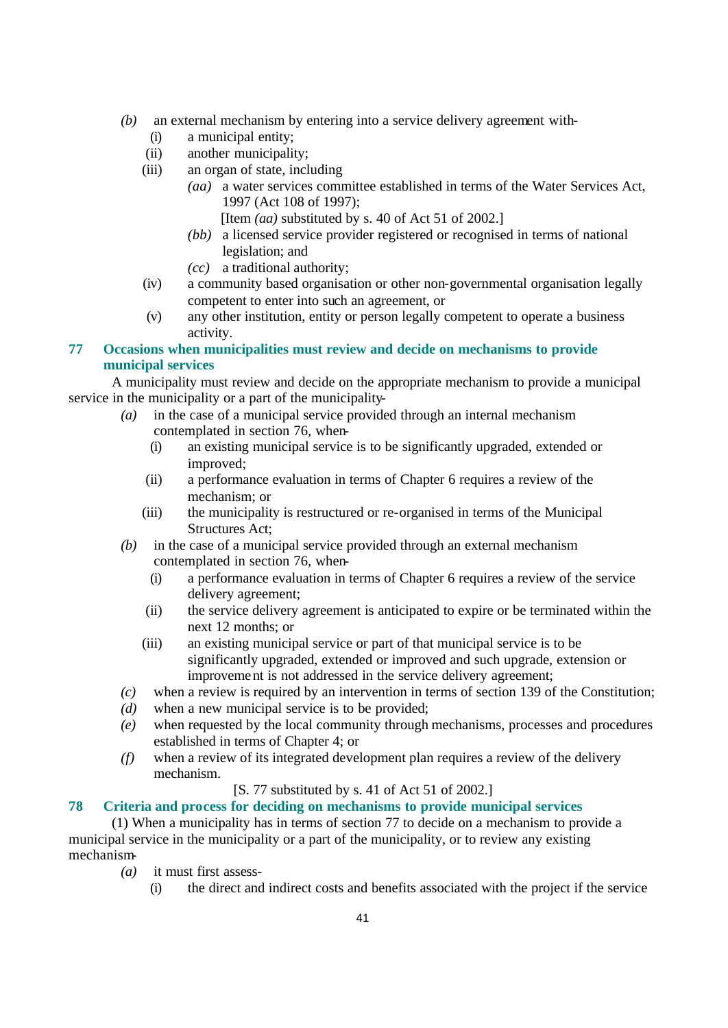- *(b)* an external mechanism by entering into a service delivery agreement with-
	- (i) a municipal entity;
	- (ii) another municipality;
	- (iii) an organ of state, including
		- *(aa)* a water services committee established in terms of the Water Services Act, 1997 (Act 108 of 1997);
			- [Item *(aa)* substituted by s. 40 of Act 51 of 2002.]
		- *(bb)* a licensed service provider registered or recognised in terms of national legislation; and
		- *(cc)* a traditional authority;
	- (iv) a community based organisation or other non-governmental organisation legally competent to enter into such an agreement, or
	- (v) any other institution, entity or person legally competent to operate a business activity.

# **77 Occasions when municipalities must review and decide on mechanisms to provide municipal services**

A municipality must review and decide on the appropriate mechanism to provide a municipal service in the municipality or a part of the municipality-

- *(a)* in the case of a municipal service provided through an internal mechanism contemplated in section 76, when-
	- (i) an existing municipal service is to be significantly upgraded, extended or improved;
	- (ii) a performance evaluation in terms of Chapter 6 requires a review of the mechanism; or
	- (iii) the municipality is restructured or re-organised in terms of the Municipal Structures Act;
- *(b)* in the case of a municipal service provided through an external mechanism contemplated in section 76, when-
	- (i) a performance evaluation in terms of Chapter 6 requires a review of the service delivery agreement;
	- (ii) the service delivery agreement is anticipated to expire or be terminated within the next 12 months; or
	- (iii) an existing municipal service or part of that municipal service is to be significantly upgraded, extended or improved and such upgrade, extension or improvement is not addressed in the service delivery agreement;
- *(c)* when a review is required by an intervention in terms of section 139 of the Constitution;
- *(d)* when a new municipal service is to be provided;
- *(e)* when requested by the local community through mechanisms, processes and procedures established in terms of Chapter 4; or
- *(f)* when a review of its integrated development plan requires a review of the delivery mechanism.

# [S. 77 substituted by s. 41 of Act 51 of 2002.]

# **78 Criteria and process for deciding on mechanisms to provide municipal services**

(1) When a municipality has in terms of section 77 to decide on a mechanism to provide a municipal service in the municipality or a part of the municipality, or to review any existing mechanism-

- *(a)* it must first assess-
	- (i) the direct and indirect costs and benefits associated with the project if the service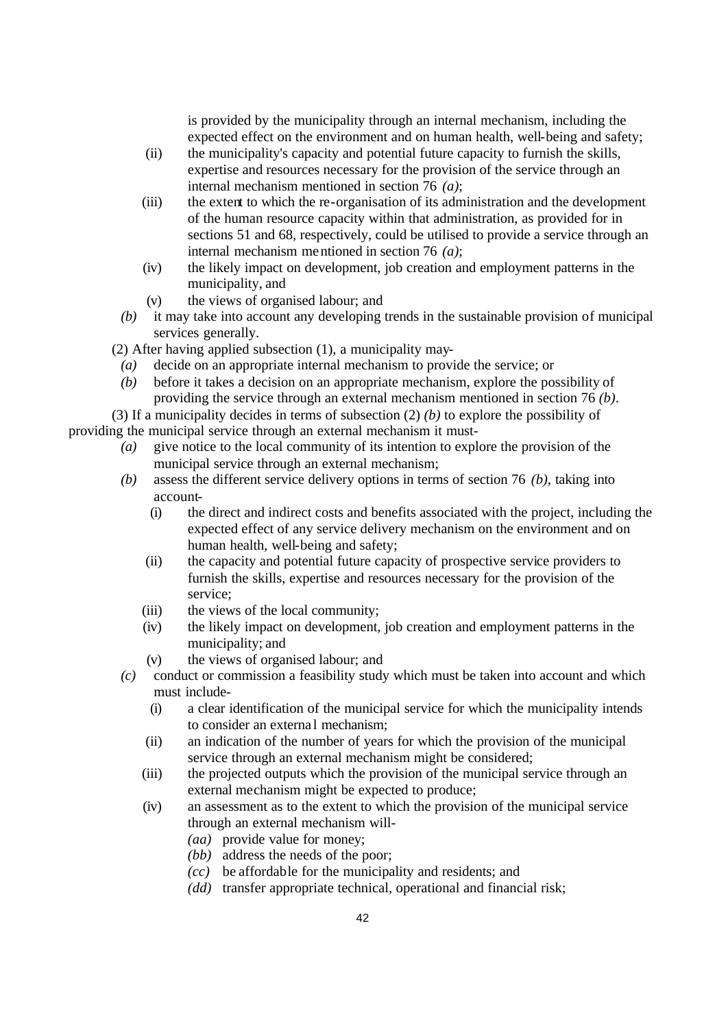is provided by the municipality through an internal mechanism, including the expected effect on the environment and on human health, well-being and safety;

- (ii) the municipality's capacity and potential future capacity to furnish the skills, expertise and resources necessary for the provision of the service through an internal mechanism mentioned in section 76 *(a)*;
- (iii) the extent to which the re-organisation of its administration and the development of the human resource capacity within that administration, as provided for in sections 51 and 68, respectively, could be utilised to provide a service through an internal mechanism mentioned in section 76 *(a)*;
- (iv) the likely impact on development, job creation and employment patterns in the municipality, and
- (v) the views of organised labour; and
- *(b)* it may take into account any developing trends in the sustainable provision of municipal services generally.

(2) After having applied subsection (1), a municipality may-

- *(a)* decide on an appropriate internal mechanism to provide the service; or
- *(b)* before it takes a decision on an appropriate mechanism, explore the possibility of providing the service through an external mechanism mentioned in section 76 *(b)*.

(3) If a municipality decides in terms of subsection (2) *(b)* to explore the possibility of providing the municipal service through an external mechanism it must-

- *(a)* give notice to the local community of its intention to explore the provision of the municipal service through an external mechanism;
- *(b)* assess the different service delivery options in terms of section 76 *(b)*, taking into account-
	- (i) the direct and indirect costs and benefits associated with the project, including the expected effect of any service delivery mechanism on the environment and on human health, well-being and safety;
	- (ii) the capacity and potential future capacity of prospective service providers to furnish the skills, expertise and resources necessary for the provision of the service;
	- (iii) the views of the local community;
	- (iv) the likely impact on development, job creation and employment patterns in the municipality; and
	- (v) the views of organised labour; and
- *(c)* conduct or commission a feasibility study which must be taken into account and which must include-
	- (i) a clear identification of the municipal service for which the municipality intends to consider an externa l mechanism;
	- (ii) an indication of the number of years for which the provision of the municipal service through an external mechanism might be considered;
	- (iii) the projected outputs which the provision of the municipal service through an external mechanism might be expected to produce;
	- (iv) an assessment as to the extent to which the provision of the municipal service through an external mechanism will-
		- *(aa)* provide value for money;
		- *(bb)* address the needs of the poor;
		- *(cc)* be affordable for the municipality and residents; and
		- *(dd)* transfer appropriate technical, operational and financial risk;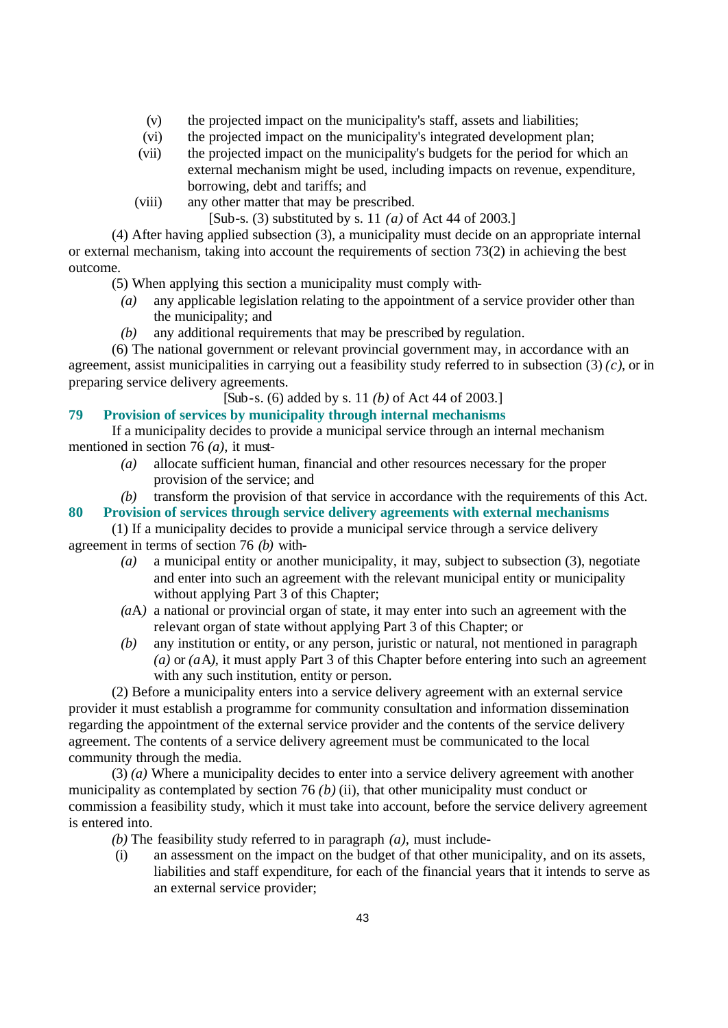- (v) the projected impact on the municipality's staff, assets and liabilities;
- (vi) the projected impact on the municipality's integrated development plan;
- (vii) the projected impact on the municipality's budgets for the period for which an external mechanism might be used, including impacts on revenue, expenditure, borrowing, debt and tariffs; and
- (viii) any other matter that may be prescribed.

[Sub-s. (3) substituted by s. 11 *(a)* of Act 44 of 2003.]

(4) After having applied subsection (3), a municipality must decide on an appropriate internal or external mechanism, taking into account the requirements of section 73(2) in achieving the best outcome.

(5) When applying this section a municipality must comply with-

- *(a)* any applicable legislation relating to the appointment of a service provider other than the municipality; and
- *(b)* any additional requirements that may be prescribed by regulation.

(6) The national government or relevant provincial government may, in accordance with an agreement, assist municipalities in carrying out a feasibility study referred to in subsection (3) *(c)*, or in preparing service delivery agreements.

[Sub-s. (6) added by s. 11 *(b)* of Act 44 of 2003.]

### **79 Provision of services by municipality through internal mechanisms**

If a municipality decides to provide a municipal service through an internal mechanism mentioned in section 76 *(a)*, it must-

*(a)* allocate sufficient human, financial and other resources necessary for the proper provision of the service; and

*(b)* transform the provision of that service in accordance with the requirements of this Act.

#### **80 Provision of services through service delivery agreements with external mechanisms**

(1) If a municipality decides to provide a municipal service through a service delivery agreement in terms of section 76 *(b)* with-

- *(a)* a municipal entity or another municipality, it may, subject to subsection (3), negotiate and enter into such an agreement with the relevant municipal entity or municipality without applying Part 3 of this Chapter;
- *(a*A*)* a national or provincial organ of state, it may enter into such an agreement with the relevant organ of state without applying Part 3 of this Chapter; or
- *(b)* any institution or entity, or any person, juristic or natural, not mentioned in paragraph *(a)* or *(a*A*)*, it must apply Part 3 of this Chapter before entering into such an agreement with any such institution, entity or person.

(2) Before a municipality enters into a service delivery agreement with an external service provider it must establish a programme for community consultation and information dissemination regarding the appointment of the external service provider and the contents of the service delivery agreement. The contents of a service delivery agreement must be communicated to the local community through the media.

(3) *(a)* Where a municipality decides to enter into a service delivery agreement with another municipality as contemplated by section 76 *(b)* (ii), that other municipality must conduct or commission a feasibility study, which it must take into account, before the service delivery agreement is entered into.

*(b)* The feasibility study referred to in paragraph *(a)*, must include-

(i) an assessment on the impact on the budget of that other municipality, and on its assets, liabilities and staff expenditure, for each of the financial years that it intends to serve as an external service provider;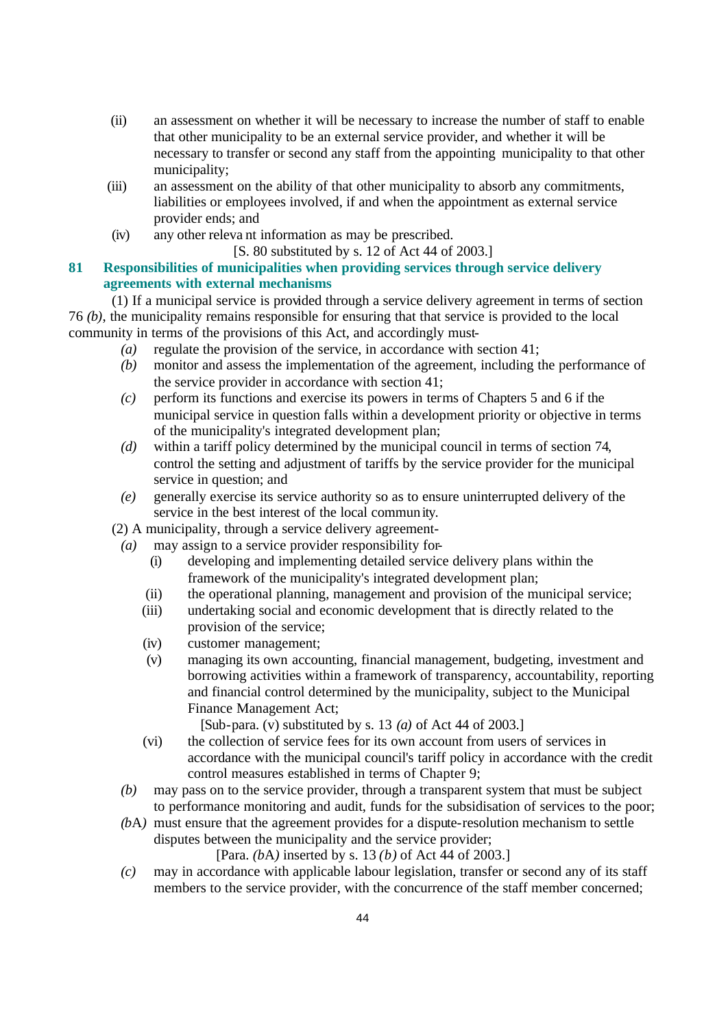- (ii) an assessment on whether it will be necessary to increase the number of staff to enable that other municipality to be an external service provider, and whether it will be necessary to transfer or second any staff from the appointing municipality to that other municipality;
- (iii) an assessment on the ability of that other municipality to absorb any commitments, liabilities or employees involved, if and when the appointment as external service provider ends; and
- (iv) any other releva nt information as may be prescribed.
	- [S. 80 substituted by s. 12 of Act 44 of 2003.]

# **81 Responsibilities of municipalities when providing services through service delivery agreements with external mechanisms**

(1) If a municipal service is provided through a service delivery agreement in terms of section 76 *(b)*, the municipality remains responsible for ensuring that that service is provided to the local community in terms of the provisions of this Act, and accordingly must-

- *(a)* regulate the provision of the service, in accordance with section 41;
- *(b)* monitor and assess the implementation of the agreement, including the performance of the service provider in accordance with section 41;
- *(c)* perform its functions and exercise its powers in terms of Chapters 5 and 6 if the municipal service in question falls within a development priority or objective in terms of the municipality's integrated development plan;
- *(d)* within a tariff policy determined by the municipal council in terms of section 74, control the setting and adjustment of tariffs by the service provider for the municipal service in question; and
- *(e)* generally exercise its service authority so as to ensure uninterrupted delivery of the service in the best interest of the local community.
- (2) A municipality, through a service delivery agreement-
	- *(a)* may assign to a service provider responsibility for-
		- (i) developing and implementing detailed service delivery plans within the framework of the municipality's integrated development plan;
		- (ii) the operational planning, management and provision of the municipal service;
		- (iii) undertaking social and economic development that is directly related to the provision of the service;
		- (iv) customer management;
		- (v) managing its own accounting, financial management, budgeting, investment and borrowing activities within a framework of transparency, accountability, reporting and financial control determined by the municipality, subject to the Municipal Finance Management Act;

[Sub-para. (v) substituted by s. 13 *(a)* of Act 44 of 2003.]

- (vi) the collection of service fees for its own account from users of services in accordance with the municipal council's tariff policy in accordance with the credit control measures established in terms of Chapter 9;
- *(b)* may pass on to the service provider, through a transparent system that must be subject to performance monitoring and audit, funds for the subsidisation of services to the poor;
- *(b*A*)* must ensure that the agreement provides for a dispute-resolution mechanism to settle disputes between the municipality and the service provider;

[Para. *(b*A*)* inserted by s. 13 *(b)* of Act 44 of 2003.]

*(c)* may in accordance with applicable labour legislation, transfer or second any of its staff members to the service provider, with the concurrence of the staff member concerned;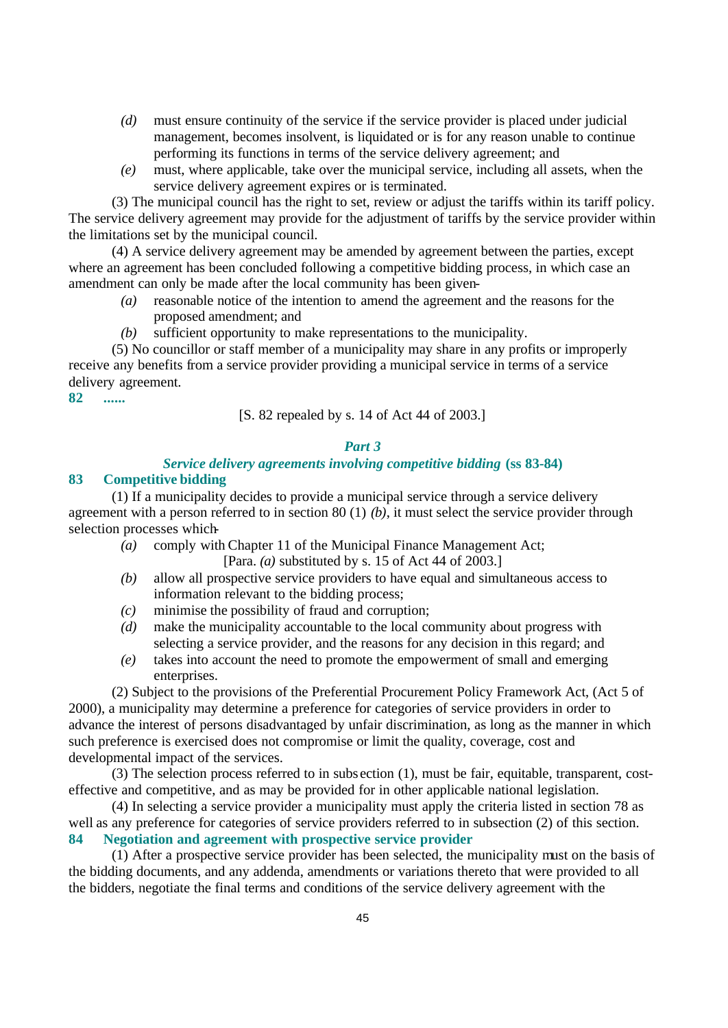- *(d)* must ensure continuity of the service if the service provider is placed under judicial management, becomes insolvent, is liquidated or is for any reason unable to continue performing its functions in terms of the service delivery agreement; and
- *(e)* must, where applicable, take over the municipal service, including all assets, when the service delivery agreement expires or is terminated.

(3) The municipal council has the right to set, review or adjust the tariffs within its tariff policy. The service delivery agreement may provide for the adjustment of tariffs by the service provider within the limitations set by the municipal council.

(4) A service delivery agreement may be amended by agreement between the parties, except where an agreement has been concluded following a competitive bidding process, in which case an amendment can only be made after the local community has been given-

- *(a)* reasonable notice of the intention to amend the agreement and the reasons for the proposed amendment; and
- *(b)* sufficient opportunity to make representations to the municipality.

(5) No councillor or staff member of a municipality may share in any profits or improperly receive any benefits from a service provider providing a municipal service in terms of a service delivery agreement.

**82 ......**

[S. 82 repealed by s. 14 of Act 44 of 2003.]

#### *Part 3*

## *Service delivery agreements involving competitive bidding* **(ss 83-84)**

#### **83 Competitive bidding**

(1) If a municipality decides to provide a municipal service through a service delivery agreement with a person referred to in section 80 (1) *(b)*, it must select the service provider through selection processes which-

- *(a)* comply with Chapter 11 of the Municipal Finance Management Act; [Para. *(a)* substituted by s. 15 of Act 44 of 2003.]
- *(b)* allow all prospective service providers to have equal and simultaneous access to information relevant to the bidding process;
- *(c)* minimise the possibility of fraud and corruption;
- *(d)* make the municipality accountable to the local community about progress with selecting a service provider, and the reasons for any decision in this regard; and
- *(e)* takes into account the need to promote the empowerment of small and emerging enterprises.

(2) Subject to the provisions of the Preferential Procurement Policy Framework Act, (Act 5 of 2000), a municipality may determine a preference for categories of service providers in order to advance the interest of persons disadvantaged by unfair discrimination, as long as the manner in which such preference is exercised does not compromise or limit the quality, coverage, cost and developmental impact of the services.

(3) The selection process referred to in subs ection (1), must be fair, equitable, transparent, costeffective and competitive, and as may be provided for in other applicable national legislation.

(4) In selecting a service provider a municipality must apply the criteria listed in section 78 as well as any preference for categories of service providers referred to in subsection (2) of this section. **84 Negotiation and agreement with prospective service provider**

(1) After a prospective service provider has been selected, the municipality must on the basis of the bidding documents, and any addenda, amendments or variations thereto that were provided to all the bidders, negotiate the final terms and conditions of the service delivery agreement with the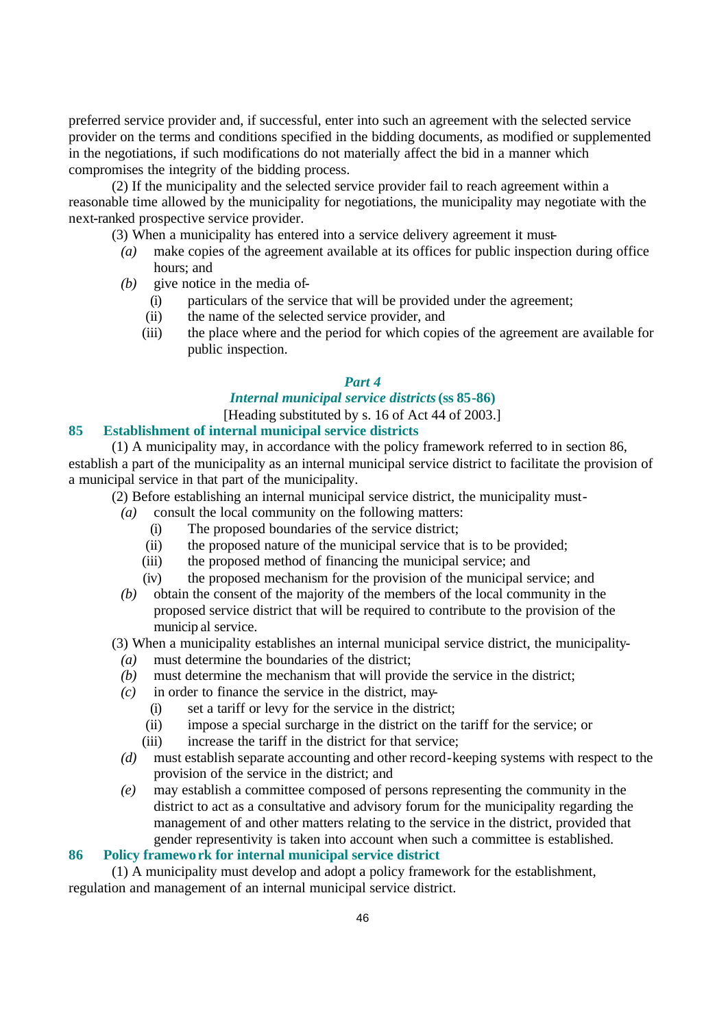preferred service provider and, if successful, enter into such an agreement with the selected service provider on the terms and conditions specified in the bidding documents, as modified or supplemented in the negotiations, if such modifications do not materially affect the bid in a manner which compromises the integrity of the bidding process.

(2) If the municipality and the selected service provider fail to reach agreement within a reasonable time allowed by the municipality for negotiations, the municipality may negotiate with the next-ranked prospective service provider.

(3) When a municipality has entered into a service delivery agreement it must-

- *(a)* make copies of the agreement available at its offices for public inspection during office hours; and
- *(b)* give notice in the media of-
	- (i) particulars of the service that will be provided under the agreement;
	- (ii) the name of the selected service provider, and
	- (iii) the place where and the period for which copies of the agreement are available for public inspection.

#### *Part 4*

# *Internal municipal service districts* **(ss 85-86)**

[Heading substituted by s. 16 of Act 44 of 2003.]

## **85 Establishment of internal municipal service districts**

(1) A municipality may, in accordance with the policy framework referred to in section 86, establish a part of the municipality as an internal municipal service district to facilitate the provision of a municipal service in that part of the municipality.

(2) Before establishing an internal municipal service district, the municipality must-

- *(a)* consult the local community on the following matters:
	- (i) The proposed boundaries of the service district;
	- (ii) the proposed nature of the municipal service that is to be provided;
	- (iii) the proposed method of financing the municipal service; and
	- (iv) the proposed mechanism for the provision of the municipal service; and
- *(b)* obtain the consent of the majority of the members of the local community in the proposed service district that will be required to contribute to the provision of the municip al service.

(3) When a municipality establishes an internal municipal service district, the municipality-

- *(a)* must determine the boundaries of the district;
- *(b)* must determine the mechanism that will provide the service in the district;
- *(c)* in order to finance the service in the district, may-
	- (i) set a tariff or levy for the service in the district;
	- (ii) impose a special surcharge in the district on the tariff for the service; or
	- (iii) increase the tariff in the district for that service;
- *(d)* must establish separate accounting and other record-keeping systems with respect to the provision of the service in the district; and
- *(e)* may establish a committee composed of persons representing the community in the district to act as a consultative and advisory forum for the municipality regarding the management of and other matters relating to the service in the district, provided that gender representivity is taken into account when such a committee is established.

### **86 Policy framework for internal municipal service district**

(1) A municipality must develop and adopt a policy framework for the establishment, regulation and management of an internal municipal service district.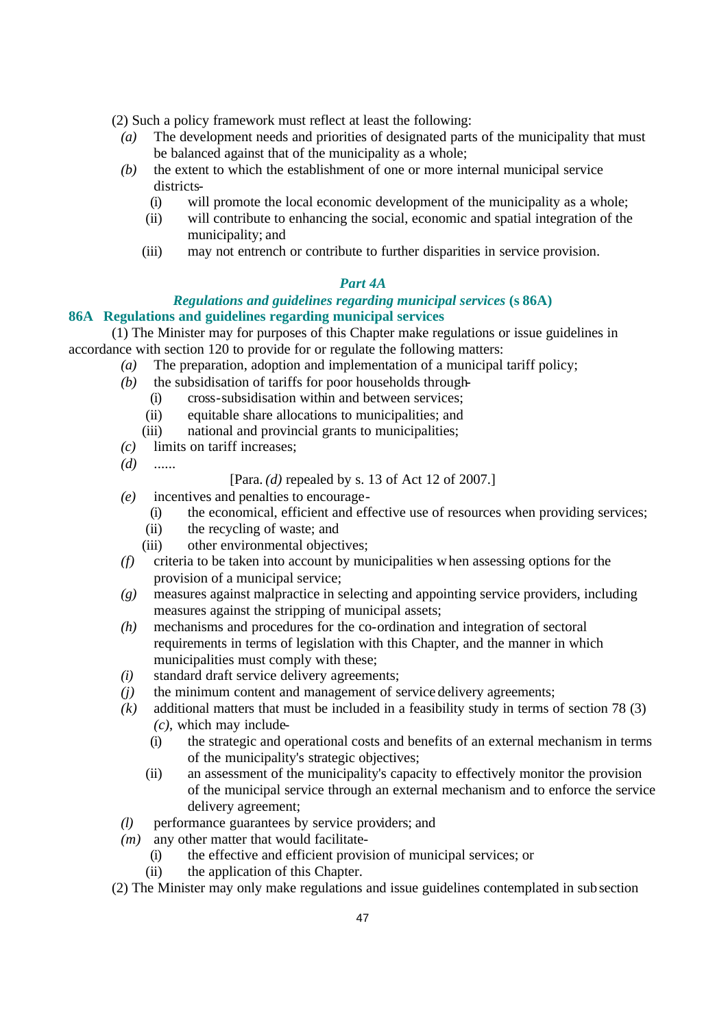(2) Such a policy framework must reflect at least the following:

- *(a)* The development needs and priorities of designated parts of the municipality that must be balanced against that of the municipality as a whole;
- *(b)* the extent to which the establishment of one or more internal municipal service districts-
	- (i) will promote the local economic development of the municipality as a whole;
	- (ii) will contribute to enhancing the social, economic and spatial integration of the municipality; and
	- (iii) may not entrench or contribute to further disparities in service provision.

# *Part 4A*

## *Regulations and guidelines regarding municipal services* **(s 86A) 86A Regulations and guidelines regarding municipal services**

(1) The Minister may for purposes of this Chapter make regulations or issue guidelines in accordance with section 120 to provide for or regulate the following matters:

- *(a)* The preparation, adoption and implementation of a municipal tariff policy;
- *(b)* the subsidisation of tariffs for poor households through-
	- (i) cross-subsidisation within and between services;
	- (ii) equitable share allocations to municipalities; and
	- (iii) national and provincial grants to municipalities;
- *(c)* limits on tariff increases;
- *(d)* ......

[Para. *(d)* repealed by s. 13 of Act 12 of 2007.]

- *(e)* incentives and penalties to encourage-
	- (i) the economical, efficient and effective use of resources when providing services;
	- (ii) the recycling of waste; and
	- (iii) other environmental objectives;
- *(f)* criteria to be taken into account by municipalities when assessing options for the provision of a municipal service;
- *(g)* measures against malpractice in selecting and appointing service providers, including measures against the stripping of municipal assets;
- *(h)* mechanisms and procedures for the co-ordination and integration of sectoral requirements in terms of legislation with this Chapter, and the manner in which municipalities must comply with these;
- *(i)* standard draft service delivery agreements;
- *(j)* the minimum content and management of service delivery agreements;
- *(k)* additional matters that must be included in a feasibility study in terms of section 78 (3) *(c)*, which may include-
	- (i) the strategic and operational costs and benefits of an external mechanism in terms of the municipality's strategic objectives;
	- (ii) an assessment of the municipality's capacity to effectively monitor the provision of the municipal service through an external mechanism and to enforce the service delivery agreement;
- *(l)* performance guarantees by service providers; and
- *(m)* any other matter that would facilitate-
	- (i) the effective and efficient provision of municipal services; or
	- (ii) the application of this Chapter.
- (2) The Minister may only make regulations and issue guidelines contemplated in subsection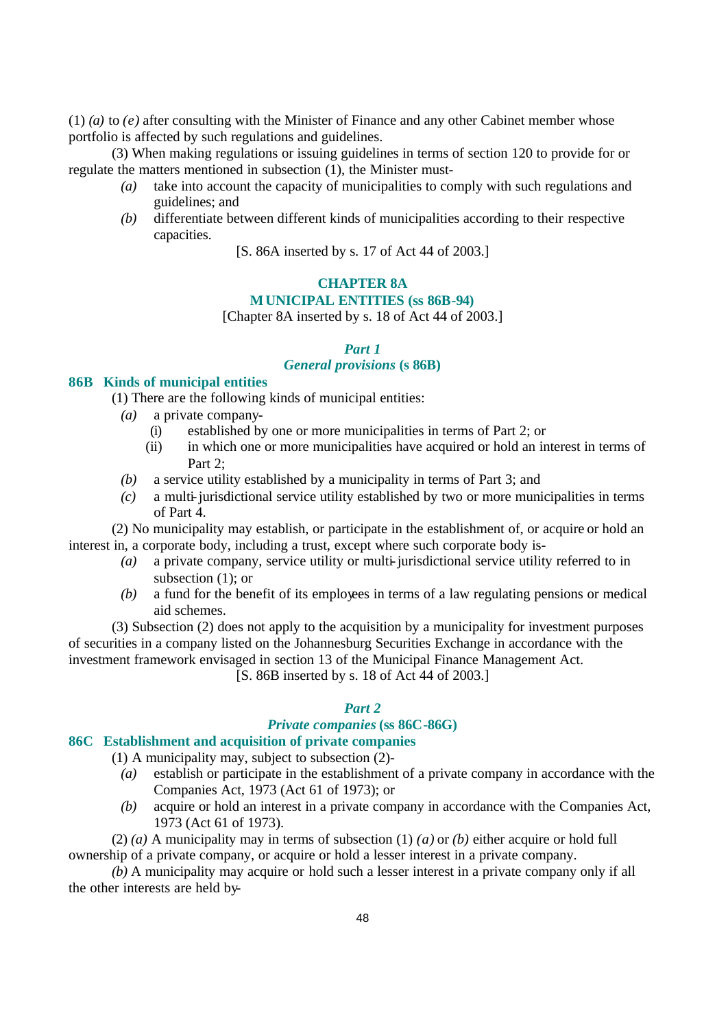(1) *(a)* to *(e)* after consulting with the Minister of Finance and any other Cabinet member whose portfolio is affected by such regulations and guidelines.

(3) When making regulations or issuing guidelines in terms of section 120 to provide for or regulate the matters mentioned in subsection (1), the Minister must-

- *(a)* take into account the capacity of municipalities to comply with such regulations and guidelines; and
- *(b)* differentiate between different kinds of municipalities according to their respective capacities.
	- [S. 86A inserted by s. 17 of Act 44 of 2003.]

# **CHAPTER 8A**

## **MUNICIPAL ENTITIES (ss 86B-94)**

[Chapter 8A inserted by s. 18 of Act 44 of 2003.]

#### *Part 1*

# *General provisions* **(s 86B)**

#### **86B Kinds of municipal entities**

- (1) There are the following kinds of municipal entities:
	- *(a)* a private company-
		- (i) established by one or more municipalities in terms of Part 2; or
		- (ii) in which one or more municipalities have acquired or hold an interest in terms of Part 2:
	- *(b)* a service utility established by a municipality in terms of Part 3; and
	- *(c)* a multi-jurisdictional service utility established by two or more municipalities in terms of Part 4.

(2) No municipality may establish, or participate in the establishment of, or acquire or hold an interest in, a corporate body, including a trust, except where such corporate body is-

- *(a)* a private company, service utility or multi-jurisdictional service utility referred to in subsection (1); or
- *(b)* a fund for the benefit of its employees in terms of a law regulating pensions or medical aid schemes.

(3) Subsection (2) does not apply to the acquisition by a municipality for investment purposes of securities in a company listed on the Johannesburg Securities Exchange in accordance with the investment framework envisaged in section 13 of the Municipal Finance Management Act.

[S. 86B inserted by s. 18 of Act 44 of 2003.]

# *Part 2*

### *Private companies* **(ss 86C-86G)**

#### **86C Establishment and acquisition of private companies**

(1) A municipality may, subject to subsection (2)-

- *(a)* establish or participate in the establishment of a private company in accordance with the Companies Act, 1973 (Act 61 of 1973); or
- *(b)* acquire or hold an interest in a private company in accordance with the Companies Act, 1973 (Act 61 of 1973).

(2) *(a)* A municipality may in terms of subsection (1) *(a)* or *(b)* either acquire or hold full ownership of a private company, or acquire or hold a lesser interest in a private company.

*(b)* A municipality may acquire or hold such a lesser interest in a private company only if all the other interests are held by-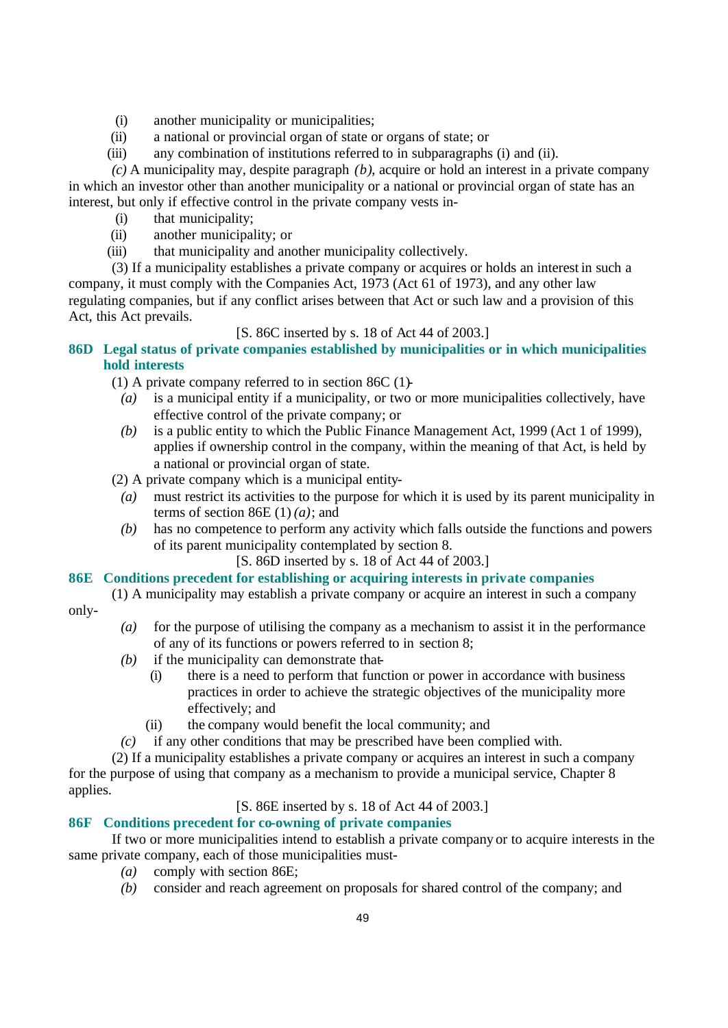- (i) another municipality or municipalities;
- (ii) a national or provincial organ of state or organs of state; or
- (iii) any combination of institutions referred to in subparagraphs (i) and (ii).

*(c)* A municipality may, despite paragraph *(b)*, acquire or hold an interest in a private company in which an investor other than another municipality or a national or provincial organ of state has an interest, but only if effective control in the private company vests in-

- (i) that municipality;
- (ii) another municipality; or
- (iii) that municipality and another municipality collectively.

(3) If a municipality establishes a private company or acquires or holds an interest in such a company, it must comply with the Companies Act, 1973 (Act 61 of 1973), and any other law regulating companies, but if any conflict arises between that Act or such law and a provision of this Act, this Act prevails.

[S. 86C inserted by s. 18 of Act 44 of 2003.]

# **86D Legal status of private companies established by municipalities or in which municipalities hold interests**

(1) A private company referred to in section  $86C(1)$ -

- *(a)* is a municipal entity if a municipality, or two or more municipalities collectively, have effective control of the private company; or
- *(b)* is a public entity to which the Public Finance Management Act, 1999 (Act 1 of 1999), applies if ownership control in the company, within the meaning of that Act, is held by a national or provincial organ of state.

(2) A private company which is a municipal entity-

- *(a)* must restrict its activities to the purpose for which it is used by its parent municipality in terms of section 86E  $(1)$   $(a)$ ; and
- *(b)* has no competence to perform any activity which falls outside the functions and powers of its parent municipality contemplated by section 8.
	- [S. 86D inserted by s. 18 of Act 44 of 2003.]

## **86E Conditions precedent for establishing or acquiring interests in private companies**

- (1) A municipality may establish a private company or acquire an interest in such a company only-
	- *(a)* for the purpose of utilising the company as a mechanism to assist it in the performance of any of its functions or powers referred to in section 8;
	- *(b)* if the municipality can demonstrate that-
		- (i) there is a need to perform that function or power in accordance with business practices in order to achieve the strategic objectives of the municipality more effectively; and
		- (ii) the company would benefit the local community; and
	- *(c)* if any other conditions that may be prescribed have been complied with.

(2) If a municipality establishes a private company or acquires an interest in such a company for the purpose of using that company as a mechanism to provide a municipal service, Chapter 8 applies.

## [S. 86E inserted by s. 18 of Act 44 of 2003.]

# **86F Conditions precedent for co-owning of private companies**

If two or more municipalities intend to establish a private company or to acquire interests in the same private company, each of those municipalities must-

- *(a)* comply with section 86E;
- *(b)* consider and reach agreement on proposals for shared control of the company; and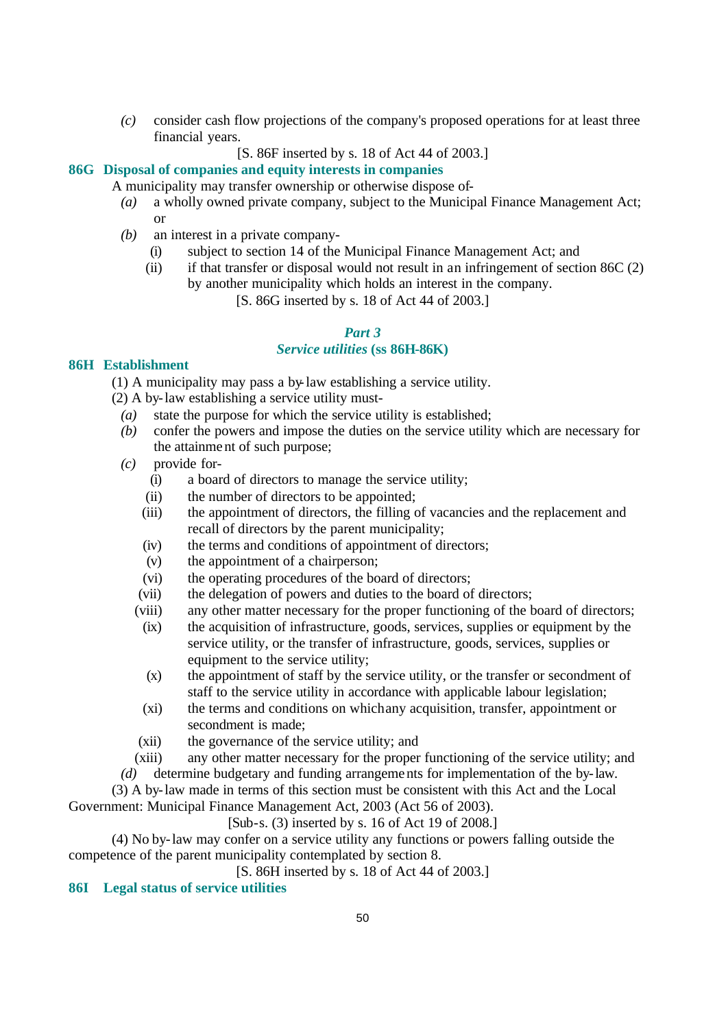*(c)* consider cash flow projections of the company's proposed operations for at least three financial years.

[S. 86F inserted by s. 18 of Act 44 of 2003.]

# **86G Disposal of companies and equity interests in companies**

A municipality may transfer ownership or otherwise dispose of-

- *(a)* a wholly owned private company, subject to the Municipal Finance Management Act; or
- *(b)* an interest in a private company-
	- (i) subject to section 14 of the Municipal Finance Management Act; and
	- (ii) if that transfer or disposal would not result in an infringement of section  $86C(2)$ by another municipality which holds an interest in the company.

[S. 86G inserted by s. 18 of Act 44 of 2003.]

### *Part 3*

## *Service utilities* **(ss 86H-86K)**

## **86H Establishment**

(1) A municipality may pass a by-law establishing a service utility.

(2) A by-law establishing a service utility must-

- *(a)* state the purpose for which the service utility is established;
- *(b)* confer the powers and impose the duties on the service utility which are necessary for the attainment of such purpose;
- *(c)* provide for-
	- (i) a board of directors to manage the service utility;
	- (ii) the number of directors to be appointed;
	- (iii) the appointment of directors, the filling of vacancies and the replacement and recall of directors by the parent municipality;
	- (iv) the terms and conditions of appointment of directors;
	- (v) the appointment of a chairperson;
	- (vi) the operating procedures of the board of directors;
	- (vii) the delegation of powers and duties to the board of directors;
	- (viii) any other matter necessary for the proper functioning of the board of directors;
	- (ix) the acquisition of infrastructure, goods, services, supplies or equipment by the service utility, or the transfer of infrastructure, goods, services, supplies or equipment to the service utility;
	- (x) the appointment of staff by the service utility, or the transfer or secondment of staff to the service utility in accordance with applicable labour legislation;
	- (xi) the terms and conditions on which any acquisition, transfer, appointment or secondment is made;
	- (xii) the governance of the service utility; and
	- (xiii) any other matter necessary for the proper functioning of the service utility; and
- *(d)* determine budgetary and funding arrangements for implementation of the by-law.

(3) A by-law made in terms of this section must be consistent with this Act and the Local Government: Municipal Finance Management Act, 2003 (Act 56 of 2003).

[Sub-s. (3) inserted by s. 16 of Act 19 of 2008.]

(4) No by-law may confer on a service utility any functions or powers falling outside the competence of the parent municipality contemplated by section 8.

[S. 86H inserted by s. 18 of Act 44 of 2003.]

## **86I Legal status of service utilities**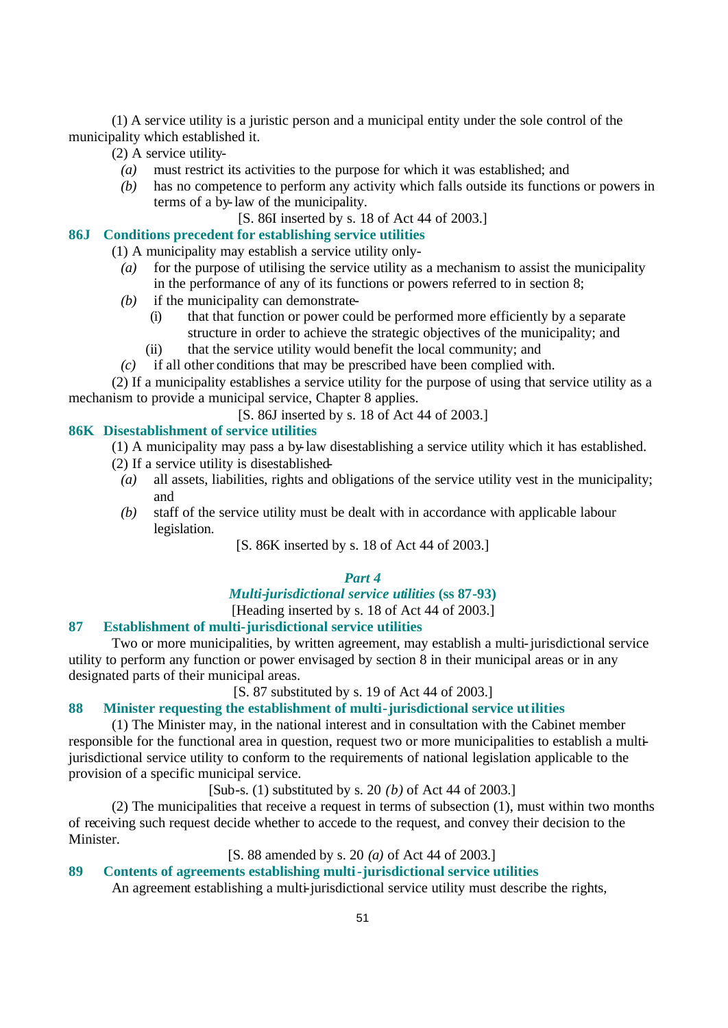(1) A service utility is a juristic person and a municipal entity under the sole control of the municipality which established it.

(2) A service utility-

- *(a)* must restrict its activities to the purpose for which it was established; and
- *(b)* has no competence to perform any activity which falls outside its functions or powers in terms of a by-law of the municipality.
	- [S. 86I inserted by s. 18 of Act 44 of 2003.]

# **86J Conditions precedent for establishing service utilities**

- (1) A municipality may establish a service utility only-
	- *(a)* for the purpose of utilising the service utility as a mechanism to assist the municipality in the performance of any of its functions or powers referred to in section 8;
	- *(b)* if the municipality can demonstrate-
		- (i) that that function or power could be performed more efficiently by a separate structure in order to achieve the strategic objectives of the municipality; and
		- (ii) that the service utility would benefit the local community; and
	- *(c)* if all other conditions that may be prescribed have been complied with.

(2) If a municipality establishes a service utility for the purpose of using that service utility as a mechanism to provide a municipal service, Chapter 8 applies.

[S. 86J inserted by s. 18 of Act 44 of 2003.]

### **86K Disestablishment of service utilities**

- (1) A municipality may pass a by-law disestablishing a service utility which it has established.
- (2) If a service utility is disestablished-
	- *(a)* all assets, liabilities, rights and obligations of the service utility vest in the municipality; and
	- *(b)* staff of the service utility must be dealt with in accordance with applicable labour legislation.

[S. 86K inserted by s. 18 of Act 44 of 2003.]

## *Part 4*

## *Multi-jurisdictional service utilities* **(ss 87-93)**

[Heading inserted by s. 18 of Act 44 of 2003.]

#### **87 Establishment of multi-jurisdictional service utilities**

Two or more municipalities, by written agreement, may establish a multi-jurisdictional service utility to perform any function or power envisaged by section 8 in their municipal areas or in any designated parts of their municipal areas.

[S. 87 substituted by s. 19 of Act 44 of 2003.]

# **88 Minister requesting the establishment of multi-jurisdictional service utilities**

(1) The Minister may, in the national interest and in consultation with the Cabinet member responsible for the functional area in question, request two or more municipalities to establish a multijurisdictional service utility to conform to the requirements of national legislation applicable to the provision of a specific municipal service.

[Sub-s. (1) substituted by s. 20 *(b)* of Act 44 of 2003.]

(2) The municipalities that receive a request in terms of subsection (1), must within two months of receiving such request decide whether to accede to the request, and convey their decision to the **Minister** 

#### [S. 88 amended by s. 20 *(a)* of Act 44 of 2003.]

#### **89 Contents of agreements establishing multi-jurisdictional service utilities**

An agreement establishing a multi-jurisdictional service utility must describe the rights,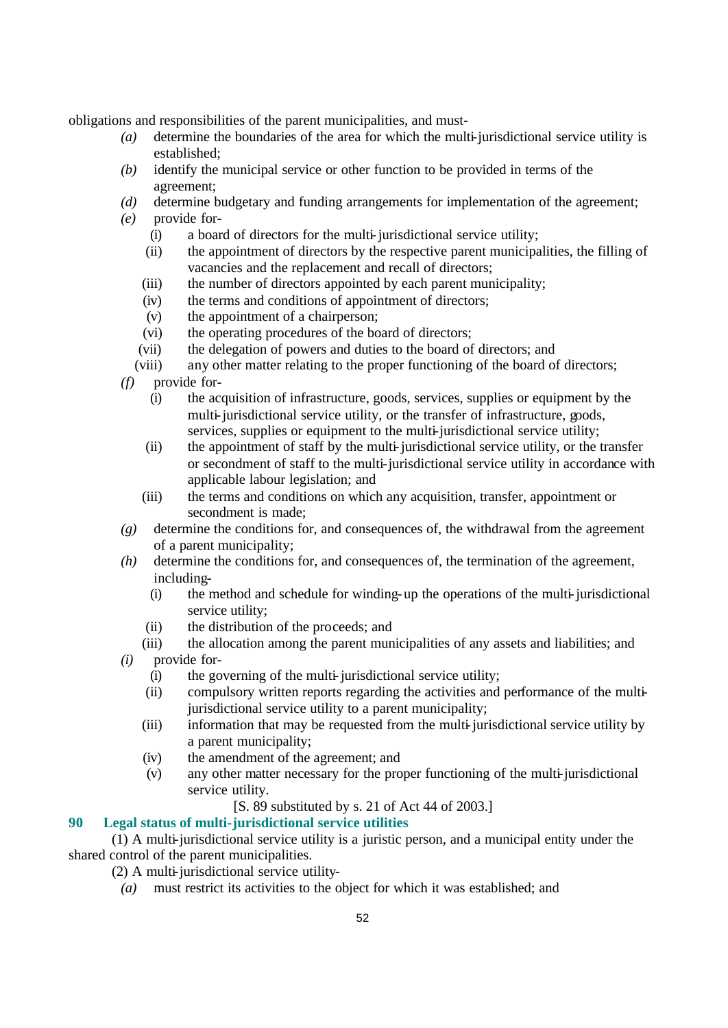obligations and responsibilities of the parent municipalities, and must-

- *(a)* determine the boundaries of the area for which the multi-jurisdictional service utility is established;
- *(b)* identify the municipal service or other function to be provided in terms of the agreement;
- *(d)* determine budgetary and funding arrangements for implementation of the agreement;
- *(e)* provide for-
	- (i) a board of directors for the multi-jurisdictional service utility;
	- (ii) the appointment of directors by the respective parent municipalities, the filling of vacancies and the replacement and recall of directors;
	- (iii) the number of directors appointed by each parent municipality;
	- (iv) the terms and conditions of appointment of directors;
	- (v) the appointment of a chairperson;
	- (vi) the operating procedures of the board of directors;
	- (vii) the delegation of powers and duties to the board of directors; and
	- (viii) any other matter relating to the proper functioning of the board of directors;
- *(f)* provide for-
	- (i) the acquisition of infrastructure, goods, services, supplies or equipment by the multi-jurisdictional service utility, or the transfer of infrastructure, goods, services, supplies or equipment to the multi-jurisdictional service utility;
	- (ii) the appointment of staff by the multi-jurisdictional service utility, or the transfer or secondment of staff to the multi-jurisdictional service utility in accordance with applicable labour legislation; and
	- (iii) the terms and conditions on which any acquisition, transfer, appointment or secondment is made;
- *(g)* determine the conditions for, and consequences of, the withdrawal from the agreement of a parent municipality;
- *(h)* determine the conditions for, and consequences of, the termination of the agreement, including-
	- (i) the method and schedule for winding-up the operations of the multi-jurisdictional service utility;
	- (ii) the distribution of the proceeds; and
	- (iii) the allocation among the parent municipalities of any assets and liabilities; and
- *(i)* provide for-
	- (i) the governing of the multi-jurisdictional service utility;
	- (ii) compulsory written reports regarding the activities and performance of the multijurisdictional service utility to a parent municipality;
	- (iii) information that may be requested from the multi-jurisdictional service utility by a parent municipality;
	- (iv) the amendment of the agreement; and
	- (v) any other matter necessary for the proper functioning of the multi-jurisdictional service utility.
		- [S. 89 substituted by s. 21 of Act 44 of 2003.]

# **90 Legal status of multi-jurisdictional service utilities**

(1) A multi-jurisdictional service utility is a juristic person, and a municipal entity under the shared control of the parent municipalities.

(2) A multi-jurisdictional service utility-

*(a)* must restrict its activities to the object for which it was established; and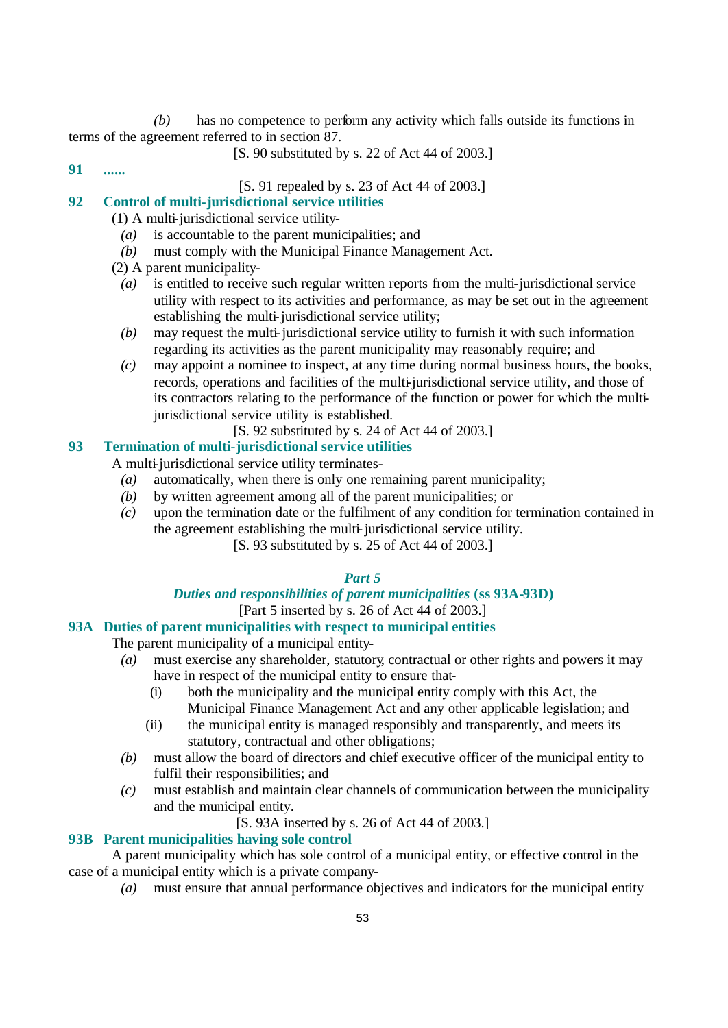*(b)* has no competence to perform any activity which falls outside its functions in terms of the agreement referred to in section 87.

[S. 90 substituted by s. 22 of Act 44 of 2003.]

**91 ......**

[S. 91 repealed by s. 23 of Act 44 of 2003.]

# **92 Control of multi-jurisdictional service utilities**

(1) A multi-jurisdictional service utility-

- *(a)* is accountable to the parent municipalities; and
- *(b)* must comply with the Municipal Finance Management Act.
- (2) A parent municipality-
	- *(a)* is entitled to receive such regular written reports from the multi-jurisdictional service utility with respect to its activities and performance, as may be set out in the agreement establishing the multi-jurisdictional service utility;
	- *(b)* may request the multi-jurisdictional service utility to furnish it with such information regarding its activities as the parent municipality may reasonably require; and
	- *(c)* may appoint a nominee to inspect, at any time during normal business hours, the books, records, operations and facilities of the multi-jurisdictional service utility, and those of its contractors relating to the performance of the function or power for which the multijurisdictional service utility is established.

[S. 92 substituted by s. 24 of Act 44 of 2003.]

# **93 Termination of multi-jurisdictional service utilities**

A multi-jurisdictional service utility terminates-

- *(a)* automatically, when there is only one remaining parent municipality;
- *(b)* by written agreement among all of the parent municipalities; or
- *(c)* upon the termination date or the fulfilment of any condition for termination contained in the agreement establishing the multi-jurisdictional service utility.

[S. 93 substituted by s. 25 of Act 44 of 2003.]

# *Part 5*

### *Duties and responsibilities of parent municipalities* **(ss 93A-93D)** [Part 5 inserted by s. 26 of Act 44 of 2003.]

#### **93A Duties of parent municipalities with respect to municipal entities**

The parent municipality of a municipal entity-

- *(a)* must exercise any shareholder, statutory, contractual or other rights and powers it may have in respect of the municipal entity to ensure that-
	- (i) both the municipality and the municipal entity comply with this Act, the Municipal Finance Management Act and any other applicable legislation; and
	- (ii) the municipal entity is managed responsibly and transparently, and meets its statutory, contractual and other obligations;
- *(b)* must allow the board of directors and chief executive officer of the municipal entity to fulfil their responsibilities; and
- *(c)* must establish and maintain clear channels of communication between the municipality and the municipal entity.

[S. 93A inserted by s. 26 of Act 44 of 2003.]

## **93B Parent municipalities having sole control**

A parent municipality which has sole control of a municipal entity, or effective control in the case of a municipal entity which is a private company-

*(a)* must ensure that annual performance objectives and indicators for the municipal entity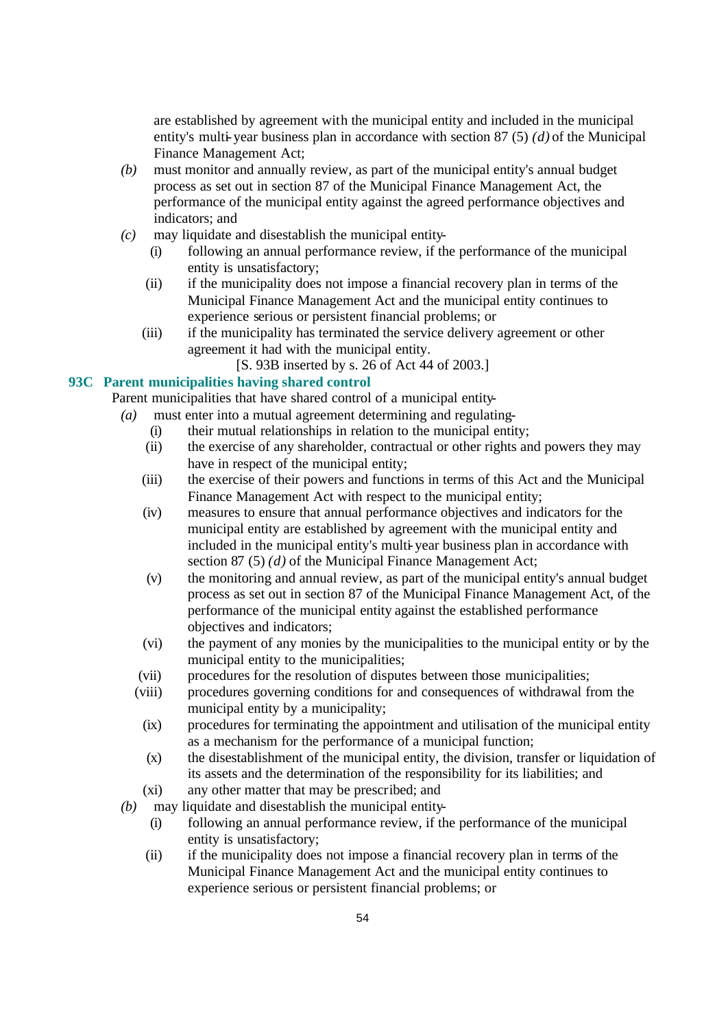are established by agreement with the municipal entity and included in the municipal entity's multi-year business plan in accordance with section 87 (5) *(d)* of the Municipal Finance Management Act;

- *(b)* must monitor and annually review, as part of the municipal entity's annual budget process as set out in section 87 of the Municipal Finance Management Act, the performance of the municipal entity against the agreed performance objectives and indicators; and
- *(c)* may liquidate and disestablish the municipal entity-
	- (i) following an annual performance review, if the performance of the municipal entity is unsatisfactory;
	- (ii) if the municipality does not impose a financial recovery plan in terms of the Municipal Finance Management Act and the municipal entity continues to experience serious or persistent financial problems; or
	- (iii) if the municipality has terminated the service delivery agreement or other agreement it had with the municipal entity.
		- [S. 93B inserted by s. 26 of Act 44 of 2003.]

# **93C Parent municipalities having shared control**

Parent municipalities that have shared control of a municipal entity-

- *(a)* must enter into a mutual agreement determining and regulating-
	- (i) their mutual relationships in relation to the municipal entity;
	- (ii) the exercise of any shareholder, contractual or other rights and powers they may have in respect of the municipal entity;
	- (iii) the exercise of their powers and functions in terms of this Act and the Municipal Finance Management Act with respect to the municipal entity;
	- (iv) measures to ensure that annual performance objectives and indicators for the municipal entity are established by agreement with the municipal entity and included in the municipal entity's multi-year business plan in accordance with section 87 (5) *(d)* of the Municipal Finance Management Act;
	- (v) the monitoring and annual review, as part of the municipal entity's annual budget process as set out in section 87 of the Municipal Finance Management Act, of the performance of the municipal entity against the established performance objectives and indicators;
	- (vi) the payment of any monies by the municipalities to the municipal entity or by the municipal entity to the municipalities;
	- (vii) procedures for the resolution of disputes between those municipalities;
	- (viii) procedures governing conditions for and consequences of withdrawal from the municipal entity by a municipality;
		- (ix) procedures for terminating the appointment and utilisation of the municipal entity as a mechanism for the performance of a municipal function;
		- (x) the disestablishment of the municipal entity, the division, transfer or liquidation of its assets and the determination of the responsibility for its liabilities; and
	- (xi) any other matter that may be prescribed; and
- *(b)* may liquidate and disestablish the municipal entity-
	- (i) following an annual performance review, if the performance of the municipal entity is unsatisfactory;
	- (ii) if the municipality does not impose a financial recovery plan in terms of the Municipal Finance Management Act and the municipal entity continues to experience serious or persistent financial problems; or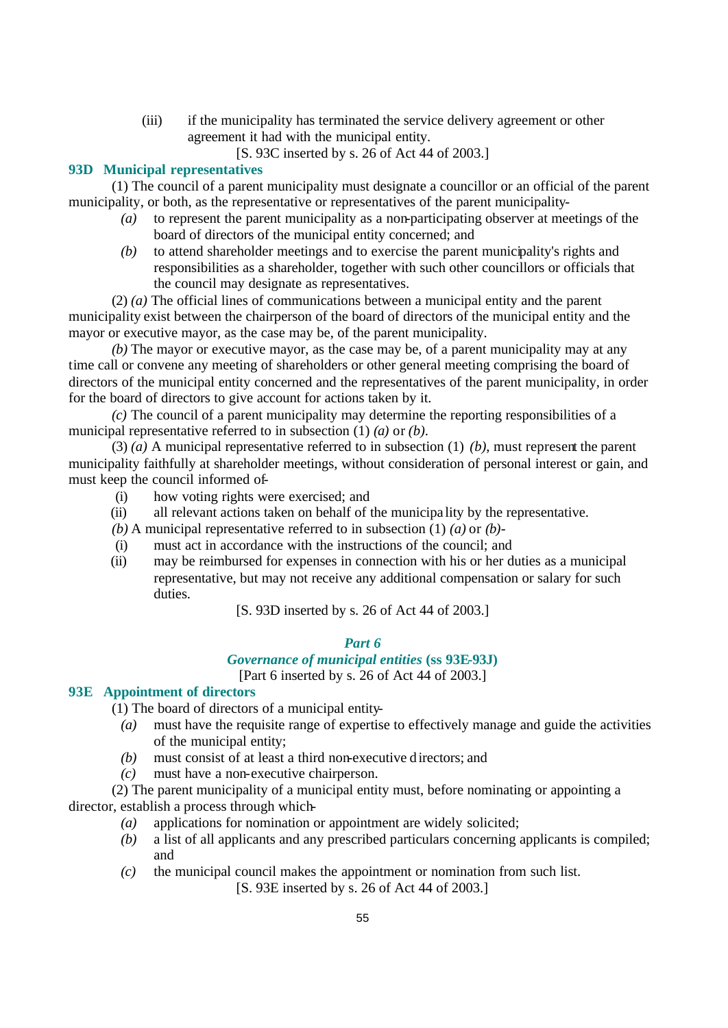- (iii) if the municipality has terminated the service delivery agreement or other agreement it had with the municipal entity.
	- [S. 93C inserted by s. 26 of Act 44 of 2003.]

# **93D Municipal representatives**

(1) The council of a parent municipality must designate a councillor or an official of the parent municipality, or both, as the representative or representatives of the parent municipality-

- *(a)* to represent the parent municipality as a non-participating observer at meetings of the board of directors of the municipal entity concerned; and
- *(b)* to attend shareholder meetings and to exercise the parent municipality's rights and responsibilities as a shareholder, together with such other councillors or officials that the council may designate as representatives.

(2) *(a)* The official lines of communications between a municipal entity and the parent municipality exist between the chairperson of the board of directors of the municipal entity and the mayor or executive mayor, as the case may be, of the parent municipality.

*(b)* The mayor or executive mayor, as the case may be, of a parent municipality may at any time call or convene any meeting of shareholders or other general meeting comprising the board of directors of the municipal entity concerned and the representatives of the parent municipality, in order for the board of directors to give account for actions taken by it.

*(c)* The council of a parent municipality may determine the reporting responsibilities of a municipal representative referred to in subsection (1) *(a)* or *(b)*.

(3) *(a)* A municipal representative referred to in subsection (1) *(b)*, must represent the parent municipality faithfully at shareholder meetings, without consideration of personal interest or gain, and must keep the council informed of-

- (i) how voting rights were exercised; and
- (ii) all relevant actions taken on behalf of the municipa lity by the representative.
- *(b)* A municipal representative referred to in subsection (1) *(a)* or *(b)*-
- (i) must act in accordance with the instructions of the council; and
- (ii) may be reimbursed for expenses in connection with his or her duties as a municipal representative, but may not receive any additional compensation or salary for such duties.

[S. 93D inserted by s. 26 of Act 44 of 2003.]

## *Part 6*

# *Governance of municipal entities* **(ss 93E-93J)**

[Part 6 inserted by s. 26 of Act 44 of 2003.]

# **93E Appointment of directors**

(1) The board of directors of a municipal entity-

- *(a)* must have the requisite range of expertise to effectively manage and guide the activities of the municipal entity;
- *(b)* must consist of at least a third non-executive d irectors; and
- *(c)* must have a non-executive chairperson.

(2) The parent municipality of a municipal entity must, before nominating or appointing a director, establish a process through which-

- *(a)* applications for nomination or appointment are widely solicited;
- *(b)* a list of all applicants and any prescribed particulars concerning applicants is compiled; and
- *(c)* the municipal council makes the appointment or nomination from such list.

[S. 93E inserted by s. 26 of Act 44 of 2003.]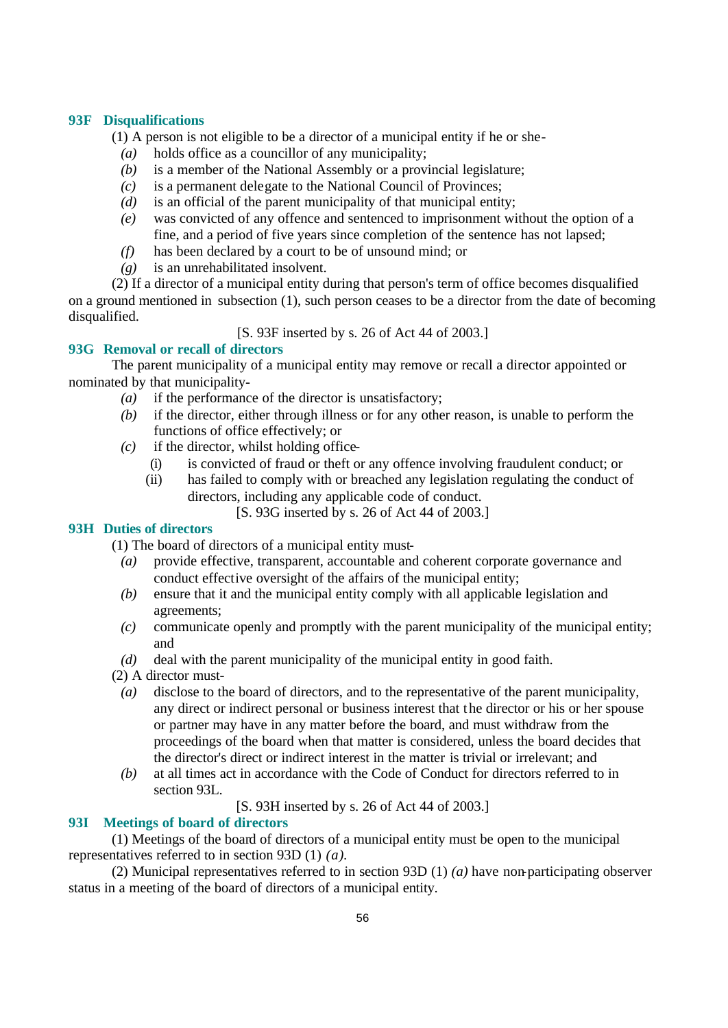## **93F Disqualifications**

(1) A person is not eligible to be a director of a municipal entity if he or she-

- *(a)* holds office as a councillor of any municipality;
- *(b)* is a member of the National Assembly or a provincial legislature;
- *(c)* is a permanent delegate to the National Council of Provinces;
- *(d)* is an official of the parent municipality of that municipal entity;
- *(e)* was convicted of any offence and sentenced to imprisonment without the option of a fine, and a period of five years since completion of the sentence has not lapsed;
- *(f)* has been declared by a court to be of unsound mind; or
- *(g)* is an unrehabilitated insolvent.

(2) If a director of a municipal entity during that person's term of office becomes disqualified on a ground mentioned in subsection (1), such person ceases to be a director from the date of becoming disqualified.

[S. 93F inserted by s. 26 of Act 44 of 2003.]

# **93G Removal or recall of directors**

The parent municipality of a municipal entity may remove or recall a director appointed or nominated by that municipality-

- *(a)* if the performance of the director is unsatisfactory;
- *(b)* if the director, either through illness or for any other reason, is unable to perform the functions of office effectively; or
- *(c)* if the director, whilst holding office-
	- (i) is convicted of fraud or theft or any offence involving fraudulent conduct; or
	- (ii) has failed to comply with or breached any legislation regulating the conduct of directors, including any applicable code of conduct.

[S. 93G inserted by s. 26 of Act 44 of 2003.]

### **93H Duties of directors**

(1) The board of directors of a municipal entity must-

- *(a)* provide effective, transparent, accountable and coherent corporate governance and conduct effective oversight of the affairs of the municipal entity;
- *(b)* ensure that it and the municipal entity comply with all applicable legislation and agreements;
- *(c)* communicate openly and promptly with the parent municipality of the municipal entity; and
- *(d)* deal with the parent municipality of the municipal entity in good faith.
- (2) A director must-
- *(a)* disclose to the board of directors, and to the representative of the parent municipality, any direct or indirect personal or business interest that the director or his or her spouse or partner may have in any matter before the board, and must withdraw from the proceedings of the board when that matter is considered, unless the board decides that the director's direct or indirect interest in the matter is trivial or irrelevant; and
- *(b)* at all times act in accordance with the Code of Conduct for directors referred to in section 93L.

[S. 93H inserted by s. 26 of Act 44 of 2003.]

### **93I Meetings of board of directors**

(1) Meetings of the board of directors of a municipal entity must be open to the municipal representatives referred to in section 93D (1) *(a)*.

(2) Municipal representatives referred to in section 93D (1) *(a)* have non-participating observer status in a meeting of the board of directors of a municipal entity.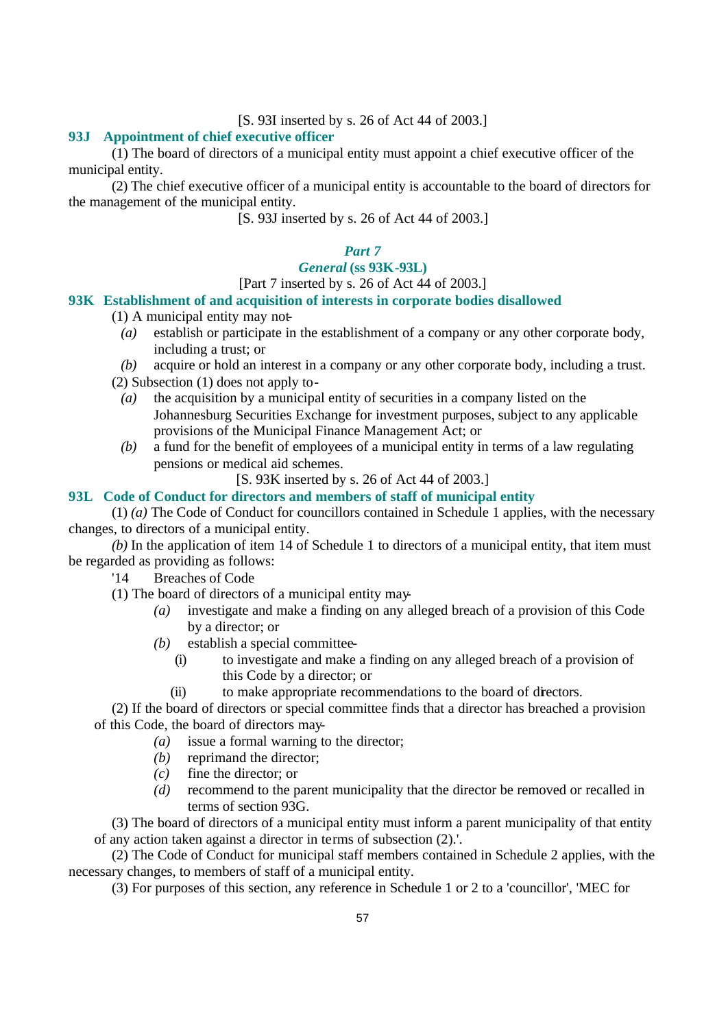[S. 93I inserted by s. 26 of Act 44 of 2003.]

### **93J Appointment of chief executive officer**

(1) The board of directors of a municipal entity must appoint a chief executive officer of the municipal entity.

(2) The chief executive officer of a municipal entity is accountable to the board of directors for the management of the municipal entity.

[S. 93J inserted by s. 26 of Act 44 of 2003.]

# *Part 7*

# *General* **(ss 93K-93L)**

## [Part 7 inserted by s. 26 of Act 44 of 2003.]

# **93K Establishment of and acquisition of interests in corporate bodies disallowed**

- (1) A municipal entity may not-
	- *(a)* establish or participate in the establishment of a company or any other corporate body, including a trust; or
	- *(b)* acquire or hold an interest in a company or any other corporate body, including a trust.
- (2) Subsection (1) does not apply to-
	- *(a)* the acquisition by a municipal entity of securities in a company listed on the Johannesburg Securities Exchange for investment purposes, subject to any applicable provisions of the Municipal Finance Management Act; or
	- *(b)* a fund for the benefit of employees of a municipal entity in terms of a law regulating pensions or medical aid schemes.
		- [S. 93K inserted by s. 26 of Act 44 of 2003.]

# **93L Code of Conduct for directors and members of staff of municipal entity**

(1) *(a)* The Code of Conduct for councillors contained in Schedule 1 applies, with the necessary changes, to directors of a municipal entity.

*(b)* In the application of item 14 of Schedule 1 to directors of a municipal entity, that item must be regarded as providing as follows:

- '14 Breaches of Code
- (1) The board of directors of a municipal entity may-
	- *(a)* investigate and make a finding on any alleged breach of a provision of this Code by a director; or
	- *(b)* establish a special committee-
		- (i) to investigate and make a finding on any alleged breach of a provision of this Code by a director; or
		- (ii) to make appropriate recommendations to the board of directors.

(2) If the board of directors or special committee finds that a director has breached a provision of this Code, the board of directors may-

- *(a)* issue a formal warning to the director;
- *(b)* reprimand the director;
- *(c)* fine the director; or
- *(d)* recommend to the parent municipality that the director be removed or recalled in terms of section 93G.

(3) The board of directors of a municipal entity must inform a parent municipality of that entity of any action taken against a director in terms of subsection (2).'.

(2) The Code of Conduct for municipal staff members contained in Schedule 2 applies, with the necessary changes, to members of staff of a municipal entity.

(3) For purposes of this section, any reference in Schedule 1 or 2 to a 'councillor', 'MEC for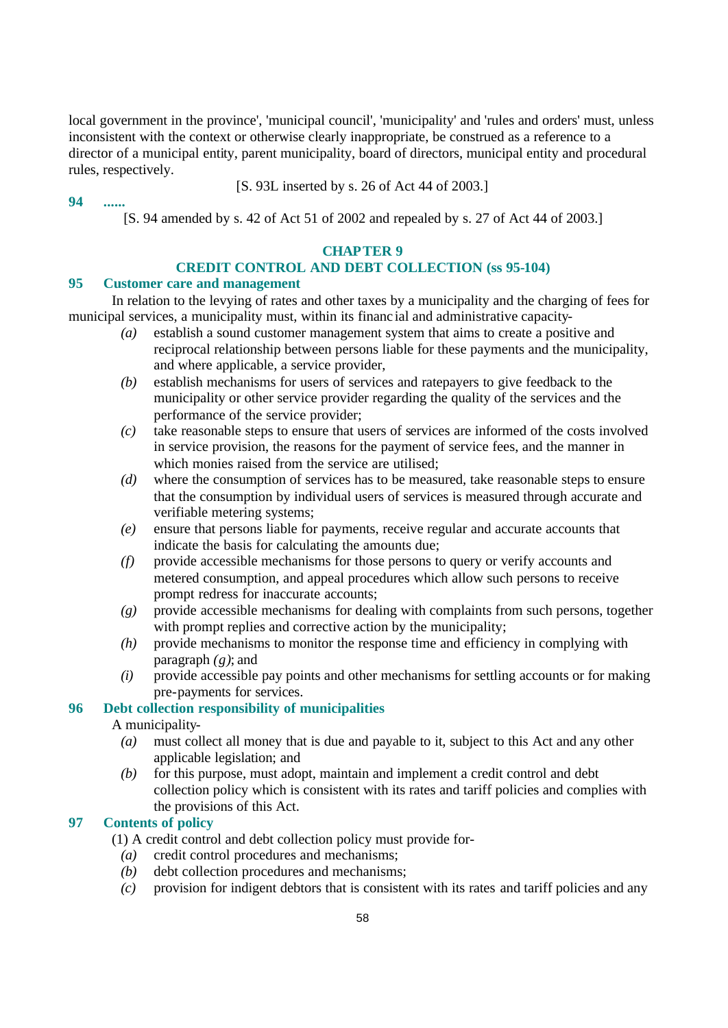local government in the province', 'municipal council', 'municipality' and 'rules and orders' must, unless inconsistent with the context or otherwise clearly inappropriate, be construed as a reference to a director of a municipal entity, parent municipality, board of directors, municipal entity and procedural rules, respectively.

[S. 93L inserted by s. 26 of Act 44 of 2003.]

**94 ......**

[S. 94 amended by s. 42 of Act 51 of 2002 and repealed by s. 27 of Act 44 of 2003.]

# **CHAPTER 9**

# **CREDIT CONTROL AND DEBT COLLECTION (ss 95-104)**

## **95 Customer care and management**

In relation to the levying of rates and other taxes by a municipality and the charging of fees for municipal services, a municipality must, within its financ ial and administrative capacity-

- *(a)* establish a sound customer management system that aims to create a positive and reciprocal relationship between persons liable for these payments and the municipality, and where applicable, a service provider,
- *(b)* establish mechanisms for users of services and ratepayers to give feedback to the municipality or other service provider regarding the quality of the services and the performance of the service provider;
- *(c)* take reasonable steps to ensure that users of services are informed of the costs involved in service provision, the reasons for the payment of service fees, and the manner in which monies raised from the service are utilised:
- *(d)* where the consumption of services has to be measured, take reasonable steps to ensure that the consumption by individual users of services is measured through accurate and verifiable metering systems;
- *(e)* ensure that persons liable for payments, receive regular and accurate accounts that indicate the basis for calculating the amounts due;
- *(f)* provide accessible mechanisms for those persons to query or verify accounts and metered consumption, and appeal procedures which allow such persons to receive prompt redress for inaccurate accounts;
- *(g)* provide accessible mechanisms for dealing with complaints from such persons, together with prompt replies and corrective action by the municipality;
- *(h)* provide mechanisms to monitor the response time and efficiency in complying with paragraph *(g)*; and
- *(i)* provide accessible pay points and other mechanisms for settling accounts or for making pre-payments for services.

# **96 Debt collection responsibility of municipalities**

### A municipality-

- *(a)* must collect all money that is due and payable to it, subject to this Act and any other applicable legislation; and
- *(b)* for this purpose, must adopt, maintain and implement a credit control and debt collection policy which is consistent with its rates and tariff policies and complies with the provisions of this Act.

# **97 Contents of policy**

(1) A credit control and debt collection policy must provide for-

- *(a)* credit control procedures and mechanisms;
- *(b)* debt collection procedures and mechanisms;
- *(c)* provision for indigent debtors that is consistent with its rates and tariff policies and any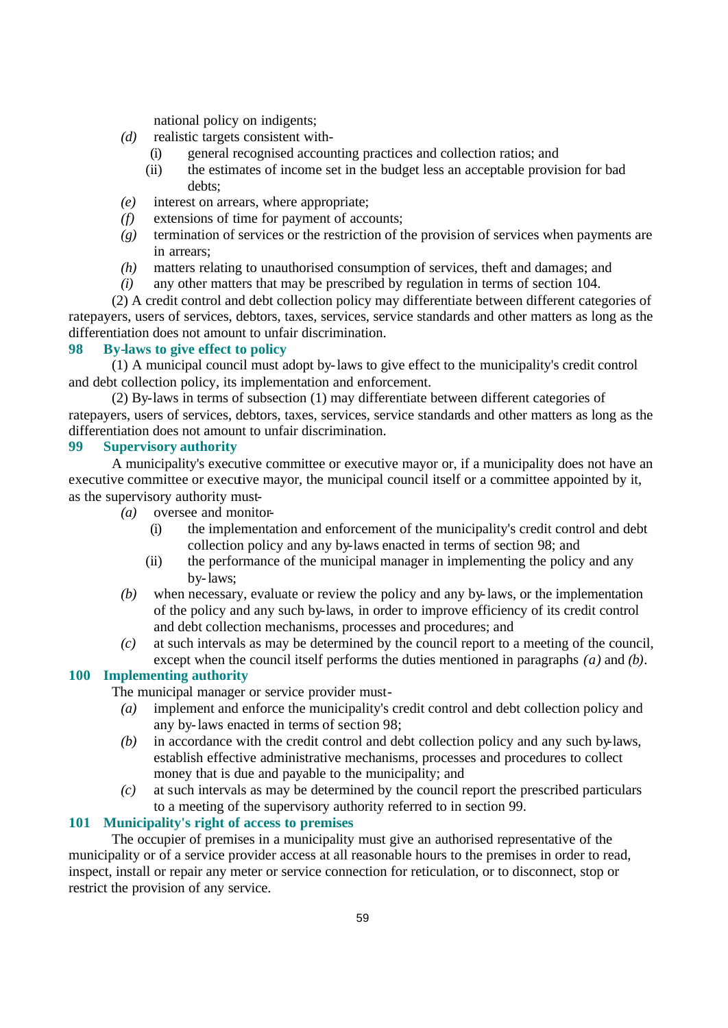national policy on indigents;

- *(d)* realistic targets consistent with-
	- (i) general recognised accounting practices and collection ratios; and
	- (ii) the estimates of income set in the budget less an acceptable provision for bad debts;
- *(e)* interest on arrears, where appropriate;
- *(f)* extensions of time for payment of accounts;
- *(g)* termination of services or the restriction of the provision of services when payments are in arrears;
- *(h)* matters relating to unauthorised consumption of services, theft and damages; and
- *(i)* any other matters that may be prescribed by regulation in terms of section 104.

(2) A credit control and debt collection policy may differentiate between different categories of ratepayers, users of services, debtors, taxes, services, service standards and other matters as long as the differentiation does not amount to unfair discrimination.

#### **98 By-laws to give effect to policy**

(1) A municipal council must adopt by-laws to give effect to the municipality's credit control and debt collection policy, its implementation and enforcement.

(2) By-laws in terms of subsection (1) may differentiate between different categories of ratepayers, users of services, debtors, taxes, services, service standards and other matters as long as the differentiation does not amount to unfair discrimination.

## **99 Supervisory authority**

A municipality's executive committee or executive mayor or, if a municipality does not have an executive committee or executive mayor, the municipal council itself or a committee appointed by it, as the supervisory authority must-

- *(a)* oversee and monitor-
	- (i) the implementation and enforcement of the municipality's credit control and debt collection policy and any by-laws enacted in terms of section 98; and
	- (ii) the performance of the municipal manager in implementing the policy and any by-laws;
- *(b)* when necessary, evaluate or review the policy and any by-laws, or the implementation of the policy and any such by-laws, in order to improve efficiency of its credit control and debt collection mechanisms, processes and procedures; and
- *(c)* at such intervals as may be determined by the council report to a meeting of the council, except when the council itself performs the duties mentioned in paragraphs *(a)* and *(b)*.

### **100 Implementing authority**

The municipal manager or service provider must-

- *(a)* implement and enforce the municipality's credit control and debt collection policy and any by-laws enacted in terms of section 98;
- *(b)* in accordance with the credit control and debt collection policy and any such by-laws, establish effective administrative mechanisms, processes and procedures to collect money that is due and payable to the municipality; and
- *(c)* at such intervals as may be determined by the council report the prescribed particulars to a meeting of the supervisory authority referred to in section 99.

## **101 Municipality's right of access to premises**

The occupier of premises in a municipality must give an authorised representative of the municipality or of a service provider access at all reasonable hours to the premises in order to read, inspect, install or repair any meter or service connection for reticulation, or to disconnect, stop or restrict the provision of any service.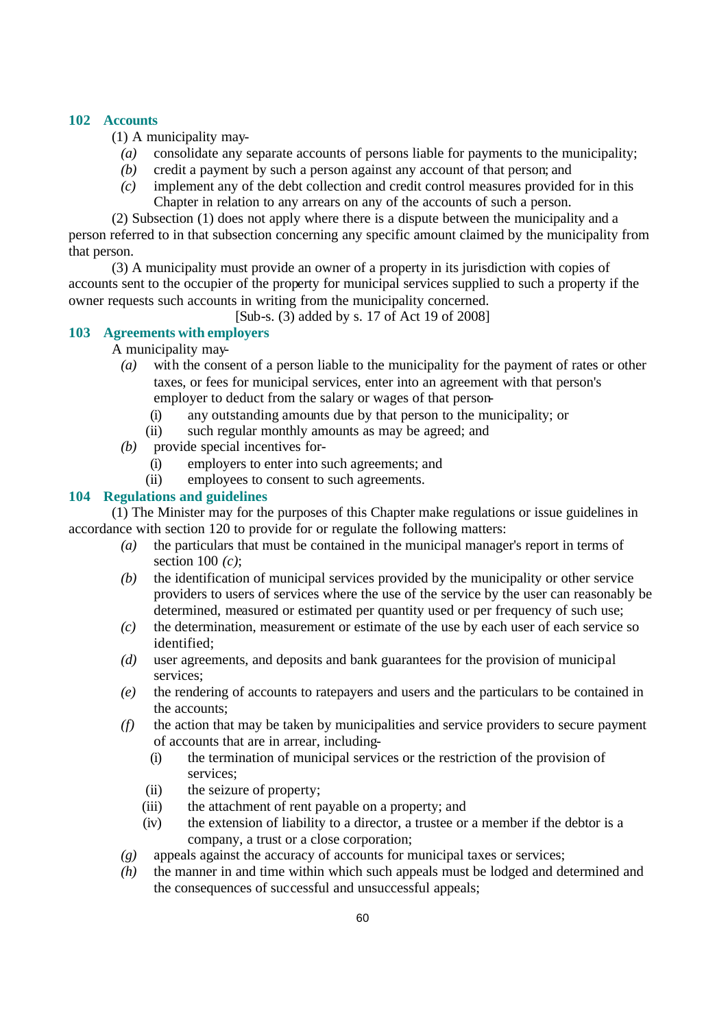## **102 Accounts**

(1) A municipality may-

- *(a)* consolidate any separate accounts of persons liable for payments to the municipality;
- *(b)* credit a payment by such a person against any account of that person; and
- *(c)* implement any of the debt collection and credit control measures provided for in this Chapter in relation to any arrears on any of the accounts of such a person.

(2) Subsection (1) does not apply where there is a dispute between the municipality and a person referred to in that subsection concerning any specific amount claimed by the municipality from that person.

(3) A municipality must provide an owner of a property in its jurisdiction with copies of accounts sent to the occupier of the property for municipal services supplied to such a property if the owner requests such accounts in writing from the municipality concerned.

[Sub-s. (3) added by s. 17 of Act 19 of 2008]

## **103 Agreements with employers**

A municipality may-

- *(a)* with the consent of a person liable to the municipality for the payment of rates or other taxes, or fees for municipal services, enter into an agreement with that person's employer to deduct from the salary or wages of that person-
	- (i) any outstanding amounts due by that person to the municipality; or
	- (ii) such regular monthly amounts as may be agreed; and
- *(b)* provide special incentives for-
	- (i) employers to enter into such agreements; and
	- (ii) employees to consent to such agreements.

## **104 Regulations and guidelines**

(1) The Minister may for the purposes of this Chapter make regulations or issue guidelines in accordance with section 120 to provide for or regulate the following matters:

- *(a)* the particulars that must be contained in the municipal manager's report in terms of section 100 *(c)*;
- *(b)* the identification of municipal services provided by the municipality or other service providers to users of services where the use of the service by the user can reasonably be determined, measured or estimated per quantity used or per frequency of such use;
- *(c)* the determination, measurement or estimate of the use by each user of each service so identified;
- *(d)* user agreements, and deposits and bank guarantees for the provision of municipal services;
- *(e)* the rendering of accounts to ratepayers and users and the particulars to be contained in the accounts;
- *(f)* the action that may be taken by municipalities and service providers to secure payment of accounts that are in arrear, including-
	- (i) the termination of municipal services or the restriction of the provision of services;
	- (ii) the seizure of property;
	- (iii) the attachment of rent payable on a property; and
	- (iv) the extension of liability to a director, a trustee or a member if the debtor is a company, a trust or a close corporation;
- *(g)* appeals against the accuracy of accounts for municipal taxes or services;
- *(h)* the manner in and time within which such appeals must be lodged and determined and the consequences of successful and unsuccessful appeals;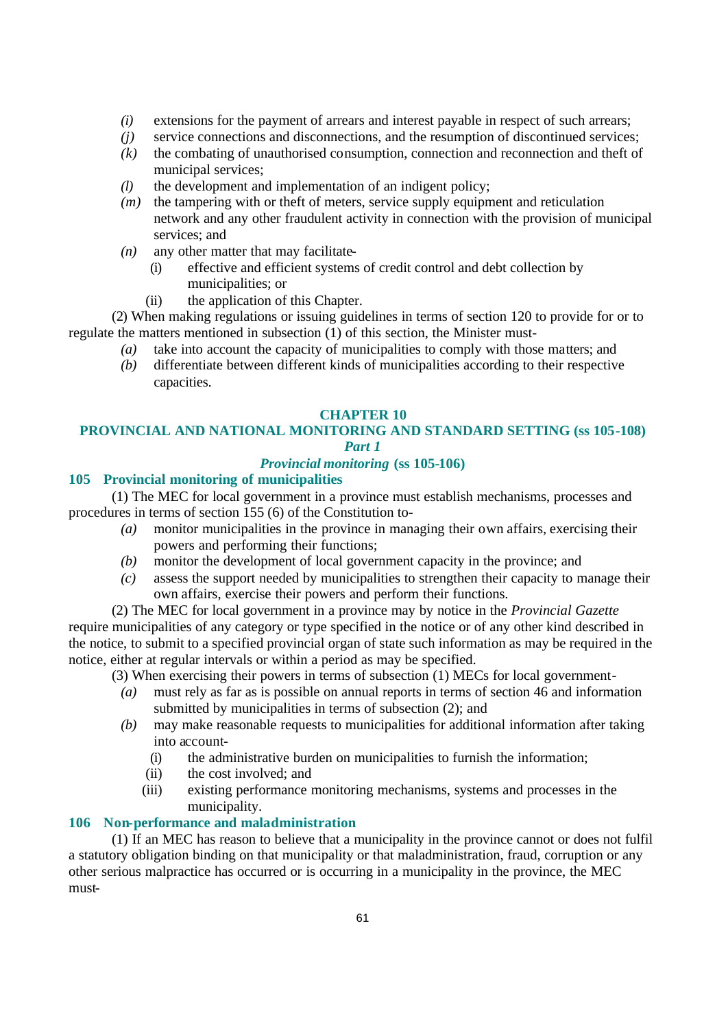- *(i)* extensions for the payment of arrears and interest payable in respect of such arrears;
- *(j)* service connections and disconnections, and the resumption of discontinued services;
- *(k)* the combating of unauthorised consumption, connection and reconnection and theft of municipal services;
- *(l)* the development and implementation of an indigent policy;
- *(m)* the tampering with or theft of meters, service supply equipment and reticulation network and any other fraudulent activity in connection with the provision of municipal services; and
- *(n)* any other matter that may facilitate-
	- (i) effective and efficient systems of credit control and debt collection by municipalities; or
	- (ii) the application of this Chapter.

(2) When making regulations or issuing guidelines in terms of section 120 to provide for or to regulate the matters mentioned in subsection (1) of this section, the Minister must-

- *(a)* take into account the capacity of municipalities to comply with those matters; and
- *(b)* differentiate between different kinds of municipalities according to their respective capacities.

#### **CHAPTER 10**

# **PROVINCIAL AND NATIONAL MONITORING AND STANDARD SETTING (ss 105-108)** *Part 1*

# *Provincial monitoring* **(ss 105-106)**

### **105 Provincial monitoring of municipalities**

(1) The MEC for local government in a province must establish mechanisms, processes and procedures in terms of section 155 (6) of the Constitution to-

- *(a)* monitor municipalities in the province in managing their own affairs, exercising their powers and performing their functions;
- *(b)* monitor the development of local government capacity in the province; and
- *(c)* assess the support needed by municipalities to strengthen their capacity to manage their own affairs, exercise their powers and perform their functions.

(2) The MEC for local government in a province may by notice in the *Provincial Gazette* require municipalities of any category or type specified in the notice or of any other kind described in the notice, to submit to a specified provincial organ of state such information as may be required in the notice, either at regular intervals or within a period as may be specified.

(3) When exercising their powers in terms of subsection (1) MECs for local government-

- *(a)* must rely as far as is possible on annual reports in terms of section 46 and information submitted by municipalities in terms of subsection (2); and
- *(b)* may make reasonable requests to municipalities for additional information after taking into account-
	- (i) the administrative burden on municipalities to furnish the information;
	- (ii) the cost involved; and
	- (iii) existing performance monitoring mechanisms, systems and processes in the municipality.

### **106 Non-performance and maladministration**

(1) If an MEC has reason to believe that a municipality in the province cannot or does not fulfil a statutory obligation binding on that municipality or that maladministration, fraud, corruption or any other serious malpractice has occurred or is occurring in a municipality in the province, the MEC must-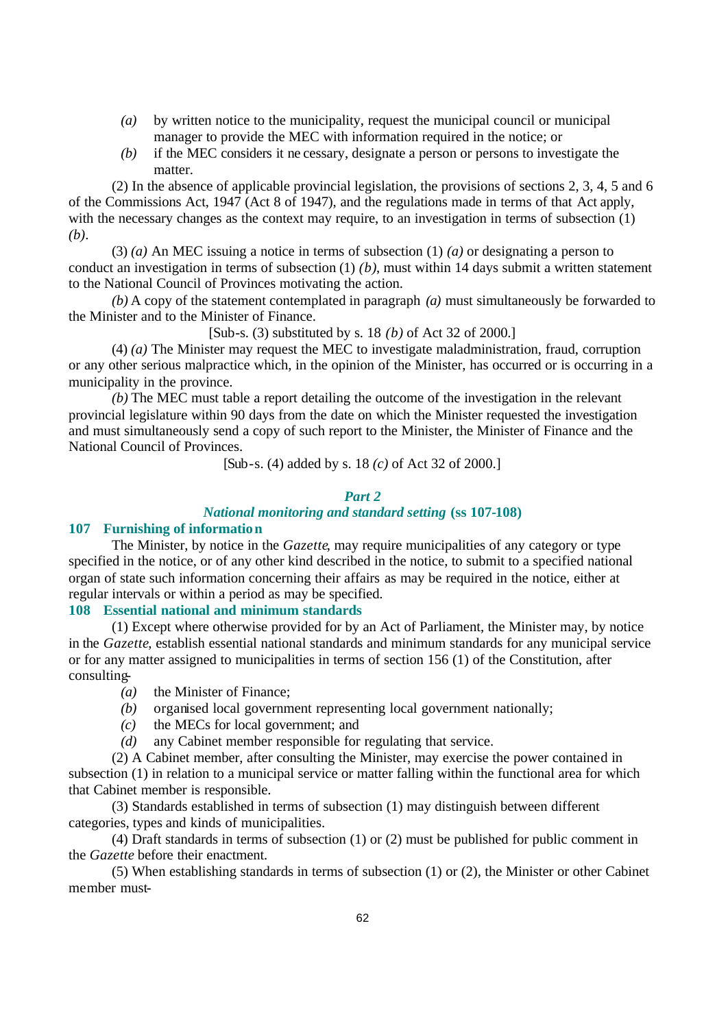- *(a)* by written notice to the municipality, request the municipal council or municipal manager to provide the MEC with information required in the notice; or
- *(b)* if the MEC considers it ne cessary, designate a person or persons to investigate the matter.

(2) In the absence of applicable provincial legislation, the provisions of sections 2, 3, 4, 5 and 6 of the Commissions Act, 1947 (Act 8 of 1947), and the regulations made in terms of that Act apply, with the necessary changes as the context may require, to an investigation in terms of subsection (1) *(b)*.

(3) *(a)* An MEC issuing a notice in terms of subsection (1) *(a)* or designating a person to conduct an investigation in terms of subsection (1) *(b)*, must within 14 days submit a written statement to the National Council of Provinces motivating the action.

*(b)* A copy of the statement contemplated in paragraph *(a)* must simultaneously be forwarded to the Minister and to the Minister of Finance.

[Sub-s. (3) substituted by s. 18 *(b)* of Act 32 of 2000.]

(4) *(a)* The Minister may request the MEC to investigate maladministration, fraud, corruption or any other serious malpractice which, in the opinion of the Minister, has occurred or is occurring in a municipality in the province.

*(b)* The MEC must table a report detailing the outcome of the investigation in the relevant provincial legislature within 90 days from the date on which the Minister requested the investigation and must simultaneously send a copy of such report to the Minister, the Minister of Finance and the National Council of Provinces.

[Sub-s. (4) added by s. 18 *(c)* of Act 32 of 2000.]

#### *Part 2*

#### *National monitoring and standard setting* **(ss 107-108)**

# **107 Furnishing of information**

The Minister, by notice in the *Gazette*, may require municipalities of any category or type specified in the notice, or of any other kind described in the notice, to submit to a specified national organ of state such information concerning their affairs as may be required in the notice, either at regular intervals or within a period as may be specified.

#### **108 Essential national and minimum standards**

(1) Except where otherwise provided for by an Act of Parliament, the Minister may, by notice in the *Gazette*, establish essential national standards and minimum standards for any municipal service or for any matter assigned to municipalities in terms of section 156 (1) of the Constitution, after consulting-

- *(a)* the Minister of Finance;
- *(b)* organised local government representing local government nationally;
- *(c)* the MECs for local government; and
- *(d)* any Cabinet member responsible for regulating that service.

(2) A Cabinet member, after consulting the Minister, may exercise the power contained in subsection (1) in relation to a municipal service or matter falling within the functional area for which that Cabinet member is responsible.

(3) Standards established in terms of subsection (1) may distinguish between different categories, types and kinds of municipalities.

(4) Draft standards in terms of subsection (1) or (2) must be published for public comment in the *Gazette* before their enactment.

(5) When establishing standards in terms of subsection (1) or (2), the Minister or other Cabinet member must-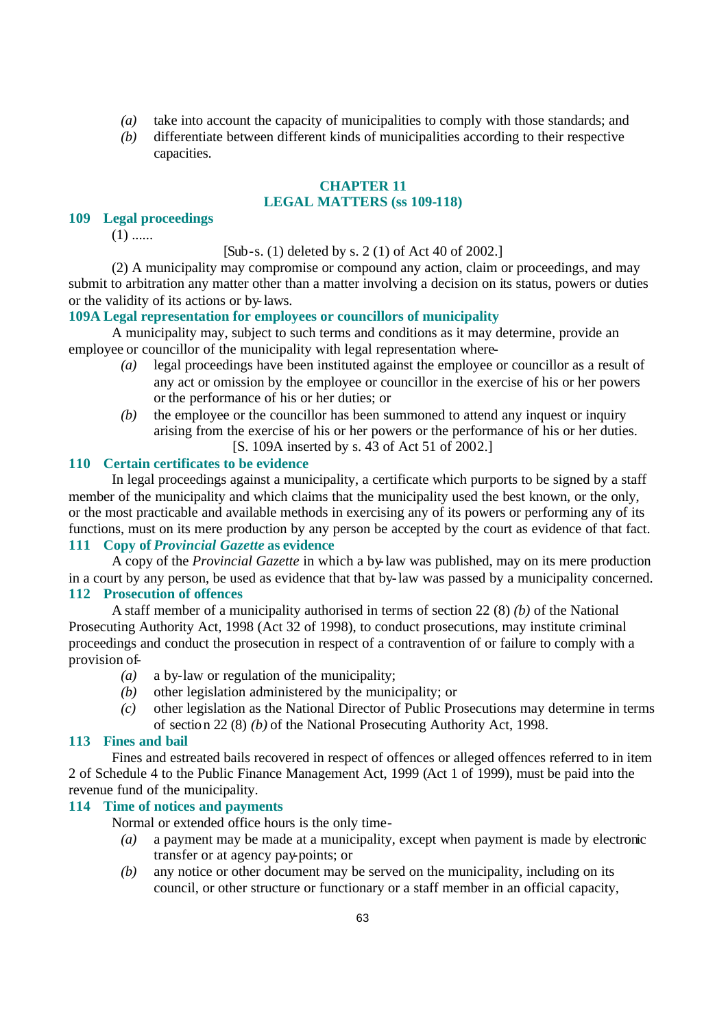- *(a)* take into account the capacity of municipalities to comply with those standards; and
- *(b)* differentiate between different kinds of municipalities according to their respective capacities.

#### **CHAPTER 11 LEGAL MATTERS (ss 109-118)**

#### **109 Legal proceedings**

 $(1)$  ......

[Sub-s. (1) deleted by s. 2 (1) of Act 40 of 2002.]

(2) A municipality may compromise or compound any action, claim or proceedings, and may submit to arbitration any matter other than a matter involving a decision on its status, powers or duties or the validity of its actions or by-laws.

# **109A Legal representation for employees or councillors of municipality**

A municipality may, subject to such terms and conditions as it may determine, provide an employee or councillor of the municipality with legal representation where-

- *(a)* legal proceedings have been instituted against the employee or councillor as a result of any act or omission by the employee or councillor in the exercise of his or her powers or the performance of his or her duties; or
- *(b)* the employee or the councillor has been summoned to attend any inquest or inquiry arising from the exercise of his or her powers or the performance of his or her duties. [S. 109A inserted by s. 43 of Act 51 of 2002.]

#### **110 Certain certificates to be evidence**

In legal proceedings against a municipality, a certificate which purports to be signed by a staff member of the municipality and which claims that the municipality used the best known, or the only, or the most practicable and available methods in exercising any of its powers or performing any of its functions, must on its mere production by any person be accepted by the court as evidence of that fact.

# **111 Copy of** *Provincial Gazette* **as evidence**

A copy of the *Provincial Gazette* in which a by-law was published, may on its mere production in a court by any person, be used as evidence that that by-law was passed by a municipality concerned. **112 Prosecution of offences**

A staff member of a municipality authorised in terms of section 22 (8) *(b)* of the National Prosecuting Authority Act, 1998 (Act 32 of 1998), to conduct prosecutions, may institute criminal proceedings and conduct the prosecution in respect of a contravention of or failure to comply with a provision of-

- *(a)* a by-law or regulation of the municipality;
- *(b)* other legislation administered by the municipality; or
- *(c)* other legislation as the National Director of Public Prosecutions may determine in terms of section 22 (8) *(b)* of the National Prosecuting Authority Act, 1998.

# **113 Fines and bail**

Fines and estreated bails recovered in respect of offences or alleged offences referred to in item 2 of Schedule 4 to the Public Finance Management Act, 1999 (Act 1 of 1999), must be paid into the revenue fund of the municipality.

#### **114 Time of notices and payments**

Normal or extended office hours is the only time-

- *(a)* a payment may be made at a municipality, except when payment is made by electronic transfer or at agency pay-points; or
- *(b)* any notice or other document may be served on the municipality, including on its council, or other structure or functionary or a staff member in an official capacity,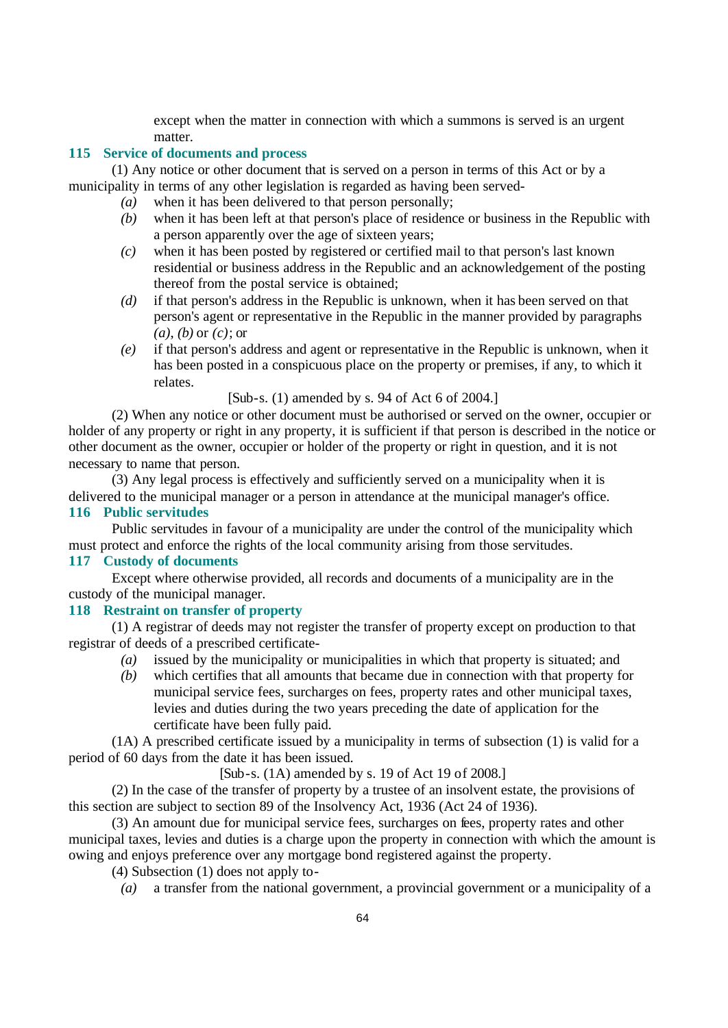except when the matter in connection with which a summons is served is an urgent matter.

# **115 Service of documents and process**

(1) Any notice or other document that is served on a person in terms of this Act or by a municipality in terms of any other legislation is regarded as having been served-

- *(a)* when it has been delivered to that person personally;
- *(b)* when it has been left at that person's place of residence or business in the Republic with a person apparently over the age of sixteen years;
- *(c)* when it has been posted by registered or certified mail to that person's last known residential or business address in the Republic and an acknowledgement of the posting thereof from the postal service is obtained;
- *(d)* if that person's address in the Republic is unknown, when it has been served on that person's agent or representative in the Republic in the manner provided by paragraphs *(a)*, *(b)* or *(c)*; or
- *(e)* if that person's address and agent or representative in the Republic is unknown, when it has been posted in a conspicuous place on the property or premises, if any, to which it relates.

### [Sub-s. (1) amended by s. 94 of Act 6 of 2004.]

(2) When any notice or other document must be authorised or served on the owner, occupier or holder of any property or right in any property, it is sufficient if that person is described in the notice or other document as the owner, occupier or holder of the property or right in question, and it is not necessary to name that person.

(3) Any legal process is effectively and sufficiently served on a municipality when it is delivered to the municipal manager or a person in attendance at the municipal manager's office. **116 Public servitudes**

Public servitudes in favour of a municipality are under the control of the municipality which must protect and enforce the rights of the local community arising from those servitudes.

#### **117 Custody of documents**

Except where otherwise provided, all records and documents of a municipality are in the custody of the municipal manager.

#### **118 Restraint on transfer of property**

(1) A registrar of deeds may not register the transfer of property except on production to that registrar of deeds of a prescribed certificate-

- *(a)* issued by the municipality or municipalities in which that property is situated; and
- *(b)* which certifies that all amounts that became due in connection with that property for municipal service fees, surcharges on fees, property rates and other municipal taxes, levies and duties during the two years preceding the date of application for the certificate have been fully paid.

(1A) A prescribed certificate issued by a municipality in terms of subsection (1) is valid for a period of 60 days from the date it has been issued.

[Sub-s. (1A) amended by s. 19 of Act 19 of 2008.]

(2) In the case of the transfer of property by a trustee of an insolvent estate, the provisions of this section are subject to section 89 of the Insolvency Act, 1936 (Act 24 of 1936).

(3) An amount due for municipal service fees, surcharges on fees, property rates and other municipal taxes, levies and duties is a charge upon the property in connection with which the amount is owing and enjoys preference over any mortgage bond registered against the property.

- (4) Subsection (1) does not apply to-
	- *(a)* a transfer from the national government, a provincial government or a municipality of a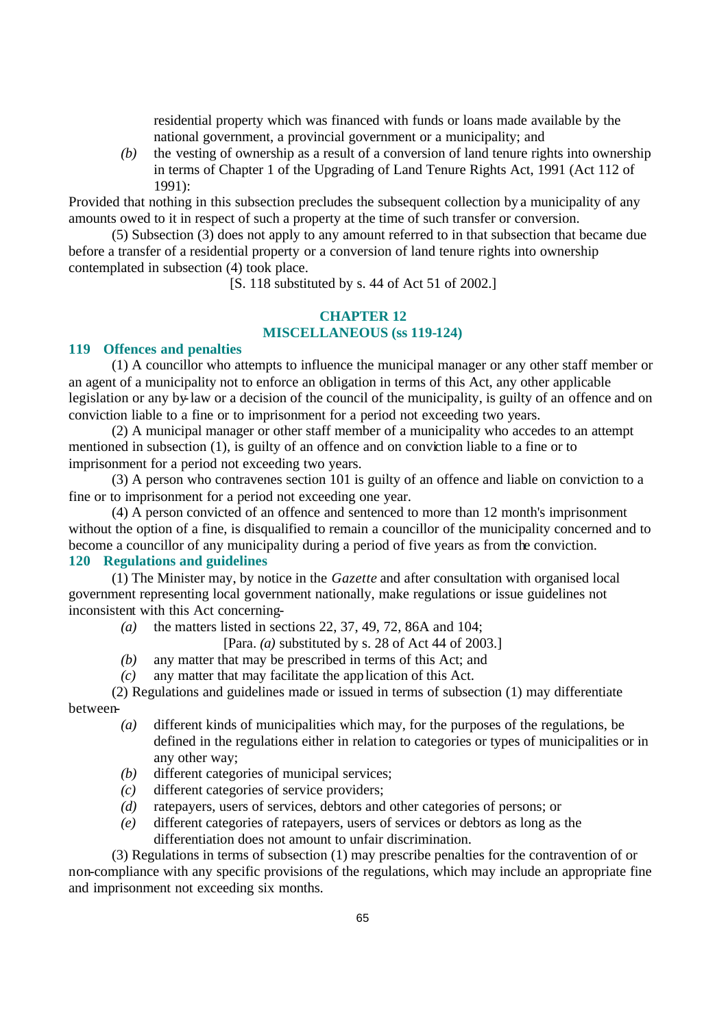residential property which was financed with funds or loans made available by the national government, a provincial government or a municipality; and

*(b)* the vesting of ownership as a result of a conversion of land tenure rights into ownership in terms of Chapter 1 of the Upgrading of Land Tenure Rights Act, 1991 (Act 112 of 1991):

Provided that nothing in this subsection precludes the subsequent collection by a municipality of any amounts owed to it in respect of such a property at the time of such transfer or conversion.

(5) Subsection (3) does not apply to any amount referred to in that subsection that became due before a transfer of a residential property or a conversion of land tenure rights into ownership contemplated in subsection (4) took place.

[S. 118 substituted by s. 44 of Act 51 of 2002.]

# **CHAPTER 12 MISCELLANEOUS (ss 119-124)**

#### **119 Offences and penalties**

(1) A councillor who attempts to influence the municipal manager or any other staff member or an agent of a municipality not to enforce an obligation in terms of this Act, any other applicable legislation or any by-law or a decision of the council of the municipality, is guilty of an offence and on conviction liable to a fine or to imprisonment for a period not exceeding two years.

(2) A municipal manager or other staff member of a municipality who accedes to an attempt mentioned in subsection (1), is guilty of an offence and on conviction liable to a fine or to imprisonment for a period not exceeding two years.

(3) A person who contravenes section 101 is guilty of an offence and liable on conviction to a fine or to imprisonment for a period not exceeding one year.

(4) A person convicted of an offence and sentenced to more than 12 month's imprisonment without the option of a fine, is disqualified to remain a councillor of the municipality concerned and to become a councillor of any municipality during a period of five years as from the conviction. **120 Regulations and guidelines**

### (1) The Minister may, by notice in the *Gazette* and after consultation with organised local government representing local government nationally, make regulations or issue guidelines not inconsistent with this Act concerning-

*(a)* the matters listed in sections 22, 37, 49, 72, 86A and 104;

[Para. *(a)* substituted by s. 28 of Act 44 of 2003.]

- *(b)* any matter that may be prescribed in terms of this Act; and
- *(c)* any matter that may facilitate the application of this Act.

# (2) Regulations and guidelines made or issued in terms of subsection (1) may differentiate between-

- *(a)* different kinds of municipalities which may, for the purposes of the regulations, be defined in the regulations either in relation to categories or types of municipalities or in any other way;
- *(b)* different categories of municipal services;
- *(c)* different categories of service providers;
- *(d)* ratepayers, users of services, debtors and other categories of persons; or
- *(e)* different categories of ratepayers, users of services or debtors as long as the differentiation does not amount to unfair discrimination.

(3) Regulations in terms of subsection (1) may prescribe penalties for the contravention of or non-compliance with any specific provisions of the regulations, which may include an appropriate fine and imprisonment not exceeding six months.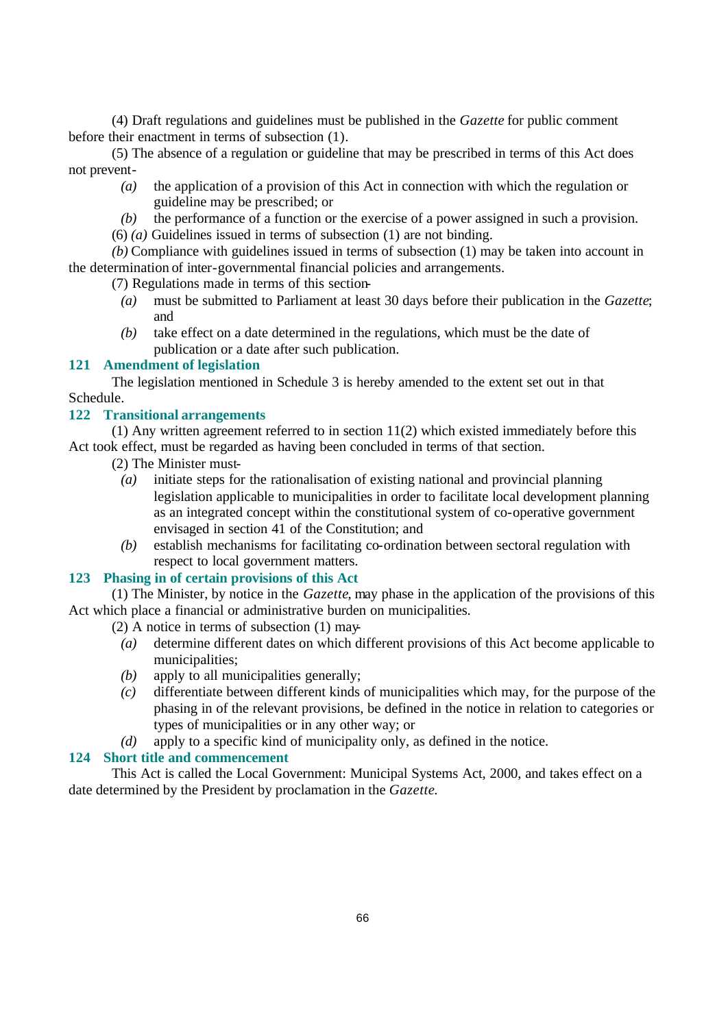(4) Draft regulations and guidelines must be published in the *Gazette* for public comment before their enactment in terms of subsection (1).

(5) The absence of a regulation or guideline that may be prescribed in terms of this Act does not prevent-

- *(a)* the application of a provision of this Act in connection with which the regulation or guideline may be prescribed; or
- *(b)* the performance of a function or the exercise of a power assigned in such a provision.

(6) *(a)* Guidelines issued in terms of subsection (1) are not binding.

*(b)* Compliance with guidelines issued in terms of subsection (1) may be taken into account in the determination of inter-governmental financial policies and arrangements.

(7) Regulations made in terms of this section-

- *(a)* must be submitted to Parliament at least 30 days before their publication in the *Gazette*; and
- *(b)* take effect on a date determined in the regulations, which must be the date of publication or a date after such publication.

### **121 Amendment of legislation**

The legislation mentioned in Schedule 3 is hereby amended to the extent set out in that Schedule.

#### **122 Transitional arrangements**

 $(1)$  Any written agreement referred to in section  $11(2)$  which existed immediately before this Act took effect, must be regarded as having been concluded in terms of that section.

- (2) The Minister must-
	- *(a)* initiate steps for the rationalisation of existing national and provincial planning legislation applicable to municipalities in order to facilitate local development planning as an integrated concept within the constitutional system of co-operative government envisaged in section 41 of the Constitution; and
	- *(b)* establish mechanisms for facilitating co-ordination between sectoral regulation with respect to local government matters.

# **123 Phasing in of certain provisions of this Act**

(1) The Minister, by notice in the *Gazette*, may phase in the application of the provisions of this Act which place a financial or administrative burden on municipalities.

(2) A notice in terms of subsection (1) may-

- *(a)* determine different dates on which different provisions of this Act become applicable to municipalities;
- *(b)* apply to all municipalities generally;
- *(c)* differentiate between different kinds of municipalities which may, for the purpose of the phasing in of the relevant provisions, be defined in the notice in relation to categories or types of municipalities or in any other way; or
- *(d)* apply to a specific kind of municipality only, as defined in the notice.

# **124 Short title and commencement**

This Act is called the Local Government: Municipal Systems Act, 2000, and takes effect on a date determined by the President by proclamation in the *Gazette*.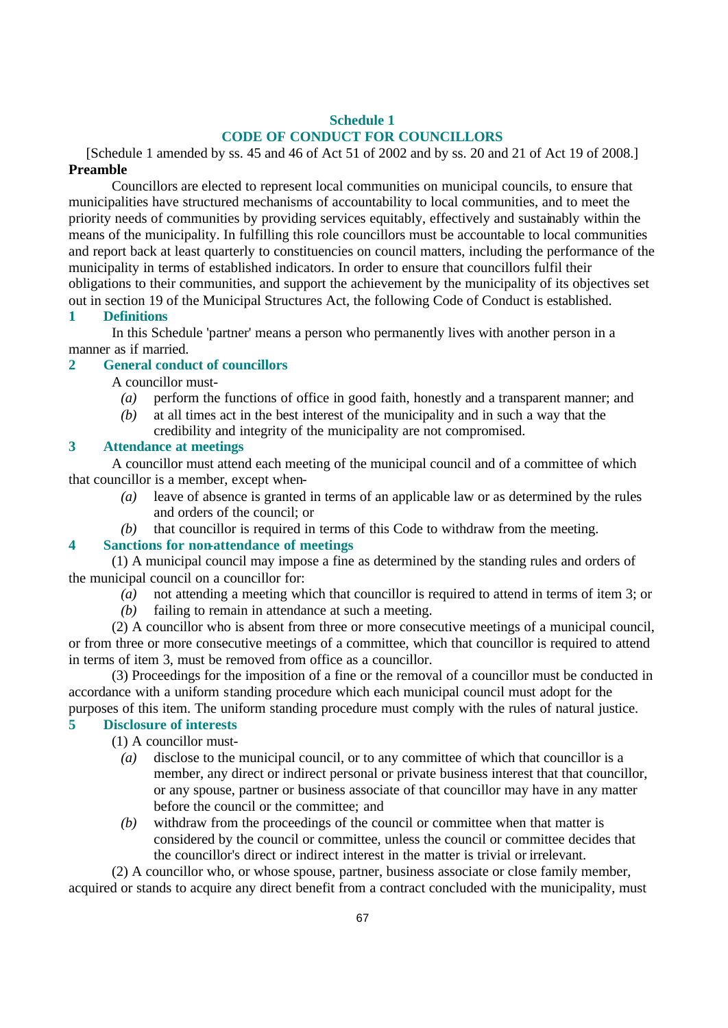# **Schedule 1 CODE OF CONDUCT FOR COUNCILLORS**

[Schedule 1 amended by ss. 45 and 46 of Act 51 of 2002 and by ss. 20 and 21 of Act 19 of 2008.] **Preamble**

Councillors are elected to represent local communities on municipal councils, to ensure that municipalities have structured mechanisms of accountability to local communities, and to meet the priority needs of communities by providing services equitably, effectively and sustainably within the means of the municipality. In fulfilling this role councillors must be accountable to local communities and report back at least quarterly to constituencies on council matters, including the performance of the municipality in terms of established indicators. In order to ensure that councillors fulfil their obligations to their communities, and support the achievement by the municipality of its objectives set out in section 19 of the Municipal Structures Act, the following Code of Conduct is established.

## **1 Definitions**

In this Schedule 'partner' means a person who permanently lives with another person in a manner as if married.

# **2 General conduct of councillors**

A councillor must-

- *(a)* perform the functions of office in good faith, honestly and a transparent manner; and
- *(b)* at all times act in the best interest of the municipality and in such a way that the credibility and integrity of the municipality are not compromised.

# **3 Attendance at meetings**

A councillor must attend each meeting of the municipal council and of a committee of which that councillor is a member, except when-

- *(a)* leave of absence is granted in terms of an applicable law or as determined by the rules and orders of the council; or
- *(b)* that councillor is required in terms of this Code to withdraw from the meeting.

### **4 Sanctions for non-attendance of meetings**

(1) A municipal council may impose a fine as determined by the standing rules and orders of the municipal council on a councillor for:

- *(a)* not attending a meeting which that councillor is required to attend in terms of item 3; or
- *(b)* failing to remain in attendance at such a meeting.

(2) A councillor who is absent from three or more consecutive meetings of a municipal council, or from three or more consecutive meetings of a committee, which that councillor is required to attend in terms of item 3, must be removed from office as a councillor.

(3) Proceedings for the imposition of a fine or the removal of a councillor must be conducted in accordance with a uniform standing procedure which each municipal council must adopt for the purposes of this item. The uniform standing procedure must comply with the rules of natural justice.

### **5 Disclosure of interests**

(1) A councillor must-

- *(a)* disclose to the municipal council, or to any committee of which that councillor is a member, any direct or indirect personal or private business interest that that councillor, or any spouse, partner or business associate of that councillor may have in any matter before the council or the committee; and
- *(b)* withdraw from the proceedings of the council or committee when that matter is considered by the council or committee, unless the council or committee decides that the councillor's direct or indirect interest in the matter is trivial or irrelevant.

(2) A councillor who, or whose spouse, partner, business associate or close family member, acquired or stands to acquire any direct benefit from a contract concluded with the municipality, must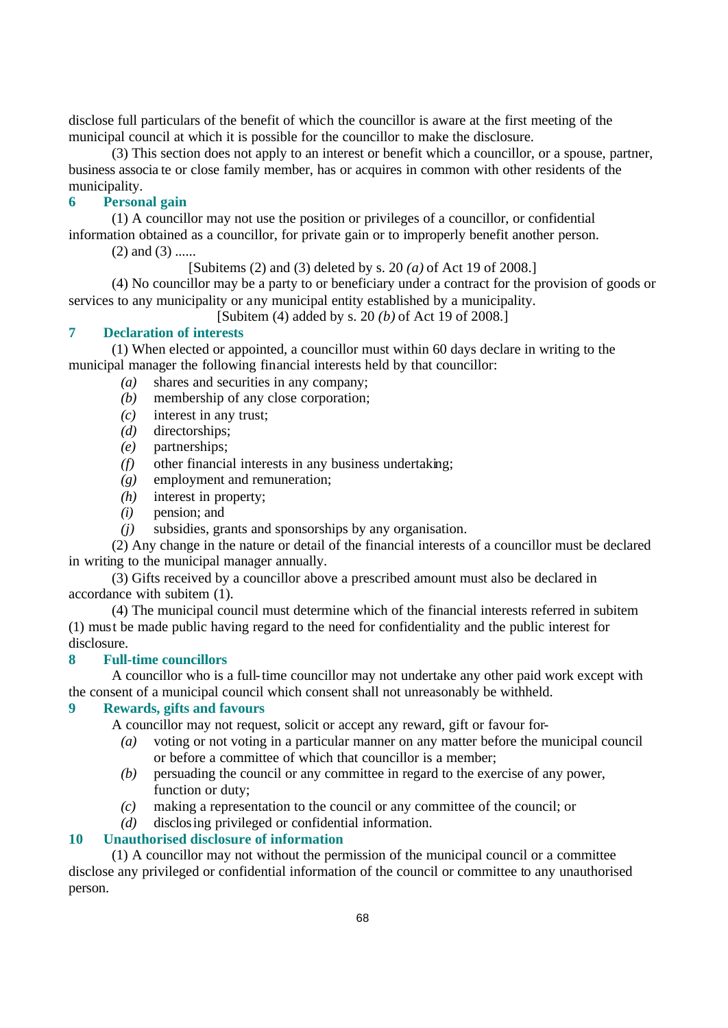disclose full particulars of the benefit of which the councillor is aware at the first meeting of the municipal council at which it is possible for the councillor to make the disclosure.

(3) This section does not apply to an interest or benefit which a councillor, or a spouse, partner, business associa te or close family member, has or acquires in common with other residents of the municipality.

## **6 Personal gain**

(1) A councillor may not use the position or privileges of a councillor, or confidential information obtained as a councillor, for private gain or to improperly benefit another person.

 $(2)$  and  $(3)$  ......

[Subitems (2) and (3) deleted by s. 20 *(a)* of Act 19 of 2008.]

(4) No councillor may be a party to or beneficiary under a contract for the provision of goods or services to any municipality or any municipal entity established by a municipality.

[Subitem (4) added by s. 20 *(b)* of Act 19 of 2008.]

# **7 Declaration of interests**

(1) When elected or appointed, a councillor must within 60 days declare in writing to the municipal manager the following financial interests held by that councillor:

- *(a)* shares and securities in any company;
- *(b)* membership of any close corporation;
- *(c)* interest in any trust;
- *(d)* directorships;
- *(e)* partnerships;
- *(f)* other financial interests in any business undertaking;
- *(g)* employment and remuneration;
- *(h)* interest in property;
- *(i)* pension; and
- *(j)* subsidies, grants and sponsorships by any organisation.

(2) Any change in the nature or detail of the financial interests of a councillor must be declared in writing to the municipal manager annually.

(3) Gifts received by a councillor above a prescribed amount must also be declared in accordance with subitem (1).

(4) The municipal council must determine which of the financial interests referred in subitem (1) must be made public having regard to the need for confidentiality and the public interest for disclosure.

#### **8 Full-time councillors**

A councillor who is a full-time councillor may not undertake any other paid work except with the consent of a municipal council which consent shall not unreasonably be withheld.

#### **9 Rewards, gifts and favours**

A councillor may not request, solicit or accept any reward, gift or favour for-

- *(a)* voting or not voting in a particular manner on any matter before the municipal council or before a committee of which that councillor is a member;
- *(b)* persuading the council or any committee in regard to the exercise of any power, function or duty;
- *(c)* making a representation to the council or any committee of the council; or
- *(d)* disclosing privileged or confidential information.

# **10 Unauthorised disclosure of information**

(1) A councillor may not without the permission of the municipal council or a committee disclose any privileged or confidential information of the council or committee to any unauthorised person.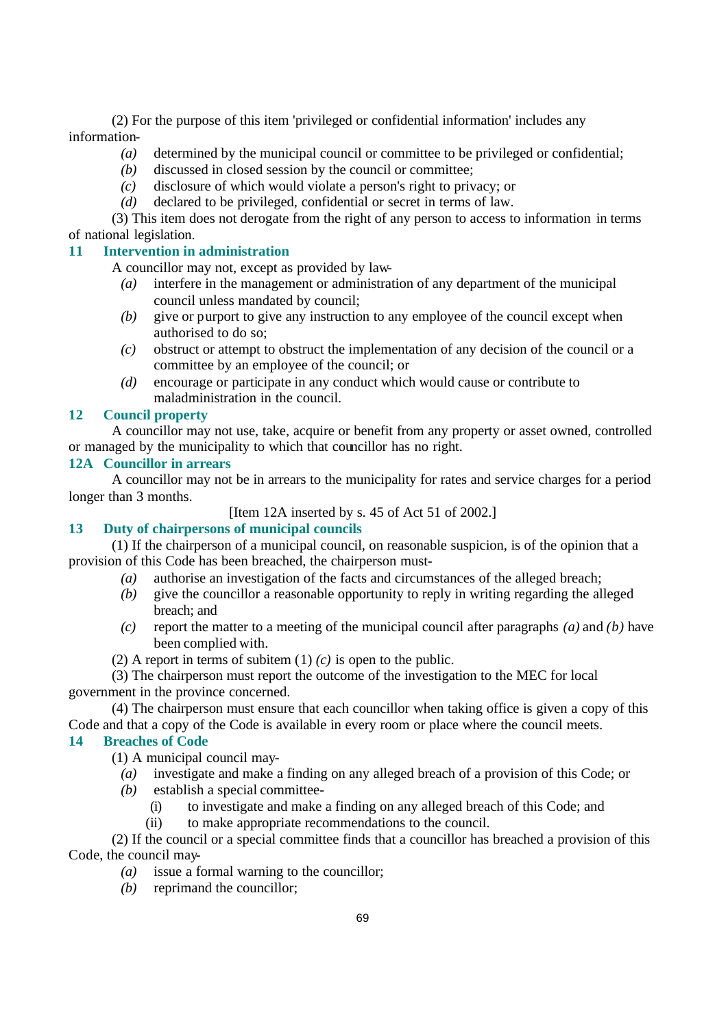(2) For the purpose of this item 'privileged or confidential information' includes any information-

- *(a)* determined by the municipal council or committee to be privileged or confidential;
- *(b)* discussed in closed session by the council or committee;
- *(c)* disclosure of which would violate a person's right to privacy; or
- *(d)* declared to be privileged, confidential or secret in terms of law.

(3) This item does not derogate from the right of any person to access to information in terms of national legislation.

# **11 Intervention in administration**

A councillor may not, except as provided by law-

- *(a)* interfere in the management or administration of any department of the municipal council unless mandated by council;
- *(b)* give or purport to give any instruction to any employee of the council except when authorised to do so;
- *(c)* obstruct or attempt to obstruct the implementation of any decision of the council or a committee by an employee of the council; or
- *(d)* encourage or participate in any conduct which would cause or contribute to maladministration in the council.

## **12 Council property**

A councillor may not use, take, acquire or benefit from any property or asset owned, controlled or managed by the municipality to which that councillor has no right.

### **12A Councillor in arrears**

A councillor may not be in arrears to the municipality for rates and service charges for a period longer than 3 months.

[Item 12A inserted by s. 45 of Act 51 of 2002.]

# **13 Duty of chairpersons of municipal councils**

(1) If the chairperson of a municipal council, on reasonable suspicion, is of the opinion that a provision of this Code has been breached, the chairperson must-

- *(a)* authorise an investigation of the facts and circumstances of the alleged breach;
- *(b)* give the councillor a reasonable opportunity to reply in writing regarding the alleged breach; and
- *(c)* report the matter to a meeting of the municipal council after paragraphs *(a)* and *(b)* have been complied with.
- (2) A report in terms of subitem (1) *(c)* is open to the public.

(3) The chairperson must report the outcome of the investigation to the MEC for local government in the province concerned.

(4) The chairperson must ensure that each councillor when taking office is given a copy of this Code and that a copy of the Code is available in every room or place where the council meets.

# **14 Breaches of Code**

(1) A municipal council may-

- *(a)* investigate and make a finding on any alleged breach of a provision of this Code; or
- *(b)* establish a special committee-
	- (i) to investigate and make a finding on any alleged breach of this Code; and
	- (ii) to make appropriate recommendations to the council.

(2) If the council or a special committee finds that a councillor has breached a provision of this Code, the council may-

- *(a)* issue a formal warning to the councillor;
- *(b)* reprimand the councillor;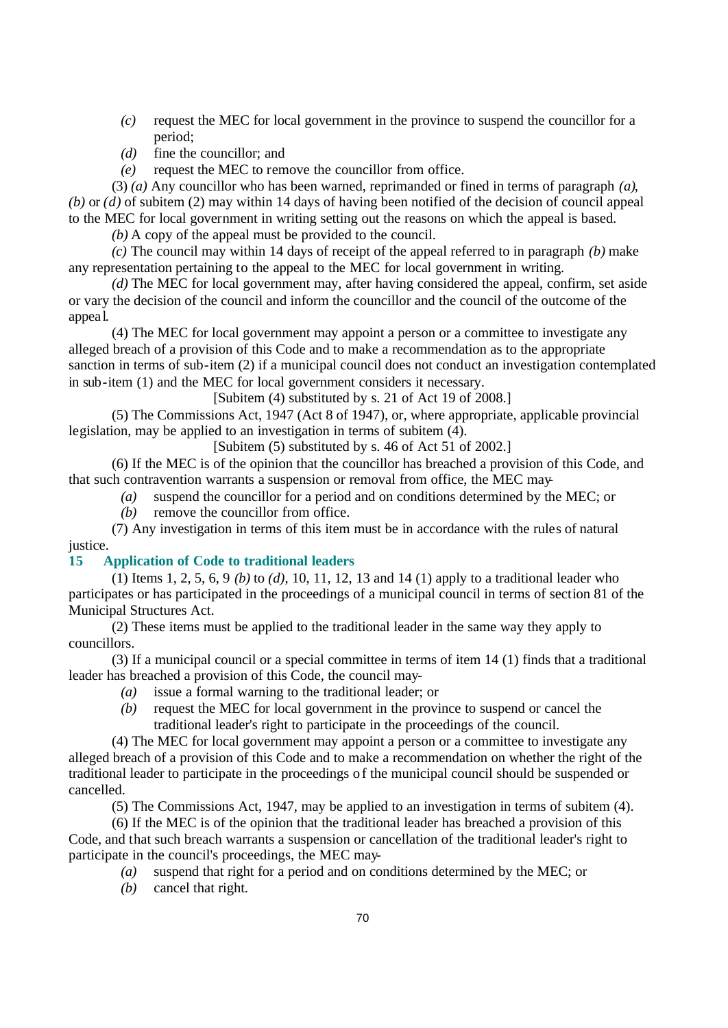- *(c)* request the MEC for local government in the province to suspend the councillor for a period;
- *(d)* fine the councillor; and
- *(e)* request the MEC to remove the councillor from office.

(3) *(a)* Any councillor who has been warned, reprimanded or fined in terms of paragraph *(a)*, *(b)* or *(d)* of subitem (2) may within 14 days of having been notified of the decision of council appeal to the MEC for local government in writing setting out the reasons on which the appeal is based.

*(b)* A copy of the appeal must be provided to the council.

*(c)* The council may within 14 days of receipt of the appeal referred to in paragraph *(b)* make any representation pertaining to the appeal to the MEC for local government in writing.

*(d)* The MEC for local government may, after having considered the appeal, confirm, set aside or vary the decision of the council and inform the councillor and the council of the outcome of the appea l.

(4) The MEC for local government may appoint a person or a committee to investigate any alleged breach of a provision of this Code and to make a recommendation as to the appropriate sanction in terms of sub-item (2) if a municipal council does not conduct an investigation contemplated in sub-item (1) and the MEC for local government considers it necessary.

[Subitem (4) substituted by s. 21 of Act 19 of 2008.]

(5) The Commissions Act, 1947 (Act 8 of 1947), or, where appropriate, applicable provincial legislation, may be applied to an investigation in terms of subitem (4).

[Subitem (5) substituted by s. 46 of Act 51 of 2002.]

(6) If the MEC is of the opinion that the councillor has breached a provision of this Code, and that such contravention warrants a suspension or removal from office, the MEC may-

*(a)* suspend the councillor for a period and on conditions determined by the MEC; or

*(b)* remove the councillor from office.

(7) Any investigation in terms of this item must be in accordance with the rules of natural justice.

## **15 Application of Code to traditional leaders**

(1) Items 1, 2, 5, 6, 9 *(b)* to *(d)*, 10, 11, 12, 13 and 14 (1) apply to a traditional leader who participates or has participated in the proceedings of a municipal council in terms of section 81 of the Municipal Structures Act.

(2) These items must be applied to the traditional leader in the same way they apply to councillors.

(3) If a municipal council or a special committee in terms of item 14 (1) finds that a traditional leader has breached a provision of this Code, the council may-

- *(a)* issue a formal warning to the traditional leader; or
- *(b)* request the MEC for local government in the province to suspend or cancel the traditional leader's right to participate in the proceedings of the council.

(4) The MEC for local government may appoint a person or a committee to investigate any alleged breach of a provision of this Code and to make a recommendation on whether the right of the traditional leader to participate in the proceedings of the municipal council should be suspended or cancelled.

(5) The Commissions Act, 1947, may be applied to an investigation in terms of subitem (4).

(6) If the MEC is of the opinion that the traditional leader has breached a provision of this Code, and that such breach warrants a suspension or cancellation of the traditional leader's right to participate in the council's proceedings, the MEC may-

- *(a)* suspend that right for a period and on conditions determined by the MEC; or
- *(b)* cancel that right.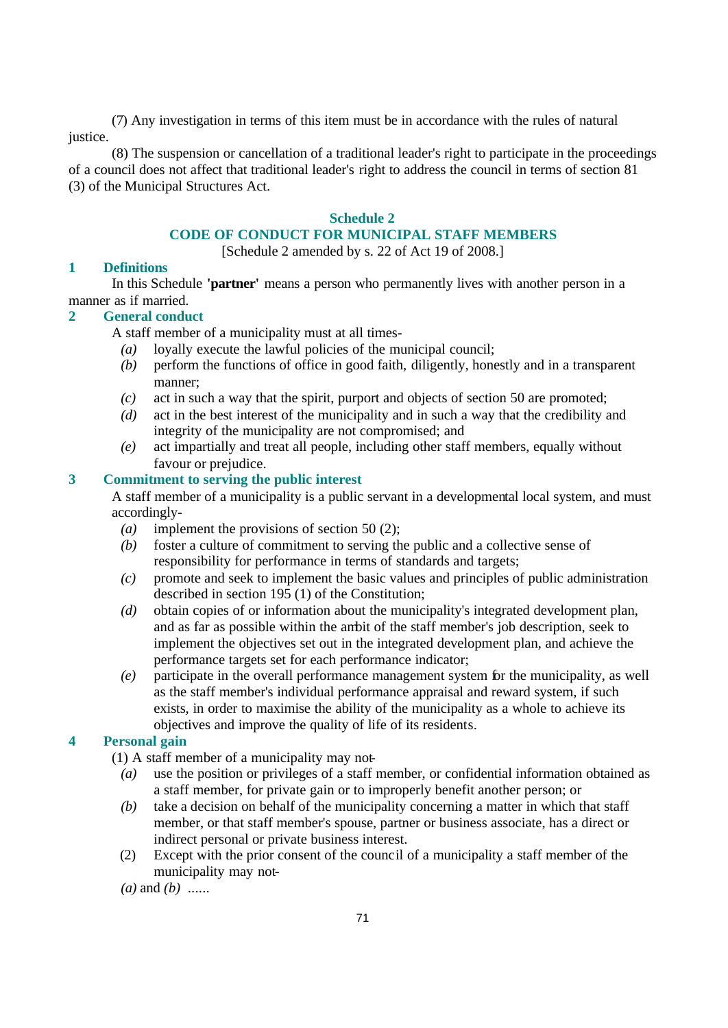(7) Any investigation in terms of this item must be in accordance with the rules of natural justice.

(8) The suspension or cancellation of a traditional leader's right to participate in the proceedings of a council does not affect that traditional leader's right to address the council in terms of section 81 (3) of the Municipal Structures Act.

#### **Schedule 2**

### **CODE OF CONDUCT FOR MUNICIPAL STAFF MEMBERS**

[Schedule 2 amended by s. 22 of Act 19 of 2008.]

### **1 Definitions**

In this Schedule **'partner'** means a person who permanently lives with another person in a manner as if married.

#### **2 General conduct**

A staff member of a municipality must at all times-

- *(a)* loyally execute the lawful policies of the municipal council;
- *(b)* perform the functions of office in good faith, diligently, honestly and in a transparent manner;
- *(c)* act in such a way that the spirit, purport and objects of section 50 are promoted;
- *(d)* act in the best interest of the municipality and in such a way that the credibility and integrity of the municipality are not compromised; and
- *(e)* act impartially and treat all people, including other staff members, equally without favour or prejudice.

# **3 Commitment to serving the public interest**

A staff member of a municipality is a public servant in a developmental local system, and must accordingly-

- *(a)* implement the provisions of section 50 (2);
- *(b)* foster a culture of commitment to serving the public and a collective sense of responsibility for performance in terms of standards and targets;
- *(c)* promote and seek to implement the basic values and principles of public administration described in section 195 (1) of the Constitution;
- *(d)* obtain copies of or information about the municipality's integrated development plan, and as far as possible within the ambit of the staff member's job description, seek to implement the objectives set out in the integrated development plan, and achieve the performance targets set for each performance indicator;
- *(e)* participate in the overall performance management system for the municipality, as well as the staff member's individual performance appraisal and reward system, if such exists, in order to maximise the ability of the municipality as a whole to achieve its objectives and improve the quality of life of its residents.

# **4 Personal gain**

(1) A staff member of a municipality may not-

- *(a)* use the position or privileges of a staff member, or confidential information obtained as a staff member, for private gain or to improperly benefit another person; or
- *(b)* take a decision on behalf of the municipality concerning a matter in which that staff member, or that staff member's spouse, partner or business associate, has a direct or indirect personal or private business interest.
- (2) Except with the prior consent of the council of a municipality a staff member of the municipality may not-

*(a)* and *(b)* ......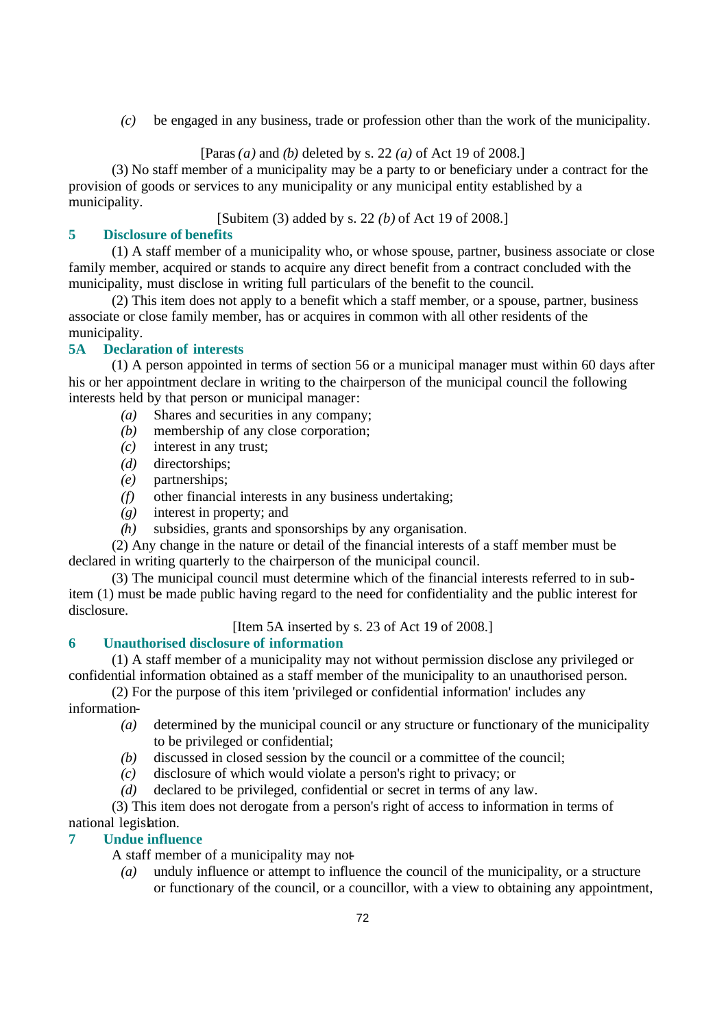*(c)* be engaged in any business, trade or profession other than the work of the municipality.

# [Paras *(a)* and *(b)* deleted by s. 22 *(a)* of Act 19 of 2008.]

(3) No staff member of a municipality may be a party to or beneficiary under a contract for the provision of goods or services to any municipality or any municipal entity established by a municipality.

[Subitem (3) added by s. 22 *(b)* of Act 19 of 2008.]

# **5 Disclosure of benefits**

(1) A staff member of a municipality who, or whose spouse, partner, business associate or close family member, acquired or stands to acquire any direct benefit from a contract concluded with the municipality, must disclose in writing full particulars of the benefit to the council.

(2) This item does not apply to a benefit which a staff member, or a spouse, partner, business associate or close family member, has or acquires in common with all other residents of the municipality.

# **5A Declaration of interests**

(1) A person appointed in terms of section 56 or a municipal manager must within 60 days after his or her appointment declare in writing to the chairperson of the municipal council the following interests held by that person or municipal manager:

- *(a)* Shares and securities in any company;
- *(b)* membership of any close corporation;
- *(c)* interest in any trust;
- *(d)* directorships;
- *(e)* partnerships;
- *(f)* other financial interests in any business undertaking;
- *(g)* interest in property; and
- *(h)* subsidies, grants and sponsorships by any organisation.

(2) Any change in the nature or detail of the financial interests of a staff member must be declared in writing quarterly to the chairperson of the municipal council.

(3) The municipal council must determine which of the financial interests referred to in subitem (1) must be made public having regard to the need for confidentiality and the public interest for disclosure.

[Item 5A inserted by s. 23 of Act 19 of 2008.]

# **6 Unauthorised disclosure of information**

(1) A staff member of a municipality may not without permission disclose any privileged or confidential information obtained as a staff member of the municipality to an unauthorised person.

(2) For the purpose of this item 'privileged or confidential information' includes any information-

- *(a)* determined by the municipal council or any structure or functionary of the municipality to be privileged or confidential;
- *(b)* discussed in closed session by the council or a committee of the council;
- *(c)* disclosure of which would violate a person's right to privacy; or
- *(d)* declared to be privileged, confidential or secret in terms of any law.

(3) This item does not derogate from a person's right of access to information in terms of national legislation.

### **7 Undue influence**

A staff member of a municipality may not-

*(a)* unduly influence or attempt to influence the council of the municipality, or a structure or functionary of the council, or a councillor, with a view to obtaining any appointment,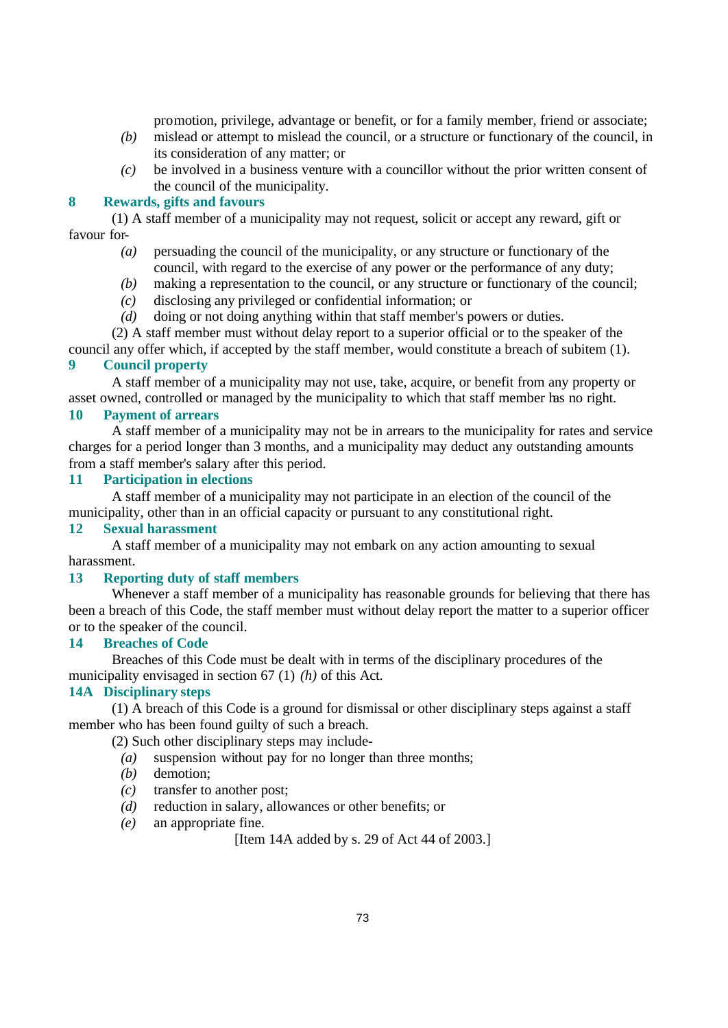promotion, privilege, advantage or benefit, or for a family member, friend or associate;

- *(b)* mislead or attempt to mislead the council, or a structure or functionary of the council, in its consideration of any matter; or
- *(c)* be involved in a business venture with a councillor without the prior written consent of the council of the municipality.

#### **8 Rewards, gifts and favours**

(1) A staff member of a municipality may not request, solicit or accept any reward, gift or favour for-

- *(a)* persuading the council of the municipality, or any structure or functionary of the council, with regard to the exercise of any power or the performance of any duty;
- *(b)* making a representation to the council, or any structure or functionary of the council;
- *(c)* disclosing any privileged or confidential information; or
- *(d)* doing or not doing anything within that staff member's powers or duties.

(2) A staff member must without delay report to a superior official or to the speaker of the

council any offer which, if accepted by the staff member, would constitute a breach of subitem (1). **9 Council property**

A staff member of a municipality may not use, take, acquire, or benefit from any property or asset owned, controlled or managed by the municipality to which that staff member has no right.

#### **10 Payment of arrears**

A staff member of a municipality may not be in arrears to the municipality for rates and service charges for a period longer than 3 months, and a municipality may deduct any outstanding amounts from a staff member's salary after this period.

# **11 Participation in elections**

A staff member of a municipality may not participate in an election of the council of the municipality, other than in an official capacity or pursuant to any constitutional right.

## **12 Sexual harassment**

A staff member of a municipality may not embark on any action amounting to sexual harassment.

### **13 Reporting duty of staff members**

Whenever a staff member of a municipality has reasonable grounds for believing that there has been a breach of this Code, the staff member must without delay report the matter to a superior officer or to the speaker of the council.

# **14 Breaches of Code**

Breaches of this Code must be dealt with in terms of the disciplinary procedures of the municipality envisaged in section 67 (1) *(h)* of this Act.

### **14A Disciplinary steps**

(1) A breach of this Code is a ground for dismissal or other disciplinary steps against a staff member who has been found guilty of such a breach.

(2) Such other disciplinary steps may include-

- *(a)* suspension without pay for no longer than three months;
- *(b)* demotion;
- *(c)* transfer to another post;
- *(d)* reduction in salary, allowances or other benefits; or
- *(e)* an appropriate fine.

[Item 14A added by s. 29 of Act 44 of 2003.]